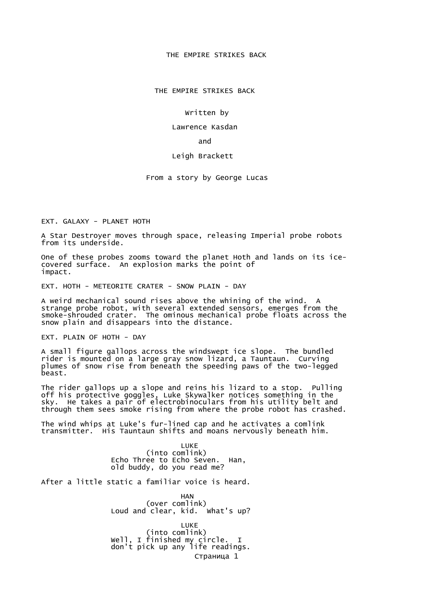THE EMPIRE STRIKES BACK

Written by

Lawrence Kasdan

and the contract of the contract of the contract of the contract of the contract of the contract of the contract of the contract of the contract of the contract of the contract of the contract of the contract of the contra

# Leigh Brackett

From a story by George Lucas

EXT. GALAXY - PLANET HOTH

A Star Destroyer moves through space, releasing Imperial probe robots from its underside.

One of these probes zooms toward the planet Hoth and lands on its icecovered surface. An explosion marks the point of impact.

EXT. HOTH - METEORITE CRATER - SNOW PLAIN - DAY

A weird mechanical sound rises above the whining of the wind. A strange probe robot, with several extended sensors, emerges from the smoke-shrouded crater. The ominous mechanical probe floats across the snow plain and disappears into the distance.

EXT. PLAIN OF HOTH - DAY

A small figure gallops across the windswept ice slope. The bundled rider is mounted on a large gray snow lizard, a Tauntaun. Curving plumes of snow rise from beneath the speeding paws of the two-legged beast.

The rider gallops up a slope and reins his lizard to a stop. Pulling off his protective goggles, Luke Skywalker notices something in the sky. He takes a pair of electrobinoculars from his utility belt and through them sees smoke rising from where the probe robot has crashed.

The wind whips at Luke's fur-lined cap and he activates a comlink transmitter. His Tauntaun shifts and moans nervously beneath him.

**LUKE**  (into comlink) Echo Three to Echo Seven. Han, old buddy, do you read me?

After a little static a familiar voice is heard.

**HAN**  (over comlink) Loud and clear, kid. What's up?

**LUKE**  (into comlink) Well, I finished my circle. I don't pick up any life readings. Страница 1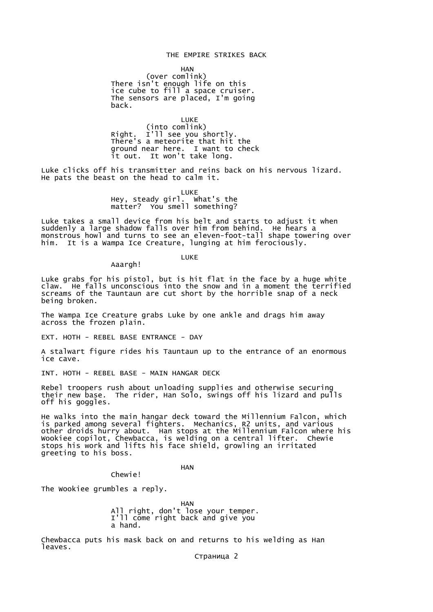**HAN**  (over comlink) There isn't enough life on this ice cube to fill a space cruiser. The sensors are placed, I'm going back.

**LUKE**  (into comlink) Right. I'll see you shortly. There's a meteorite that hit the ground near here. I want to check it out. It won't take long.

Luke clicks off his transmitter and reins back on his nervous lizard. He pats the beast on the head to calm it.

**LUKE**  Hey, steady girl. What's the matter? You smell something?

Luke takes a small device from his belt and starts to adjust it when suddenly a large shadow falls over him from behind. He hears a monstrous howl and turns to see an eleven-foot-tall shape towering over him. It is a Wampa Ice Creature, lunging at him ferociously.

**LUKE** Aaargh!

Luke grabs for his pistol, but is hit flat in the face by a huge white claw. He falls unconscious into the snow and in a moment the terrified screams of the Tauntaun are cut short by the horrible snap of a neck being broken.

The Wampa Ice Creature grabs Luke by one ankle and drags him away across the frozen plain.

EXT. HOTH - REBEL BASE ENTRANCE - DAY

A stalwart figure rides his Tauntaun up to the entrance of an enormous ice cave.

INT. HOTH - REBEL BASE - MAIN HANGAR DECK

Chewie!

Rebel troopers rush about unloading supplies and otherwise securing their new base. The rider, Han Solo, swings off his lizard and pulls off his goggles.

He walks into the main hangar deck toward the Millennium Falcon, which is parked among several fighters. Mechanics, R2 units, and various other droids hurry about. Han stops at the Millennium Falcon where his Wookiee copilot, Chewbacca, is welding on a central lifter. Chewie stops his work and lifts his face shield, growling an irritated greeting to his boss.

# **HAN**

The Wookiee grumbles a reply.

**HAN**  All right, don't lose your temper. I'll come right back and give you a hand.

Chewbacca puts his mask back on and returns to his welding as Han leaves.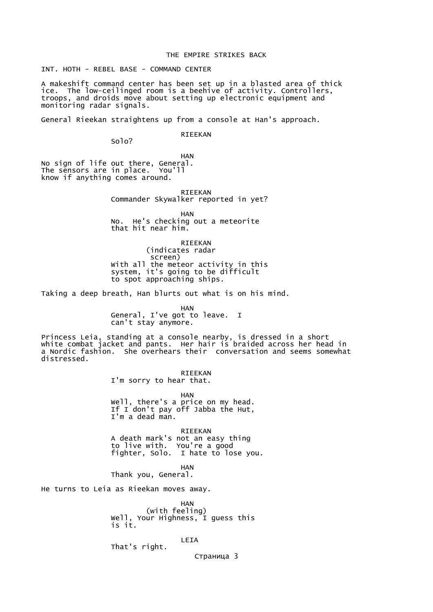INT. HOTH - REBEL BASE - COMMAND CENTER

A makeshift command center has been set up in a blasted area of thick ice. The low-ceilinged room is a beehive of activity. Controllers, troops, and droids move about setting up electronic equipment and monitoring radar signals.

General Rieekan straightens up from a console at Han's approach.

RIEEKAN

Solo?

**HAN** No sign of life out there, General. The sensors are in place. You'll know if anything comes around.

> RIEEKAN Commander Skywalker reported in yet?

**HAN**  No. He's checking out a meteorite that hit near him.

 RIEEKAN (indicates radar screen) With all the meteor activity in this system, it's going to be difficult to spot approaching ships.

Taking a deep breath, Han blurts out what is on his mind.

**HAN**  General, I've got to leave. I can't stay anymore.

Princess Leia, standing at a console nearby, is dressed in a short white combat jacket and pants. Her hair is braided across her head in a Nordic fashion. She overhears their conversation and seems somewhat distressed.

> RIEEKAN I'm sorry to hear that.

**HAN**  Well, there's a price on my head. If I don't pay off Jabba the Hut, I'm a dead man.

 RIEEKAN A death mark's not an easy thing to live with. You're a good fighter, Solo. I hate to lose you.

**HAN** Thank you, General.

He turns to Leia as Rieekan moves away.

**HAN**  (with feeling) Well, Your Highness, I guess this is it.

**LEIA** 

That's right.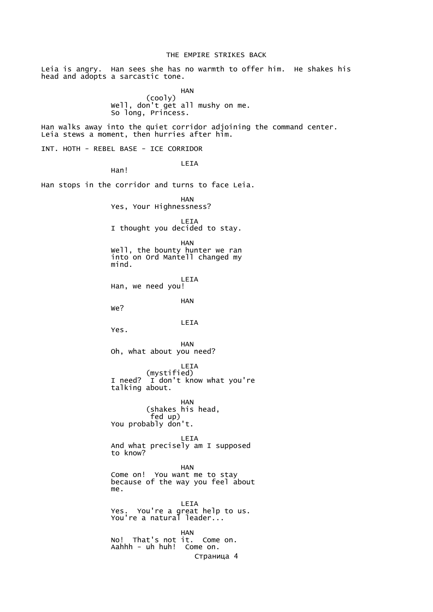Leia is angry. Han sees she has no warmth to offer him. He shakes his head and adopts a sarcastic tone.

**HAN**  (cooly) Well, don't get all mushy on me. So long, Princess.

Han walks away into the quiet corridor adjoining the command center. Leia stews a moment, then hurries after him.

INT. HOTH - REBEL BASE - ICE CORRIDOR

Han!

LEIA

Han stops in the corridor and turns to face Leia.

**HAN**  Yes, Your Highnessness? **LEIA**  I thought you decided to stay. **HAN**  Well, the bounty hunter we ran into on Ord Mantell changed my mind. LEIA Han, we need you! **HAN**  We? **LEIA**  Yes. **HAN**  Oh, what about you need? LEIA (mystified) I need? I don't know what you're talking about. **HAN**  (shakes his head, fed up) You probably don't. **LEIA**  And what precisely am I supposed to know? **HAN**  Come on! You want me to stay because of the way you feel about me. LEIA Yes. You're a great help to us. You're a natural leader... **HAN**  No! That's not it. Come on. Aahhh - uh huh! Come on.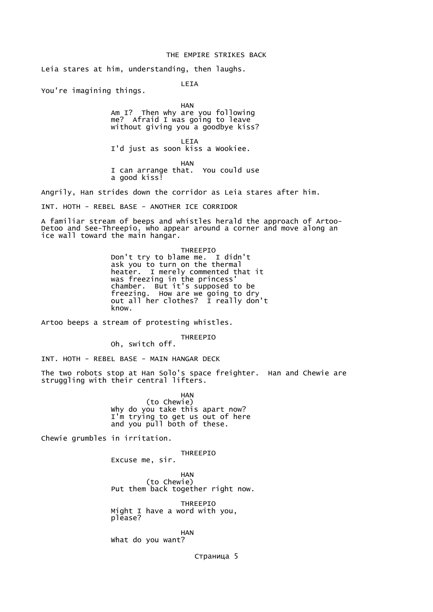Leia stares at him, understanding, then laughs.

LEIA

You're imagining things.

**HAN**  Am I? Then why are you following me? Afraid I was going to leave without giving you a goodbye kiss?

**LEIA** I'd just as soon kiss a Wookiee.

**HAN**  I can arrange that. You could use a good kiss!

Angrily, Han strides down the corridor as Leia stares after him.

INT. HOTH - REBEL BASE - ANOTHER ICE CORRIDOR

A familiar stream of beeps and whistles herald the approach of Artoo-Detoo and See-Threepio, who appear around a corner and move along an ice wall toward the main hangar.

**THREEPIO**  Don't try to blame me. I didn't ask you to turn on the thermal heater. I merely commented that it was freezing in the princess' chamber. But it's supposed to be freezing. How are we going to dry out all her clothes? I really don't know.

Artoo beeps a stream of protesting whistles.

THREEPIO

Oh, switch off.

INT. HOTH - REBEL BASE - MAIN HANGAR DECK

The two robots stop at Han Solo's space freighter. Han and Chewie are struggling with their central lifters.

**HAN**  (to Chewie) Why do you take this apart now? I'm trying to get us out of here and you pull both of these.

Chewie grumbles in irritation.

THREEPIO

Excuse me, sir.

**HAN**  (to Chewie) Put them back together right now.

> THREEPIO Might I have a word with you, please?

**HAN** What do you want?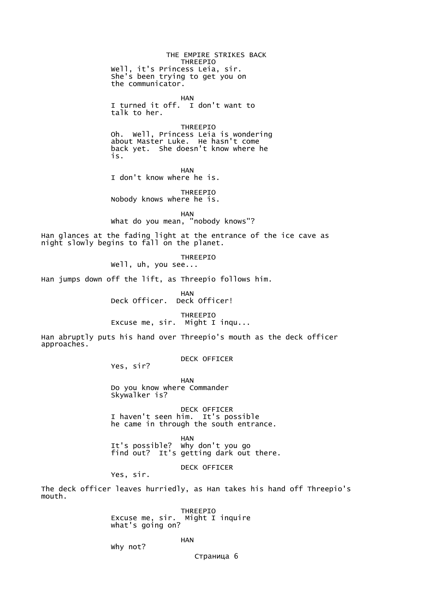THE EMPIRE STRIKES BACK<br>THREEPIO **THREEPIO**  Well, it's Princess Leia, sir. She's been trying to get you on the communicator. **HAN**  I turned it off. I don't want to talk to her. **THREEPIO**  Oh. Well, Princess Leia is wondering about Master Luke. He hasn't come back yet. She doesn't know where he is. **HAN**  I don't know where he is. THREEPIO Nobody knows where he is. **HAN**  What do you mean, "nobody knows"? Han glances at the fading light at the entrance of the ice cave as night slowly begins to fall on the planet. THREEPIO Well, uh, you see... Han jumps down off the lift, as Threepio follows him. **HAN**  Deck Officer. Deck Officer! THREEPIO Excuse me, sir. Might I inqu... Han abruptly puts his hand over Threepio's mouth as the deck officer approaches. DECK OFFICER Yes, sir? **HAN**  Do you know where Commander Skywalker is? DECK OFFICER I haven't seen him. It's possible he came in through the south entrance. **HAN**  It's possible? Why don't you go find out? It's getting dark out there. DECK OFFICER Yes, sir. The deck officer leaves hurriedly, as Han takes his hand off Threepio's mouth. THREEPIO Excuse me, sir. Might I inquire what's going on? **HAN** 

Why not?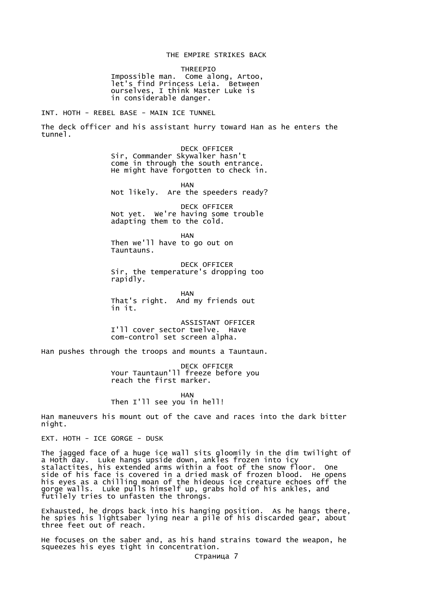THREEPIO Impossible man. Come along, Artoo, let's find Princess Leia. Between ourselves, I think Master Luke is in considerable danger.

INT. HOTH - REBEL BASE - MAIN ICE TUNNEL

The deck officer and his assistant hurry toward Han as he enters the tunnel.

> DECK OFFICER Sir, Commander Skywalker hasn't come in through the south entrance. He might have forgotten to check in.

**HAN** Not likely. Are the speeders ready?

> DECK OFFICER Not yet. We're having some trouble adapting them to the cold.

**HAN**  Then we'll have to go out on Tauntauns.

> DECK OFFICER Sir, the temperature's dropping too rapidly.

**HAN**  That's right. And my friends out in it.

 ASSISTANT OFFICER I'll cover sector twelve. Have com-control set screen alpha.

Han pushes through the troops and mounts a Tauntaun.

 DECK OFFICER Your Tauntaun'll freeze before you reach the first marker.

**HAN** Then I'll see you in hell!

Han maneuvers his mount out of the cave and races into the dark bitter night.

EXT. HOTH - ICE GORGE - DUSK

The jagged face of a huge ice wall sits gloomily in the dim twilight of a Hoth day. Luke hangs upside down, ankles frozen into icy stalactites, his extended arms within a foot of the snow floor. One side of his face is covered in a dried mask of frozen blood. He opens his eyes as a chilling moan of the hideous ice creature echoes off the gorge walls. Luke pulls himself up, grabs hold of his ankles, and futilely tries to unfasten the throngs.

Exhausted, he drops back into his hanging position. As he hangs there, he spies his lightsaber lying near a pile of his discarded gear, about three feet out of reach.

He focuses on the saber and, as his hand strains toward the weapon, he squeezes his eyes tight in concentration.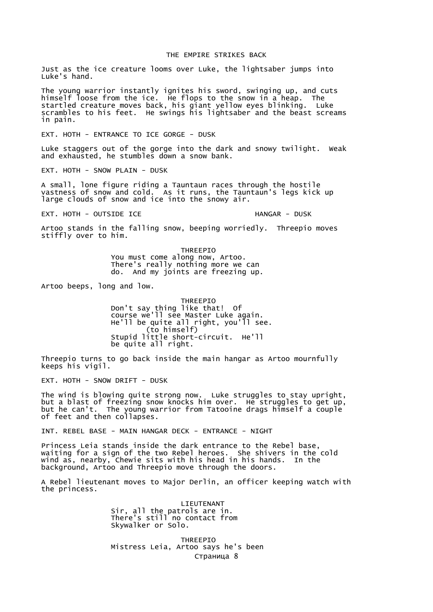Just as the ice creature looms over Luke, the lightsaber jumps into Luke's hand.

The young warrior instantly ignites his sword, swinging up, and cuts himself loose from the ice. He flops to the snow in a heap. The startled creature moves back, his giant yellow eyes blinking. Luke scrambles to his feet. He swings his lightsaber and the beast screams in pain.

EXT. HOTH - ENTRANCE TO ICE GORGE - DUSK

Luke staggers out of the gorge into the dark and snowy twilight. Weak and exhausted, he stumbles down a snow bank.

EXT. HOTH - SNOW PLAIN - DUSK

A small, lone figure riding a Tauntaun races through the hostile vastness of snow and cold. As it runs, the Tauntaun's legs kick up large clouds of snow and ice into the snowy air.

EXT. HOTH - OUTSIDE ICE HANGAR - DUSK

Artoo stands in the falling snow, beeping worriedly. Threepio moves stiffly over to him.

 THREEPIO You must come along now, Artoo. There's really nothing more we can do. And my joints are freezing up.

Artoo beeps, long and low.

 THREEPIO Don't say thing like that! Of course we'll see Master Luke again. He'll be quite all right, you'll see. (to himself) Stupid little short-circuit. He'll be quite all right.

Threepio turns to go back inside the main hangar as Artoo mournfully keeps his vigil.

EXT. HOTH - SNOW DRIFT - DUSK

The wind is blowing quite strong now. Luke struggles to stay upright, but a blast of freezing snow knocks him over. He struggles to get up, but he can't. The young warrior from Tatooine drags himself a couple of feet and then collapses.

INT. REBEL BASE - MAIN HANGAR DECK - ENTRANCE - NIGHT

Princess Leia stands inside the dark entrance to the Rebel base, waiting for a sign of the two Rebel heroes. She shivers in the cold wind as, nearby, Chewie sits with his head in his hands. In the background, Artoo and Threepio move through the doors.

A Rebel lieutenant moves to Major Derlin, an officer keeping watch with the princess.

 LIEUTENANT Sir, all the patrols are in. There's still no contact from Skywalker or Solo.

> THREEPIO Mistress Leia, Artoo says he's been Страница 8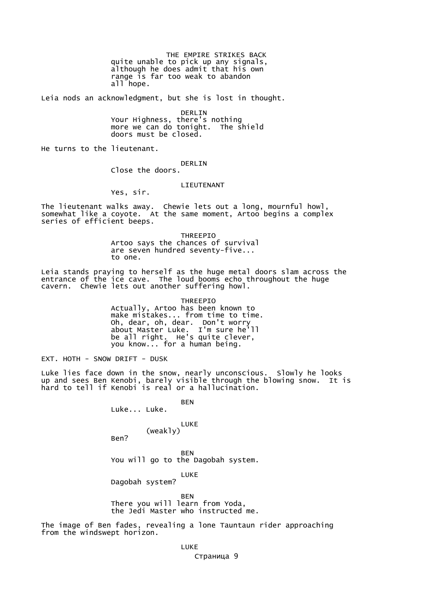THE EMPIRE STRIKES BACK quite unable to pick up any signals, although he does admit that his own range is far too weak to abandon all hope.

Leia nods an acknowledgment, but she is lost in thought.

 DERLIN Your Highness, there's nothing more we can do tonight. The shield doors must be closed.

He turns to the lieutenant.

## DERLIN

Close the doors.

#### LIEUTENANT

Yes, sir.

The lieutenant walks away. Chewie lets out a long, mournful howl, somewhat like a coyote. At the same moment, Artoo begins a complex series of efficient beeps.

> THREEPIO Artoo says the chances of survival are seven hundred seventy-five... to one.

Leia stands praying to herself as the huge metal doors slam across the entrance of the ice cave. The loud booms echo throughout the huge cavern. Chewie lets out another suffering howl.

**THREEPIO**  Actually, Artoo has been known to make mistakes... from time to time. Oh, dear, oh, dear. Don't worry about Master Luke. I'm sure he'll be all right. He's quite clever, you know... for a human being.

EXT. HOTH - SNOW DRIFT - DUSK

Luke lies face down in the snow, nearly unconscious. Slowly he looks up and sees Ben Kenobi, barely visible through the blowing snow. It is hard to tell if Kenobi is real or a hallucination.

**BEN** BEN Luke... Luke.

# **LUKE** (weakly)

Ben?

**BEN** BEN You will go to the Dagobah system.

**LUKE** Dagobah system?

**BEN** BEN There you will learn from Yoda, the Jedi Master who instructed me.

The image of Ben fades, revealing a lone Tauntaun rider approaching from the windswept horizon.

**LUKE**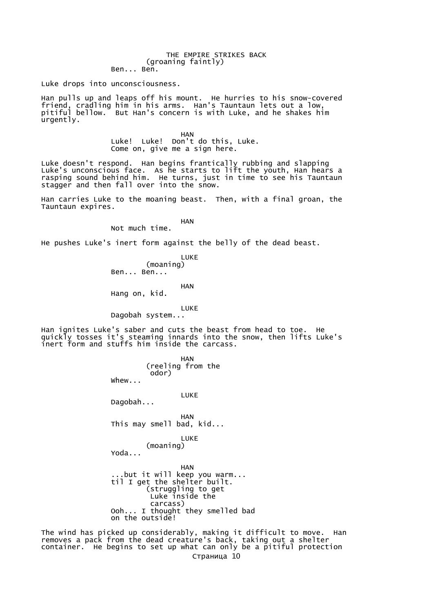#### THE EMPIRE STRIKES BACK (groaning faintly) Ben... Ben.

Luke drops into unconsciousness.

Han pulls up and leaps off his mount. He hurries to his snow-covered friend, cradling him in his arms. Han's Tauntaun lets out a low, pitiful bellow. But Han's concern is with Luke, and he shakes him urgently.

**HAN**  Luke! Luke! Don't do this, Luke. Come on, give me a sign here.

Luke doesn't respond. Han begins frantically rubbing and slapping Luke's unconscious face. As he starts to lift the youth, Han hears a rasping sound behind him. He turns, just in time to see his Tauntaun stagger and then fall over into the snow.

Han carries Luke to the moaning beast. Then, with a final groan, the Tauntaun expires.

**HAN** 

Not much time.

He pushes Luke's inert form against the belly of the dead beast.

 LUKE (moaning) Ben... Ben... **HAN** 

Hang on, kid.

**LUKE** 

Dagobah system...

Han ignites Luke's saber and cuts the beast from head to toe. He quickly tosses it's steaming innards into the snow, then lifts Luke's inert form and stuffs him inside the carcass.

**HAN**  (reeling from the odor) Whew... **LUKE**  Dagobah... **HAN**  This may smell bad, kid... **LUKE**  (moaning) Yoda... **HAN**  ...but it will keep you warm... til I get the shelter built. (struggling to get Luke inside the carcass) Ooh... I thought they smelled bad on the outside!

The wind has picked up considerably, making it difficult to move. Han removes a pack from the dead creature's back, taking out a shelter container. He begins to set up what can only be a pitiful protection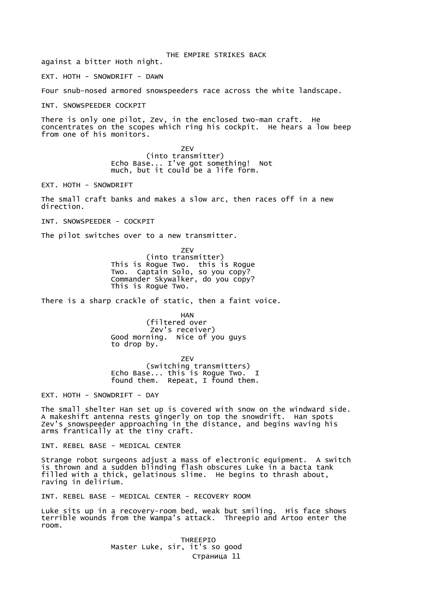THE EMPIRE STRIKES BACK against a bitter Hoth night. EXT. HOTH - SNOWDRIFT - DAWN Four snub-nosed armored snowspeeders race across the white landscape. INT. SNOWSPEEDER COCKPIT There is only one pilot, Zev, in the enclosed two-man craft. He concentrates on the scopes which ring his cockpit. He hears a low beep from one of his monitors. **ZEV** *ZEV*  (into transmitter) Echo Base... I've got something! Not much, but it could be a life form. EXT. HOTH - SNOWDRIFT The small craft banks and makes a slow arc, then races off in a new direction. INT. SNOWSPEEDER - COCKPIT The pilot switches over to a new transmitter. **ZEV** *ZEV*  (into transmitter) This is Rogue Two. this is Rogue Two. Captain Solo, so you copy? Commander Skywalker, do you copy? This is Rogue Two. There is a sharp crackle of static, then a faint voice. **HAN**  (filtered over Zev's receiver) Good morning. Nice of you guys to drop by. **ZEV** *ZEV*  (switching transmitters) Echo Base... this is Rogue Two. I found them. Repeat, I found them. EXT. HOTH - SNOWDRIFT - DAY The small shelter Han set up is covered with snow on the windward side. A makeshift antenna rests gingerly on top the snowdrift. Han spots Zev's snowspeeder approaching in the distance, and begins waving his arms frantically at the tiny craft. INT. REBEL BASE - MEDICAL CENTER Strange robot surgeons adjust a mass of electronic equipment. A switch is thrown and a sudden blinding flash obscures Luke in a bacta tank filled with a thick, gelatinous slime. He begins to thrash about, raving in delirium. INT. REBEL BASE - MEDICAL CENTER - RECOVERY ROOM Luke sits up in a recovery-room bed, weak but smiling. His face shows terrible wounds from the Wampa's attack. Threepio and Artoo enter the room.

> THREEPIO Master Luke, sir, it's so good Страница 11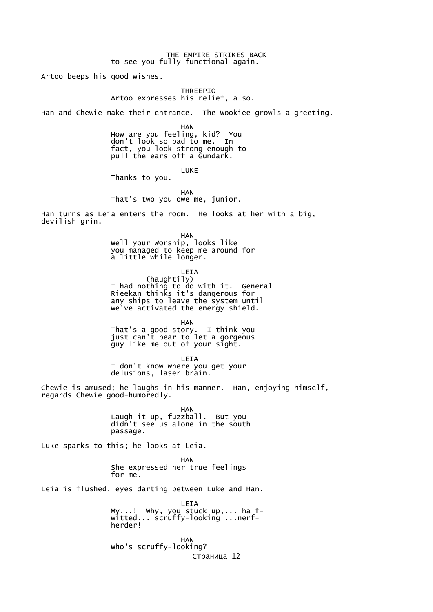Artoo beeps his good wishes.

# THREEPIO Artoo expresses his relief, also.

Han and Chewie make their entrance. The Wookiee growls a greeting.

**HAN**  How are you feeling, kid? You don't look so bad to me. In fact, you look strong enough to pull the ears off a Gundark.

**LUKE** 

Thanks to you.

**HAN** That's two you owe me, junior.

Han turns as Leia enters the room. He looks at her with a big, devilish grin.

**HAN**  Well your Worship, looks like you managed to keep me around for a little while longer.

**LEIA**  (haughtily) I had nothing to do with it. General Rieekan thinks it's dangerous for any ships to leave the system until we've activated the energy shield.

**HAN**  That's a good story. I think you just can't bear to let a gorgeous guy like me out of your sight.

**LEIA**  I don't know where you get your delusions, laser brain.

Chewie is amused; he laughs in his manner. Han, enjoying himself, regards Chewie good-humoredly.

**HAN**  Laugh it up, fuzzball. But you didn't see us alone in the south passage.

Luke sparks to this; he looks at Leia.

**HAN**  She expressed her true feelings for me.

Leia is flushed, eyes darting between Luke and Han.

 LEIA My...! Why, you stuck up,... half witted... scruffy-looking ...nerf herder!

**HAN**  Who's scruffy-looking? Страница 12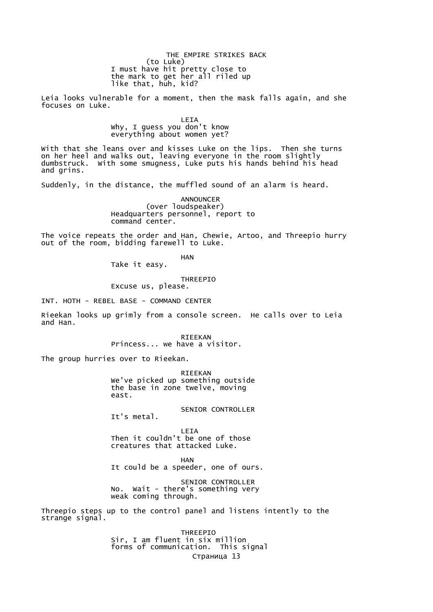THE EMPIRE STRIKES BACK (to Luke) I must have hit pretty close to the mark to get her all riled up like that, huh, kid?

Leia looks vulnerable for a moment, then the mask falls again, and she focuses on Luke.

**LEIA**  Why, I guess you don't know everything about women yet?

With that she leans over and kisses Luke on the lips. Then she turns on her heel and walks out, leaving everyone in the room slightly dumbstruck. With some smugness, Luke puts his hands behind his head and grins.

Suddenly, in the distance, the muffled sound of an alarm is heard.

 ANNOUNCER (over loudspeaker) Headquarters personnel, report to command center.

The voice repeats the order and Han, Chewie, Artoo, and Threepio hurry out of the room, bidding farewell to Luke.

**HAN** Take it easy.

THREEPIO

Excuse us, please.

INT. HOTH - REBEL BASE - COMMAND CENTER

Rieekan looks up grimly from a console screen. He calls over to Leia and Han.

> RIEEKAN Princess... we have a visitor.

The group hurries over to Rieekan.

 RIEEKAN We've picked up something outside the base in zone twelve, moving east.

SENIOR CONTROLLER

It's metal.

 LEIA Then it couldn't be one of those creatures that attacked Luke.

**HAN** It could be a speeder, one of ours.

> SENIOR CONTROLLER No. Wait - there's something very weak coming through.

Threepio steps up to the control panel and listens intently to the strange signal.

> THREEPIO Sir, I am fluent in six million forms of communication. This signal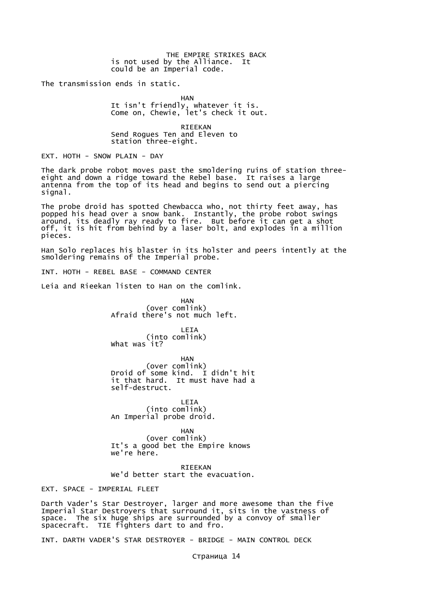THE EMPIRE STRIKES BACK is not used by the Alliance. It could be an Imperial code.

The transmission ends in static.

**HAN**  It isn't friendly, whatever it is. Come on, Chewie, let's check it out.

> RIEEKAN Send Rogues Ten and Eleven to station three-eight.

EXT. HOTH - SNOW PLAIN - DAY

The dark probe robot moves past the smoldering ruins of station threeeight and down a ridge toward the Rebel base. It raises a large antenna from the top of its head and begins to send out a piercing signal.

The probe droid has spotted Chewbacca who, not thirty feet away, has popped his head over a snow bank. Instantly, the probe robot swings around, its deadly ray ready to fire. But before it can get a shot off, it is hit from behind by a laser bolt, and explodes in a million pieces.

Han Solo replaces his blaster in its holster and peers intently at the smoldering remains of the Imperial probe.

INT. HOTH - REBEL BASE - COMMAND CENTER

Leia and Rieekan listen to Han on the comlink.

**HAN**  (over comlink) Afraid there's not much left.

> LEIA (into comlink) What was it?

**HAN**  (over comlink) Droid of some kind. I didn't hit it that hard. It must have had a self-destruct.

 LEIA (into comlink) An Imperial probe droid.

**HAN**  (over comlink) It's a good bet the Empire knows we're here.

> RIEEKAN We'd better start the evacuation.

EXT. SPACE - IMPERIAL FLEET

Darth Vader's Star Destroyer, larger and more awesome than the five Imperial Star Destroyers that surround it, sits in the vastness of space. The six huge ships are surrounded by a convoy of smaller spacecraft. TIE fighters dart to and fro.

INT. DARTH VADER'S STAR DESTROYER - BRIDGE - MAIN CONTROL DECK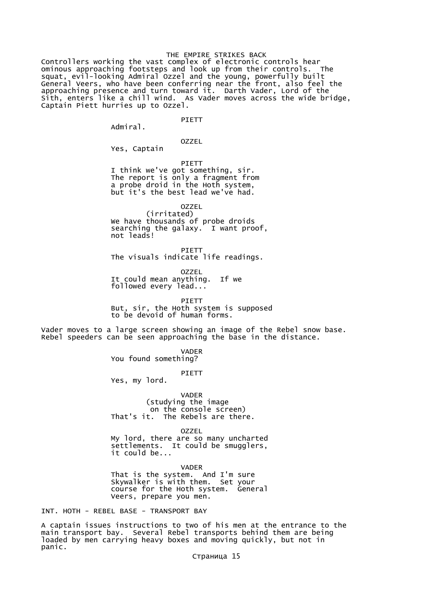Controllers working the vast complex of electronic controls hear ominous approaching footsteps and look up from their controls. The squat, evil-looking Admiral Ozzel and the young, powerfully built General Veers, who have been conferring near the front, also feel the approaching presence and turn toward it. Darth Vader, Lord of the Sith, enters like a chill wind. As Vader moves across the wide bridge, Captain Piett hurries up to Ozzel.

PIETT

Admiral.

od a strategic control of the control of the control of the control of the control of the control of the control of the control of the control of the control of the control of the control of the control of the control of t

Yes, Captain

**PIETT** *PIETT*  I think we've got something, sir. The report is only a fragment from a probe droid in the Hoth system, but it's the best lead we've had.

od a strategic control of the control of the control of the control of the control of the control of the control of the control of the control of the control of the control of the control of the control of the control of t (irritated) We have thousands of probe droids searching the galaxy. I want proof, not leads!

> PIETT The visuals indicate life readings.

od a strategic control of the control of the control of the control of the control of the control of the control of the control of the control of the control of the control of the control of the control of the control of t It could mean anything. If we followed every lead...

**PIETT** *PIETT*  But, sir, the Hoth system is supposed to be devoid of human forms.

Vader moves to a large screen showing an image of the Rebel snow base. Rebel speeders can be seen approaching the base in the distance.

> VADER You found something?

> > PIETT

Yes, my lord.

 VADER (studying the image on the console screen) That's it. The Rebels are there.

 OZZEL My lord, there are so many uncharted settlements. It could be smugglers, it could be...

 VADER That is the system. And I'm sure Skywalker is with them. Set your course for the Hoth system. General Veers, prepare you men.

INT. HOTH - REBEL BASE - TRANSPORT BAY

A captain issues instructions to two of his men at the entrance to the main transport bay. Several Rebel transports behind them are being loaded by men carrying heavy boxes and moving quickly, but not in panic.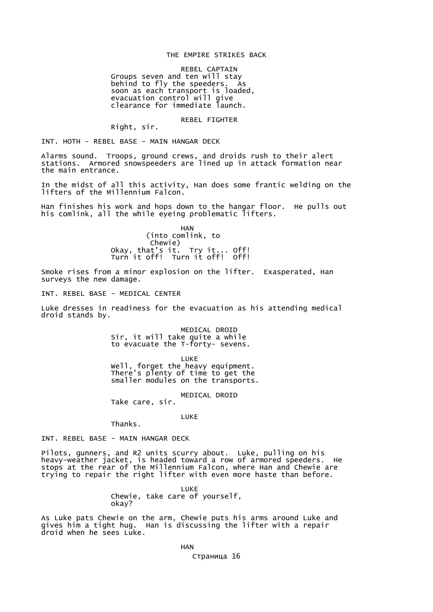REBEL CAPTAIN Groups seven and ten will stay behind to fly the speeders. As soon as each transport is loaded, evacuation control will give clearance for immediate launch.

#### REBEL FIGHTER

Right, sir.

INT. HOTH - REBEL BASE - MAIN HANGAR DECK

Alarms sound. Troops, ground crews, and droids rush to their alert stations. Armored snowspeeders are lined up in attack formation near the main entrance.

In the midst of all this activity, Han does some frantic welding on the lifters of the Millennium Falcon.

Han finishes his work and hops down to the hangar floor. He pulls out his comlink, all the while eyeing problematic lifters.

**HAN**  (into comlink, to Chewie) Okay, that's it. Try it... Off! Turn it off! Turn it off! Off!

Smoke rises from a minor explosion on the lifter. Exasperated, Han surveys the new damage.

INT. REBEL BASE - MEDICAL CENTER

Luke dresses in readiness for the evacuation as his attending medical droid stands by.

 MEDICAL DROID Sir, it will take quite a while to evacuate the T-forty- sevens.

**LUKE**  Well, forget the heavy equipment. There's plenty of time to get the smaller modules on the transports.

MEDICAL DROID

Take care, sir.

**LUKE** 

Thanks.

INT. REBEL BASE - MAIN HANGAR DECK

Pilots, gunners, and R2 units scurry about. Luke, pulling on his heavy-weather jacket, is headed toward a row of armored speeders. He stops at the rear of the Millennium Falcon, where Han and Chewie are trying to repair the right lifter with even more haste than before.

> LUKE Chewie, take care of yourself, okay?

As Luke pats Chewie on the arm, Chewie puts his arms around Luke and gives him a tight hug. Han is discussing the lifter with a repair droid when he sees Luke.

**HAN**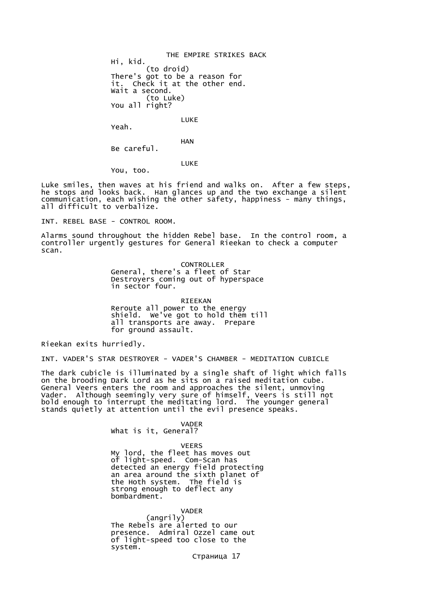THE EMPIRE STRIKES BACK Hi, kid. (to droid) There's got to be a reason for it. Check it at the other end. Wait a second. (to Luke) You all right?

**LUKE** 

Yeah.

**HAN** 

Be careful.

LUKE

You, too.

Luke smiles, then waves at his friend and walks on. After a few steps, he stops and looks back. Han glances up and the two exchange a silent communication, each wishing the other safety, happiness - many things, all difficult to verbalize.

INT. REBEL BASE - CONTROL ROOM.

Alarms sound throughout the hidden Rebel base. In the control room, a controller urgently gestures for General Rieekan to check a computer scan.

> CONTROLLER General, there's a fleet of Star Destroyers coming out of hyperspace in sector four.

 RIEEKAN Reroute all power to the energy shield. We've got to hold them till all transports are away. Prepare for ground assault.

Rieekan exits hurriedly.

bombardment.

INT. VADER'S STAR DESTROYER - VADER'S CHAMBER - MEDITATION CUBICLE

The dark cubicle is illuminated by a single shaft of light which falls on the brooding Dark Lord as he sits on a raised meditation cube. General Veers enters the room and approaches the silent, unmoving Vader. Although seemingly very sure of himself, Veers is still not bold enough to interrupt the meditating lord. The younger general stands quietly at attention until the evil presence speaks.

 VADER What is it, General? **VEERS VEERS**  My lord, the fleet has moves out of light-speed. Com-Scan has detected an energy field protecting an area around the sixth planet of the Hoth system. The field is strong enough to deflect any

> VADER (angrily) The Rebels are alerted to our presence. Admiral Ozzel came out of light-speed too close to the system.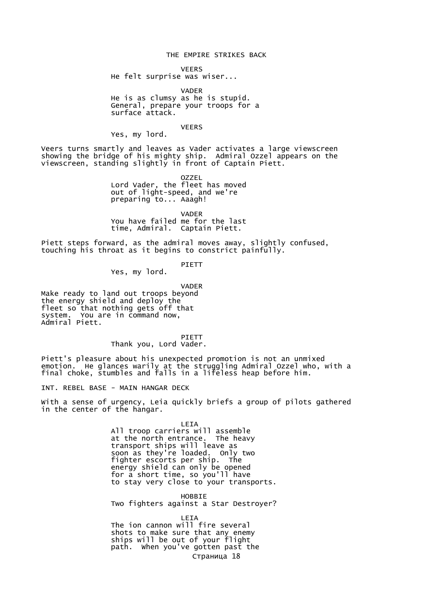VEERS

He felt surprise was wiser...

 VADER He is as clumsy as he is stupid. General, prepare your troops for a surface attack.

> VEERS Yes, my lord.

Veers turns smartly and leaves as Vader activates a large viewscreen showing the bridge of his mighty ship. Admiral Ozzel appears on the viewscreen, standing slightly in front of Captain Piett.

> **OZZEL**  Lord Vader, the fleet has moved out of light-speed, and we're preparing to... Aaagh!

 VADER You have failed me for the last time, Admiral. Captain Piett.

Piett steps forward, as the admiral moves away, slightly confused, touching his throat as it begins to constrict painfully.

PIETT

Yes, my lord.

 VADER Make ready to land out troops beyond the energy shield and deploy the fleet so that nothing gets off that system. You are in command now, Admiral Piett.

**PIETT** *PIETT* Thank you, Lord Vader.

Piett's pleasure about his unexpected promotion is not an unmixed emotion. He glances warily at the struggling Admiral Ozzel who, with a final choke, stumbles and falls in a lifeless heap before him.

INT. REBEL BASE - MAIN HANGAR DECK

With a sense of urgency, Leia quickly briefs a group of pilots gathered in the center of the hangar.

**LEIA**  All troop carriers will assemble at the north entrance. The heavy transport ships will leave as soon as they're loaded. Only two fighter escorts per ship. The energy shield can only be opened for a short time, so you'll have to stay very close to your transports.

HOBBIE

Two fighters against a Star Destroyer?

 LEIA The ion cannon will fire several shots to make sure that any enemy ships will be out of your flight path. When you've gotten past the Страница 18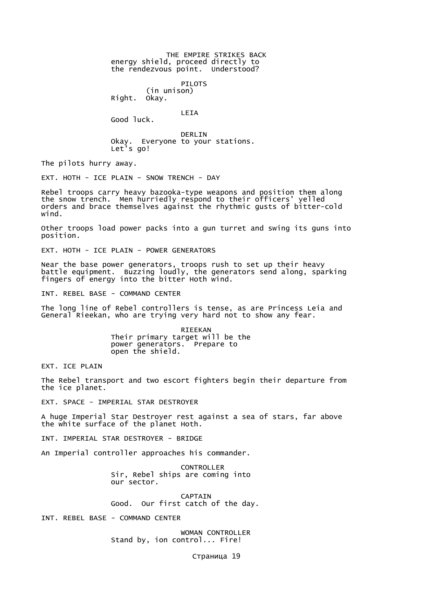THE EMPIRE STRIKES BACK energy shield, proceed directly to the rendezvous point. Understood?

PILOTS

 (in unison) Right.

LEIA

Good luck.

 DERLIN Okay. Everyone to your stations. Let's go!

The pilots hurry away.

EXT. HOTH - ICE PLAIN - SNOW TRENCH - DAY

Rebel troops carry heavy bazooka-type weapons and position them along the snow trench. Men hurriedly respond to their officers' yelled orders and brace themselves against the rhythmic gusts of bitter-cold wind.

Other troops load power packs into a gun turret and swing its guns into position.

EXT. HOTH - ICE PLAIN - POWER GENERATORS

Near the base power generators, troops rush to set up their heavy battle equipment. Buzzing loudly, the generators send along, sparking fingers of energy into the bitter Hoth wind.

INT. REBEL BASE - COMMAND CENTER

The long line of Rebel controllers is tense, as are Princess Leia and General Rieekan, who are trying very hard not to show any fear.

> RIEEKAN Their primary target will be the power generators. Prepare to open the shield.

EXT. ICE PLAIN

The Rebel transport and two escort fighters begin their departure from the ice planet.

EXT. SPACE - IMPERIAL STAR DESTROYER

A huge Imperial Star Destroyer rest against a sea of stars, far above the white surface of the planet Hoth.

INT. IMPERIAL STAR DESTROYER - BRIDGE

An Imperial controller approaches his commander.

 CONTROLLER Sir, Rebel ships are coming into our sector.

**CAPTAIN** Good. Our first catch of the day.

INT. REBEL BASE - COMMAND CENTER

 WOMAN CONTROLLER Stand by, ion control... Fire!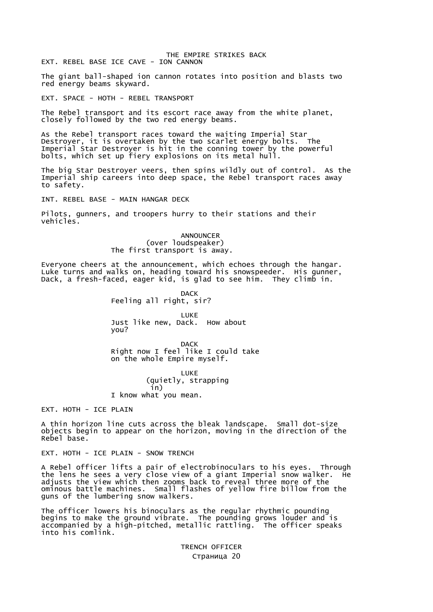# THE EMPIRE STRIKES BACK EXT. REBEL BASE ICE CAVE - ION CANNON

The giant ball-shaped ion cannon rotates into position and blasts two red energy beams skyward.

EXT. SPACE - HOTH - REBEL TRANSPORT

The Rebel transport and its escort race away from the white planet, closely followed by the two red energy beams.

As the Rebel transport races toward the waiting Imperial Star Destroyer, it is overtaken by the two scarlet energy bolts. The Imperial Star Destroyer is hit in the conning tower by the powerful bolts, which set up fiery explosions on its metal hull.

The big Star Destroyer veers, then spins wildly out of control. As the Imperial ship careers into deep space, the Rebel transport races away to safety.

INT. REBEL BASE - MAIN HANGAR DECK

Pilots, gunners, and troopers hurry to their stations and their vehicles.

> ANNOUNCER (over loudspeaker) The first transport is away.

Everyone cheers at the announcement, which echoes through the hangar. Luke turns and walks on, heading toward his snowspeeder. His gunner, Dack, a fresh-faced, eager kid, is glad to see him. They climb in.

**DACK DACK**  Feeling all right, sir? **LUKE**  Just like new, Dack. How about you?

> DACK Right now I feel like I could take on the whole Empire myself.

**LUKE**  (quietly, strapping in) I know what you mean.

EXT. HOTH - ICE PLAIN

A thin horizon line cuts across the bleak landscape. Small dot-size objects begin to appear on the horizon, moving in the direction of the Rebel base.

EXT. HOTH - ICE PLAIN - SNOW TRENCH

A Rebel officer lifts a pair of electrobinoculars to his eyes. Through the lens he sees a very close view of a giant Imperial snow walker. He adjusts the view which then zooms back to reveal three more of the ominous battle machines. Small flashes of yellow fire billow from the guns of the lumbering snow walkers.

The officer lowers his binoculars as the regular rhythmic pounding begins to make the ground vibrate. The pounding grows louder and is accompanied by a high-pitched, metallic rattling. The officer speaks into his comlink.

> TRENCH OFFICER Страница 20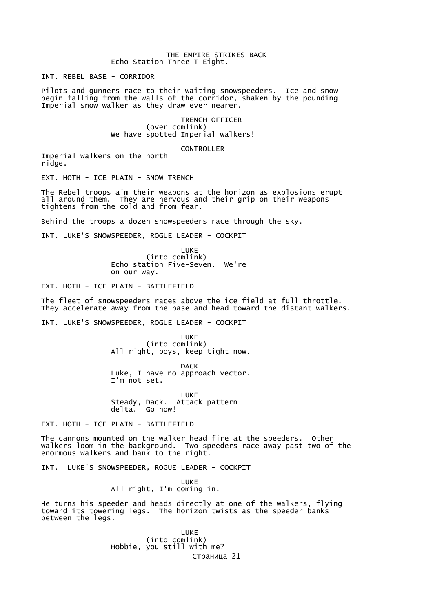# THE EMPIRE STRIKES BACK Echo Station Three-T-Eight.

INT. REBEL BASE - CORRIDOR

Pilots and gunners race to their waiting snowspeeders. Ice and snow begin falling from the walls of the corridor, shaken by the pounding Imperial snow walker as they draw ever nearer.

> TRENCH OFFICER (over comlink) We have spotted Imperial walkers!

## CONTROLLER

Imperial walkers on the north ridge.

EXT. HOTH - ICE PLAIN - SNOW TRENCH

The Rebel troops aim their weapons at the horizon as explosions erupt all around them. They are nervous and their grip on their weapons tightens from the cold and from fear.

Behind the troops a dozen snowspeeders race through the sky.

INT. LUKE'S SNOWSPEEDER, ROGUE LEADER - COCKPIT

 LUKE (into comlink) Echo station Five-Seven. We're on our way.

EXT. HOTH - ICE PLAIN - BATTLEFIELD

The fleet of snowspeeders races above the ice field at full throttle. They accelerate away from the base and head toward the distant walkers.

INT. LUKE'S SNOWSPEEDER, ROGUE LEADER - COCKPIT

**LUKE**  (into comlink) All right, boys, keep tight now.

**DACK** DACK Luke, I have no approach vector. I'm not set.

**LUKE**  Steady, Dack. Attack pattern delta. Go now!

EXT. HOTH - ICE PLAIN - BATTLEFIELD

The cannons mounted on the walker head fire at the speeders. Other walkers loom in the background. Two speeders race away past two of the enormous walkers and bank to the right.

INT. LUKE'S SNOWSPEEDER, ROGUE LEADER - COCKPIT

**LUKE** All right, I'm coming in.

He turns his speeder and heads directly at one of the walkers, flying toward its towering legs. The horizon twists as the speeder banks between the legs.

**LUKE**  (into comlink) Hobbie, you still with me? Страница 21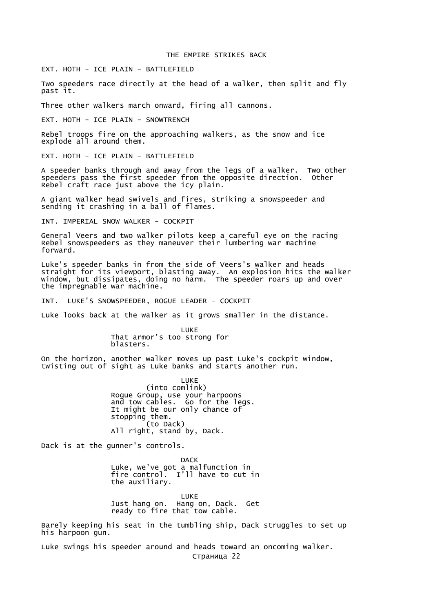EXT. HOTH - ICE PLAIN - BATTLEFIELD

Two speeders race directly at the head of a walker, then split and fly past it.

Three other walkers march onward, firing all cannons.

EXT. HOTH - ICE PLAIN - SNOWTRENCH

Rebel troops fire on the approaching walkers, as the snow and ice explode all around them.

EXT. HOTH - ICE PLAIN - BATTLEFIELD

A speeder banks through and away from the legs of a walker. Two other speeders pass the first speeder from the opposite direction. Other Rebel craft race just above the icy plain.

A giant walker head swivels and fires, striking a snowspeeder and sending it crashing in a ball of flames.

INT. IMPERIAL SNOW WALKER - COCKPIT

General Veers and two walker pilots keep a careful eye on the racing Rebel snowspeeders as they maneuver their lumbering war machine forward.

Luke's speeder banks in from the side of Veers's walker and heads straight for its viewport, blasting away. An explosion hits the walker window, but dissipates, doing no harm. The speeder roars up and over the impregnable war machine.

INT. LUKE'S SNOWSPEEDER, ROGUE LEADER - COCKPIT

Luke looks back at the walker as it grows smaller in the distance.

**LUKE**  That armor's too strong for blasters.

On the horizon, another walker moves up past Luke's cockpit window, twisting out of sight as Luke banks and starts another run.

**LUKE**  (into comlink) Rogue Group, use your harpoons and tow cables. Go for the legs. It might be our only chance of stopping them. (to Dack) All right, stand by, Dack.

Dack is at the gunner's controls.

**DACK DACK**  Luke, we've got a malfunction in fire control. I'll have to cut in the auxiliary.

LUKE<br>Hang on, Dack. Just hang on. Hang on, Dack. Get ready to fire that tow cable.

Barely keeping his seat in the tumbling ship, Dack struggles to set up his harpoon gun.

Luke swings his speeder around and heads toward an oncoming walker.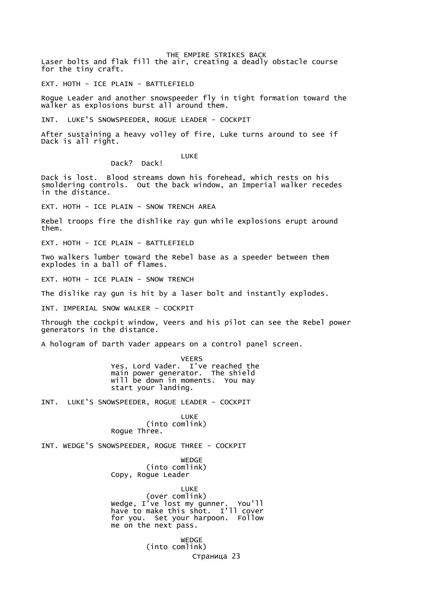Laser bolts and flak fill the air, creating a deadly obstacle course for the tiny craft.

EXT. HOTH - ICE PLAIN - BATTLEFIELD

Rogue Leader and another snowspeeder fly in tight formation toward the walker as explosions burst all around them.

INT. LUKE'S SNOWSPEEDER, ROGUE LEADER - COCKPIT

After sustaining a heavy volley of fire, Luke turns around to see if Dack is all right.

**LUKE** Dack? Dack!

Dack is lost. Blood streams down his forehead, which rests on his smoldering controls. Out the back window, an Imperial walker recedes in the distance.

EXT. HOTH - ICE PLAIN - SNOW TRENCH AREA

Rebel troops fire the dishlike ray gun while explosions erupt around them.

EXT. HOTH - ICE PLAIN - BATTLEFIELD

Two walkers lumber toward the Rebel base as a speeder between them explodes in a ball of flames.

EXT. HOTH - ICE PLAIN - SNOW TRENCH

The dislike ray gun is hit by a laser bolt and instantly explodes.

INT. IMPERIAL SNOW WALKER - COCKPIT

Through the cockpit window, Veers and his pilot can see the Rebel power generators in the distance.

A hologram of Darth Vader appears on a control panel screen.

**VEERS VEERS**  Yes, Lord Vader. I've reached the main power generator. The shield will be down in moments. You may start your landing.

INT. LUKE'S SNOWSPEEDER, ROGUE LEADER - COCKPIT

**LUKE**  (into comlink) Rogue Three.

INT. WEDGE'S SNOWSPEEDER, ROGUE THREE - COCKPIT

 WEDGE (into comlink) Copy, Rogue Leader

 LUKE (over comlink) Wedge, I've lost my gunner. You'll have to make this shot. I'll cover for you. Set your harpoon. Follow me on the next pass.

> WEDGE (into comlink) Страница 23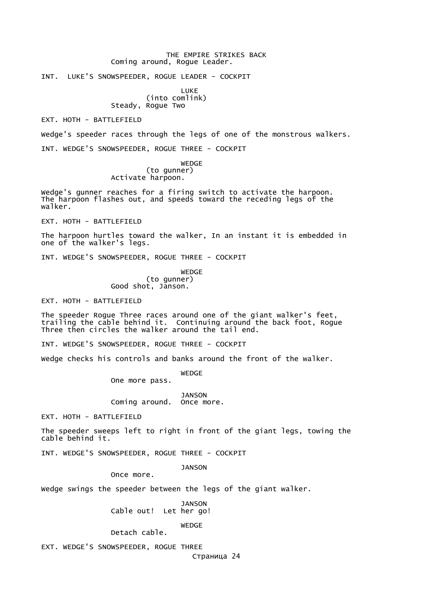# THE EMPIRE STRIKES BACK Coming around, Rogue Leader.

INT. LUKE'S SNOWSPEEDER, ROGUE LEADER - COCKPIT

**LUKE**  (into comlink) Steady, Rogue Two

EXT. HOTH - BATTLEFIELD

Wedge's speeder races through the legs of one of the monstrous walkers.

INT. WEDGE'S SNOWSPEEDER, ROGUE THREE - COCKPIT

 WEDGE (to gunner)

Activate harpoon.

Wedge's gunner reaches for a firing switch to activate the harpoon. The harpoon flashes out, and speeds toward the receding legs of the walker.

EXT. HOTH - BATTLEFIELD

The harpoon hurtles toward the walker, In an instant it is embedded in one of the walker's legs.

INT. WEDGE'S SNOWSPEEDER, ROGUE THREE - COCKPIT

**WEDGE**  (to gunner) Good shot, Janson.

EXT. HOTH - BATTLEFIELD

The speeder Rogue Three races around one of the giant walker's feet, trailing the cable behind it. Continuing around the back foot, Rogue Three then circles the walker around the tail end.

INT. WEDGE'S SNOWSPEEDER, ROGUE THREE - COCKPIT

Wedge checks his controls and banks around the front of the walker.

WEDGE

One more pass.

**JANSON** Coming around. Once more.

EXT. HOTH - BATTLEFIELD

The speeder sweeps left to right in front of the giant legs, towing the cable behind it.

INT. WEDGE'S SNOWSPEEDER, ROGUE THREE - COCKPIT

**JANSON** 

Once more.

Wedge swings the speeder between the legs of the giant walker.

**JANSON** Cable out! Let her go!

WEDGE

Detach cable.

EXT. WEDGE'S SNOWSPEEDER, ROGUE THREE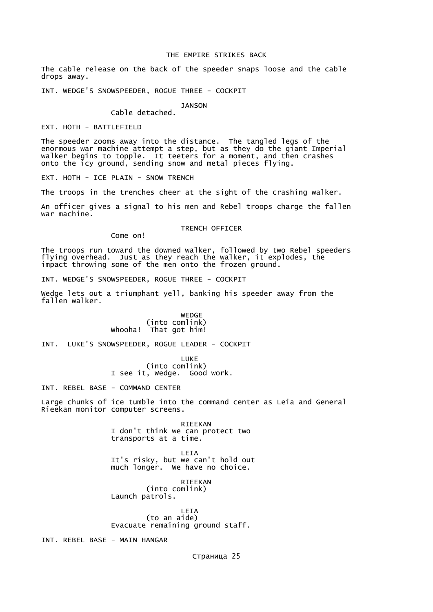The cable release on the back of the speeder snaps loose and the cable drops away.

INT. WEDGE'S SNOWSPEEDER, ROGUE THREE - COCKPIT

#### **JANSON** Cable detached.

EXT. HOTH - BATTLEFIELD

The speeder zooms away into the distance. The tangled legs of the enormous war machine attempt a step, but as they do the giant Imperial walker begins to topple. It teeters for a moment, and then crashes onto the icy ground, sending snow and metal pieces flying.

EXT. HOTH - ICE PLAIN - SNOW TRENCH

The troops in the trenches cheer at the sight of the crashing walker.

An officer gives a signal to his men and Rebel troops charge the fallen war machine.

TRENCH OFFICER

Come on!

The troops run toward the downed walker, followed by two Rebel speeders flying overhead. Just as they reach the walker, it explodes, the impact throwing some of the men onto the frozen ground.

INT. WEDGE'S SNOWSPEEDER, ROGUE THREE - COCKPIT

Wedge lets out a triumphant yell, banking his speeder away from the fallen walker.

> WEDGE (into comlink) Whooha! That got him!

INT. LUKE'S SNOWSPEEDER, ROGUE LEADER - COCKPIT

**LUKE**  (into comlink) I see it, Wedge. Good work.

INT. REBEL BASE - COMMAND CENTER

Large chunks of ice tumble into the command center as Leia and General Rieekan monitor computer screens.

> RIEEKAN I don't think we can protect two transports at a time.

 LEIA It's risky, but we can't hold out much longer. We have no choice.

> RIEEKAN (into comlink) Launch patrols.

**LEIA**  (to an aide) Evacuate remaining ground staff.

INT. REBEL BASE - MAIN HANGAR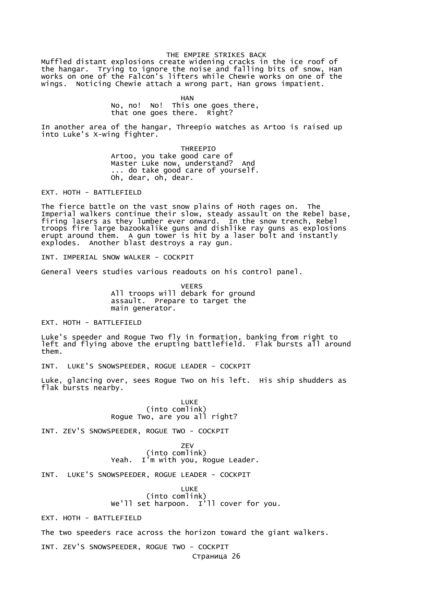Muffled distant explosions create widening cracks in the ice roof of the hangar. Trying to ignore the noise and falling bits of snow, Han works on one of the Falcon's lifters while Chewie works on one of the wings. Noticing Chewie attach a wrong part, Han grows impatient.

**HAN**  No, no! No! This one goes there, that one goes there. Right?

In another area of the hangar, Threepio watches as Artoo is raised up into Luke's X-wing fighter.

**THREEPIO**  Artoo, you take good care of Master Luke now, understand? And ... do take good care of yourself. Oh, dear, oh, dear.

## EXT. HOTH - BATTLEFIELD

The fierce battle on the vast snow plains of Hoth rages on. The Imperial walkers continue their slow, steady assault on the Rebel base, firing lasers as they lumber ever onward. In the snow trench, Rebel troops fire large bazookalike guns and dishlike ray guns as explosions erupt around them. A gun tower is hit by a laser bolt and instantly explodes. Another blast destroys a ray gun.

INT. IMPERIAL SNOW WALKER - COCKPIT

General Veers studies various readouts on his control panel.

**VEERS VEERS**  All troops will debark for ground assault. Prepare to target the main generator.

EXT. HOTH - BATTLEFIELD

Luke's speeder and Rogue Two fly in formation, banking from right to left and flying above the erupting battlefield. Flak bursts all around them.

INT. LUKE'S SNOWSPEEDER, ROGUE LEADER - COCKPIT

Luke, glancing over, sees Rogue Two on his left. His ship shudders as flak bursts nearby.

**LUKE**  (into comlink) Rogue Two, are you all right?

INT. ZEV'S SNOWSPEEDER, ROGUE TWO - COCKPIT

**ZEV** *ZEV*  (into comlink) Yeah. I'm with you, Rogue Leader.

INT. LUKE'S SNOWSPEEDER, ROGUE LEADER - COCKPIT

 LUKE (into comlink) We'll set harpoon. I'll cover for you.

EXT. HOTH - BATTLEFIELD

The two speeders race across the horizon toward the giant walkers.

INT. ZEV'S SNOWSPEEDER, ROGUE TWO - COCKPIT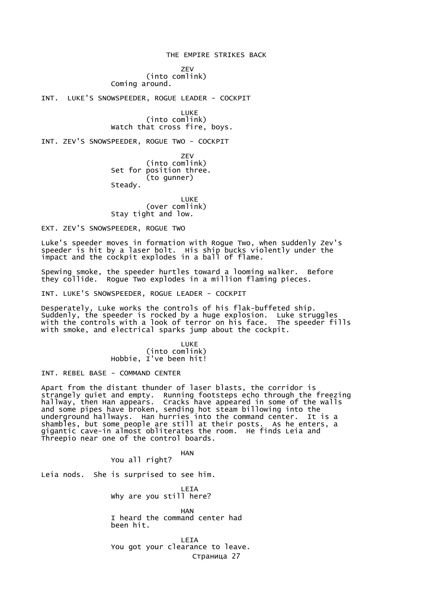**ZEV** *ZEV*  (into comlink) Coming around.

INT. LUKE'S SNOWSPEEDER, ROGUE LEADER - COCKPIT

**LUKE**  (into comlink) Watch that cross fire, boys.

INT. ZEV'S SNOWSPEEDER, ROGUE TWO - COCKPIT

**ZEV** *ZEV*  (into comlink) Set for position three. (to gunner) Steady.

**LUKE**  (over comlink) Stay tight and low.

EXT. ZEV'S SNOWSPEEDER, ROGUE TWO

Luke's speeder moves in formation with Rogue Two, when suddenly Zev's speeder is hit by a laser bolt. His ship bucks violently under the impact and the cockpit explodes in a ball of flame.

Spewing smoke, the speeder hurtles toward a looming walker. Before they collide. Rogue Two explodes in a million flaming pieces.

INT. LUKE'S SNOWSPEEDER, ROGUE LEADER - COCKPIT

Desperately, Luke works the controls of his flak-buffeted ship. Suddenly, the speeder is rocked by a huge explosion. Luke struggles with the controls with a look of terror on his face. The speeder fills with smoke, and electrical sparks jump about the cockpit.

**LUKE**  (into comlink) Hobbie, I've been hit!

INT. REBEL BASE - COMMAND CENTER

Apart from the distant thunder of laser blasts, the corridor is strangely quiet and empty. Running footsteps echo through the freezing hallway, then Han appears. Cracks have appeared in some of the walls and some pipes have broken, sending hot steam billowing into the underground hallways. Han hurries into the command center. It is a shambles, but some people are still at their posts. As he enters, a gigantic cave-in almost obliterates the room. He finds Leia and Threepio near one of the control boards.

**HAN** You all right?

Leia nods. She is surprised to see him.

**LEIA** Why are you still here?

**HAN**  I heard the command center had been hit.

**LEIA**  You got your clearance to leave. Страница 27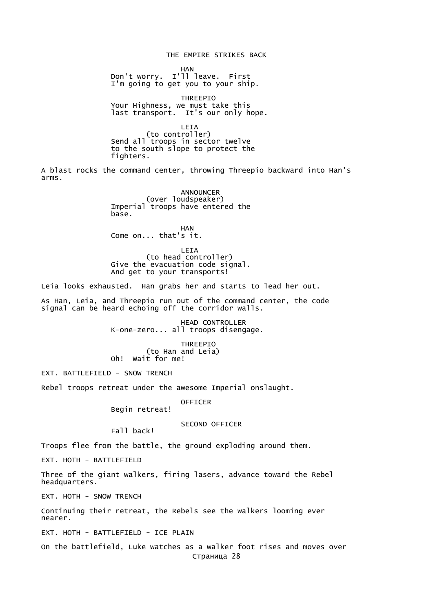**HAN**  Don't worry. I'll leave. First I'm going to get you to your ship.

 THREEPIO Your Highness, we must take this last transport. It's our only hope.

 LEIA (to controller) Send all troops in sector twelve to the south slope to protect the fighters.

A blast rocks the command center, throwing Threepio backward into Han's arms.

> ANNOUNCER (over loudspeaker) Imperial troops have entered the base.

**HAN** Come on... that's it.

 LEIA (to head controller) Give the evacuation code signal. And get to your transports!

Leia looks exhausted. Han grabs her and starts to lead her out.

As Han, Leia, and Threepio run out of the command center, the code signal can be heard echoing off the corridor walls.

> HEAD CONTROLLER K-one-zero... all troops disengage.

 THREEPIO (to Han and Leia)<br>Oh! Wait for me! Wait for me!

EXT. BATTLEFIELD - SNOW TRENCH

Rebel troops retreat under the awesome Imperial onslaught.

OFFICER

Begin retreat!

# SECOND OFFICER

Fall back!

Troops flee from the battle, the ground exploding around them.

EXT. HOTH - BATTLEFIELD

Three of the giant walkers, firing lasers, advance toward the Rebel headquarters.

EXT. HOTH - SNOW TRENCH

Continuing their retreat, the Rebels see the walkers looming ever nearer.

EXT. HOTH - BATTLEFIELD - ICE PLAIN

On the battlefield, Luke watches as a walker foot rises and moves over Страница 28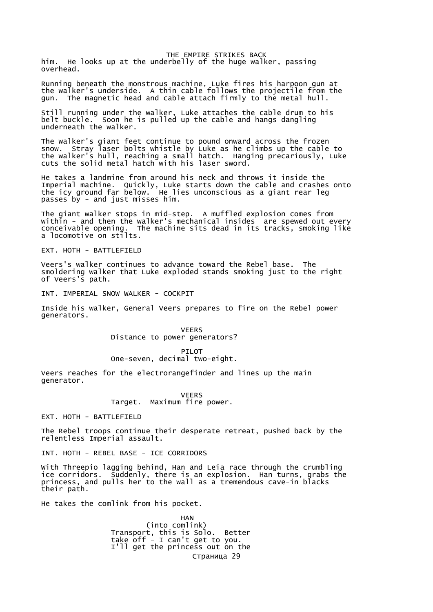him. He looks up at the underbelly of the huge walker, passing overhead.

Running beneath the monstrous machine, Luke fires his harpoon gun at the walker's underside. A thin cable follows the projectile from the gun. The magnetic head and cable attach firmly to the metal hull.

Still running under the walker, Luke attaches the cable drum to his belt buckle. Soon he is pulled up the cable and hangs dangling underneath the walker.

The walker's giant feet continue to pound onward across the frozen snow. Stray laser bolts whistle by Luke as he climbs up the cable to the walker's hull, reaching a small hatch. Hanging precariously, Luke cuts the solid metal hatch with his laser sword.

He takes a landmine from around his neck and throws it inside the Imperial machine. Quickly, Luke starts down the cable and crashes onto the icy ground far below. He lies unconscious as a giant rear leg passes by - and just misses him.

The giant walker stops in mid-step. A muffled explosion comes from within - and then the walker's mechanical insides are spewed out every conceivable opening. The machine sits dead in its tracks, smoking like a locomotive on stilts.

EXT. HOTH - BATTLEFIELD

Veers's walker continues to advance toward the Rebel base. The smoldering walker that Luke exploded stands smoking just to the right of Veers's path.

INT. IMPERIAL SNOW WALKER - COCKPIT

Inside his walker, General Veers prepares to fire on the Rebel power generators.

> VEERS Distance to power generators?

**PILOT PILOT** One-seven, decimal two-eight.

Veers reaches for the electrorangefinder and lines up the main generator.

> VEERS<br>Target. Maximum fire Maximum fire power.

EXT. HOTH - BATTLEFIELD

The Rebel troops continue their desperate retreat, pushed back by the relentless Imperial assault.

INT. HOTH - REBEL BASE - ICE CORRIDORS

With Threepio lagging behind, Han and Leia race through the crumbling ice corridors. Suddenly, there is an explosion. Han turns, grabs the princess, and pulls her to the wall as a tremendous cave-in blacks their path.

He takes the comlink from his pocket.

**HAN**  (into comlink) Transport, this is Solo. Better take off - I can't get to you. I'll get the princess out on the Страница 29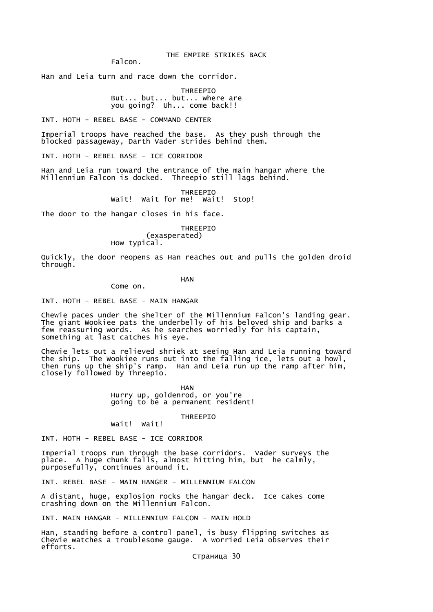Falcon.

Han and Leia turn and race down the corridor.

**THREEPTO** But... but... but... where are you going? Uh... come back!!

INT. HOTH - REBEL BASE - COMMAND CENTER

Imperial troops have reached the base. As they push through the blocked passageway, Darth Vader strides behind them.

INT. HOTH - REBEL BASE - ICE CORRIDOR

Han and Leia run toward the entrance of the main hangar where the Millennium Falcon is docked. Threepio still lags behind.

> THREEPIO Wait! Wait for me! Wait! Stop!

The door to the hangar closes in his face.

## THREEPIO (exasperated) How typical.

Quickly, the door reopens as Han reaches out and pulls the golden droid through.

**HAN** 

Come on.

INT. HOTH - REBEL BASE - MAIN HANGAR

Chewie paces under the shelter of the Millennium Falcon's landing gear. The giant Wookiee pats the underbelly of his beloved ship and barks a few reassuring words. As he searches worriedly for his captain, something at last catches his eye.

Chewie lets out a relieved shriek at seeing Han and Leia running toward the ship. The Wookiee runs out into the falling ice, lets out a howl, then runs up the ship's ramp. Han and Leia run up the ramp after him, closely followed by Threepio.

**HAN**  Hurry up, goldenrod, or you're going to be a permanent resident!

**THREEPTO** 

Wait! Wait!

INT. HOTH - REBEL BASE - ICE CORRIDOR

Imperial troops run through the base corridors. Vader surveys the place. A huge chunk falls, almost hitting him, but he calmly, purposefully, continues around it.

INT. REBEL BASE - MAIN HANGER - MILLENNIUM FALCON

A distant, huge, explosion rocks the hangar deck. Ice cakes come crashing down on the Millennium Falcon.

INT. MAIN HANGAR - MILLENNIUM FALCON - MAIN HOLD

Han, standing before a control panel, is busy flipping switches as Chewie watches a troublesome gauge. A worried Leia observes their efforts.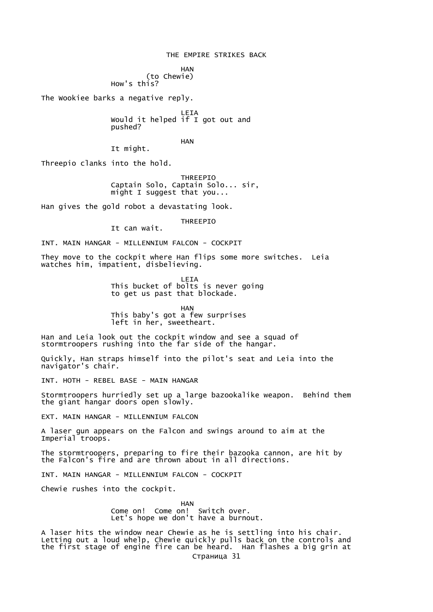**HAN**  (to Chewie) How's this?

The Wookiee barks a negative reply.

 LEIA Would it helped if I got out and pushed?

**HAN** 

It might.

Threepio clanks into the hold.

 THREEPIO Captain Solo, Captain Solo... sir, might I suggest that you...

Han gives the gold robot a devastating look.

THREEPIO

It can wait.

INT. MAIN HANGAR - MILLENNIUM FALCON - COCKPIT

They move to the cockpit where Han flips some more switches. Leia watches him, impatient, disbelieving.

 LEIA This bucket of bolts is never going to get us past that blockade.

**HAN**  This baby's got a few surprises left in her, sweetheart.

Han and Leia look out the cockpit window and see a squad of stormtroopers rushing into the far side of the hangar.

Quickly, Han straps himself into the pilot's seat and Leia into the navigator's chair.

INT. HOTH - REBEL BASE - MAIN HANGAR

Stormtroopers hurriedly set up a large bazookalike weapon. Behind them the giant hangar doors open slowly.

EXT. MAIN HANGAR - MILLENNIUM FALCON

A laser gun appears on the Falcon and swings around to aim at the Imperial troops.

The stormtroopers, preparing to fire their bazooka cannon, are hit by the Falcon's fire and are thrown about in all directions.

INT. MAIN HANGAR - MILLENNIUM FALCON - COCKPIT

Chewie rushes into the cockpit.

**HAN**  Come on! Come on! Switch over. Let's hope we don't have a burnout.

A laser hits the window near Chewie as he is settling into his chair. Letting out a loud whelp, Chewie quickly pulls back on the controls and the first stage of engine fire can be heard. Han flashes a big grin at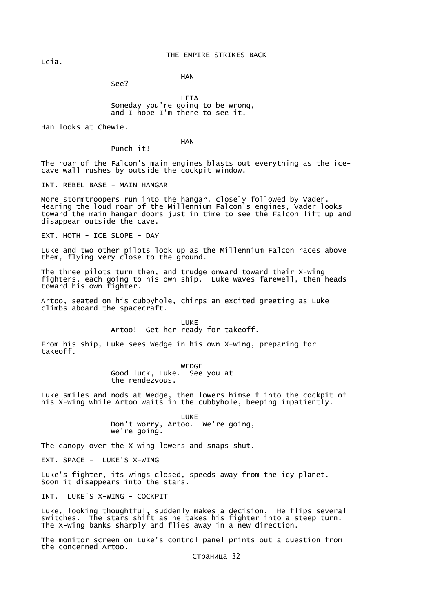**HAN** See?

Punch it!

 LEIA Someday you're going to be wrong, and I hope I'm there to see it.

Han looks at Chewie.

**HAN** 

The roar of the Falcon's main engines blasts out everything as the icecave wall rushes by outside the cockpit window.

INT. REBEL BASE - MAIN HANGAR

More stormtroopers run into the hangar, closely followed by Vader. Hearing the loud roar of the Millennium Falcon's engines, Vader looks toward the main hangar doors just in time to see the Falcon lift up and disappear outside the cave.

EXT. HOTH - ICE SLOPE - DAY

Luke and two other pilots look up as the Millennium Falcon races above them, flying very close to the ground.

The three pilots turn then, and trudge onward toward their X-wing fighters, each going to his own ship. Luke waves farewell, then heads toward his own fighter.

Artoo, seated on his cubbyhole, chirps an excited greeting as Luke climbs aboard the spacecraft.

**LUKE** Artoo! Get her ready for takeoff.

From his ship, Luke sees Wedge in his own X-wing, preparing for takeoff.

> WEDGE Good luck, Luke. See you at the rendezvous.

Luke smiles and nods at Wedge, then lowers himself into the cockpit of his X-wing while Artoo waits in the cubbyhole, beeping impatiently.

> LUKE Don't worry, Artoo. We're going, we're going.

The canopy over the X-wing lowers and snaps shut.

EXT. SPACE - LUKE'S X-WING

Luke's fighter, its wings closed, speeds away from the icy planet. Soon it disappears into the stars.

INT. LUKE'S X-WING - COCKPIT

Luke, looking thoughtful, suddenly makes a decision. He flips several switches. The stars shift as he takes his fighter into a steep turn. The X-wing banks sharply and flies away in a new direction.

The monitor screen on Luke's control panel prints out a question from the concerned Artoo.

Страница 32

Leia.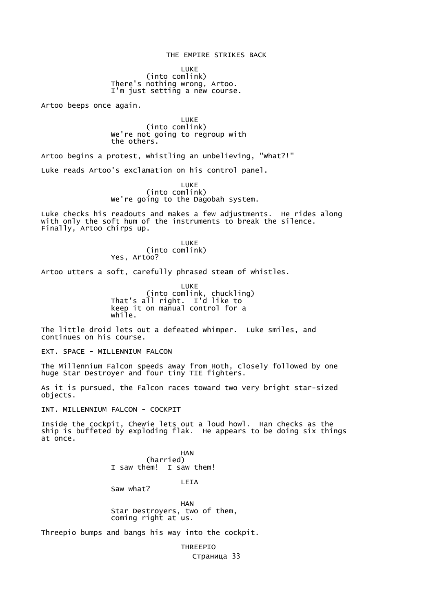**LUKE**  (into comlink) There's nothing wrong, Artoo. I'm just setting a new course.

Artoo beeps once again.

**LUKE**  (into comlink) We're not going to regroup with the others.

Artoo begins a protest, whistling an unbelieving, "What?!"

Luke reads Artoo's exclamation on his control panel.

**LUKE**  (into comlink) We're going to the Dagobah system.

Luke checks his readouts and makes a few adjustments. He rides along with only the soft hum of the instruments to break the silence. Finally, Artoo chirps up.

**LUKE**  (into comlink) Yes, Artoo?

Artoo utters a soft, carefully phrased steam of whistles.

**LUKE**  (into comlink, chuckling) That's all right. I'd like to keep it on manual control for a while.

The little droid lets out a defeated whimper. Luke smiles, and continues on his course.

EXT. SPACE - MILLENNIUM FALCON

The Millennium Falcon speeds away from Hoth, closely followed by one huge Star Destroyer and four tiny TIE fighters.

As it is pursued, the Falcon races toward two very bright star-sized objects.

INT. MILLENNIUM FALCON - COCKPIT

Inside the cockpit, Chewie lets out a loud howl. Han checks as the ship is buffeted by exploding flak. He appears to be doing six things at once.

**HAN**  (harried) I saw them! I saw them!

LEIA

Saw what?

**HAN**  Star Destroyers, two of them, coming right at us.

Threepio bumps and bangs his way into the cockpit.

THREEPIO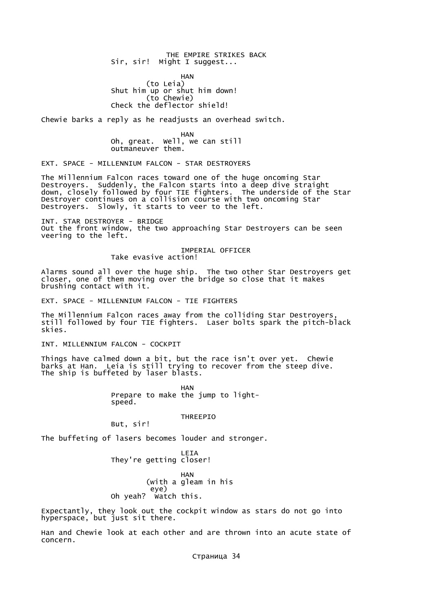THE EMPIRE STRIKES BACK Sir, sir! Might I suggest...

**HAN**  (to Leia) Shut him up or shut him down! (to Chewie) Check the deflector shield!

Chewie barks a reply as he readjusts an overhead switch.

**HAN**  Oh, great. Well, we can still outmaneuver them.

EXT. SPACE - MILLENNIUM FALCON - STAR DESTROYERS

The Millennium Falcon races toward one of the huge oncoming Star Destroyers. Suddenly, the Falcon starts into a deep dive straight down, closely followed by four TIE fighters. The underside of the Star Destroyer continues on a collision course with two oncoming Star Destroyers. Slowly, it starts to veer to the left.

INT. STAR DESTROYER - BRIDGE Out the front window, the two approaching Star Destroyers can be seen veering to the left.

IMPERIAL OFFICER

Take evasive action!

Alarms sound all over the huge ship. The two other Star Destroyers get closer, one of them moving over the bridge so close that it makes brushing contact with it.

EXT. SPACE - MILLENNIUM FALCON - TIE FIGHTERS

The Millennium Falcon races away from the colliding Star Destroyers, still followed by four TIE fighters. Laser bolts spark the pitch-black skies.

INT. MILLENNIUM FALCON - COCKPIT

Things have calmed down a bit, but the race isn't over yet. Chewie barks at Han. Leia is still trying to recover from the steep dive. The ship is buffeted by laser blasts.

**HAN**  Prepare to make the jump to light speed.

THREEPIO

But, sir!

The buffeting of lasers becomes louder and stronger.

 LEIA They're getting closer! **HAN**  (with a gleam in his eye) Oh yeah? Watch this.

Expectantly, they look out the cockpit window as stars do not go into hyperspace, but just sit there.

Han and Chewie look at each other and are thrown into an acute state of concern.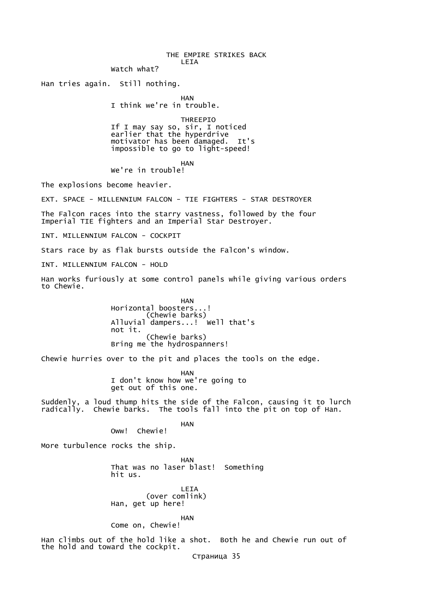THE EMPIRE STRIKES BACK LEIA Watch what? Han tries again. Still nothing. **HAN**  I think we're in trouble. **THREEPIO**  If I may say so, sir, I noticed earlier that the hyperdrive motivator has been damaged. It's impossible to go to light-speed! **HAN**  We're in trouble! The explosions become heavier. EXT. SPACE - MILLENNIUM FALCON - TIE FIGHTERS - STAR DESTROYER The Falcon races into the starry vastness, followed by the four Imperial TIE fighters and an Imperial Star Destroyer. INT. MILLENNIUM FALCON - COCKPIT Stars race by as flak bursts outside the Falcon's window. INT. MILLENNIUM FALCON - HOLD Han works furiously at some control panels while giving various orders to Chewie. **HAN**  Horizontal boosters...! (Chewie barks) Alluvial dampers...! Well that's not it. (Chewie barks) Bring me the hydrospanners! Chewie hurries over to the pit and places the tools on the edge. **HAN**  I don't know how we're going to get out of this one. Suddenly, a loud thump hits the side of the Falcon, causing it to lurch radically. Chewie barks. The tools fall into the pit on top of Han. **HAN**  Oww! Chewie! More turbulence rocks the ship. **HAN**  That was no laser blast! Something hit us. LEIA (over comlink) Han, get up here! **HAN**  Come on, Chewie! Han climbs out of the hold like a shot. Both he and Chewie run out of the hold and toward the cockpit.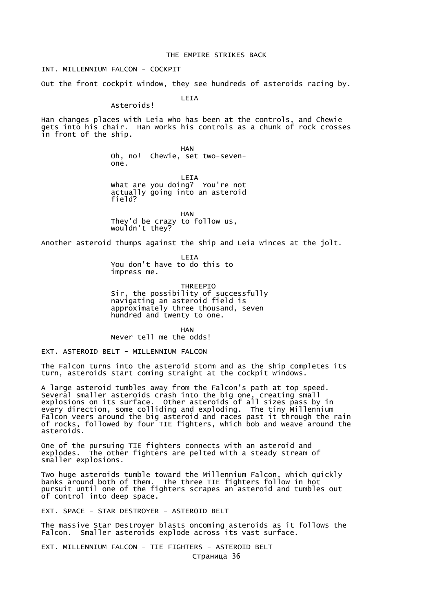INT. MILLENNIUM FALCON - COCKPIT

Asteroids!

Out the front cockpit window, they see hundreds of asteroids racing by.

LEIA

Han changes places with Leia who has been at the controls, and Chewie gets into his chair. Han works his controls as a chunk of rock crosses in front of the ship.

**HAN**  Oh, no! Chewie, set two-seven one.

> LEIA<br>ng? You're not What are you doing? actually going into an asteroid field?

**HAN**  They'd be crazy to follow us, wouldn't they?

Another asteroid thumps against the ship and Leia winces at the jolt.

**LEIA**  You don't have to do this to impress me.

> THREEPIO Sir, the possibility of successfully navigating an asteroid field is approximately three thousand, seven hundred and twenty to one.

**HAN** 

Never tell me the odds!

EXT. ASTEROID BELT - MILLENNIUM FALCON

The Falcon turns into the asteroid storm and as the ship completes its turn, asteroids start coming straight at the cockpit windows.

A large asteroid tumbles away from the Falcon's path at top speed. Several smaller asteroids crash into the big one, creating small explosions on its surface. Other asteroids of all sizes pass by in every direction, some colliding and exploding. The tiny Millennium Falcon veers around the big asteroid and races past it through the rain of rocks, followed by four TIE fighters, which bob and weave around the asteroids.

One of the pursuing TIE fighters connects with an asteroid and explodes. The other fighters are pelted with a steady stream of smaller explosions.

Two huge asteroids tumble toward the Millennium Falcon, which quickly banks around both of them. The three TIE fighters follow in hot pursuit until one of the fighters scrapes an asteroid and tumbles out of control into deep space.

EXT. SPACE - STAR DESTROYER - ASTEROID BELT

The massive Star Destroyer blasts oncoming asteroids as it follows the Falcon. Smaller asteroids explode across its vast surface.

EXT. MILLENNIUM FALCON - TIE FIGHTERS - ASTEROID BELT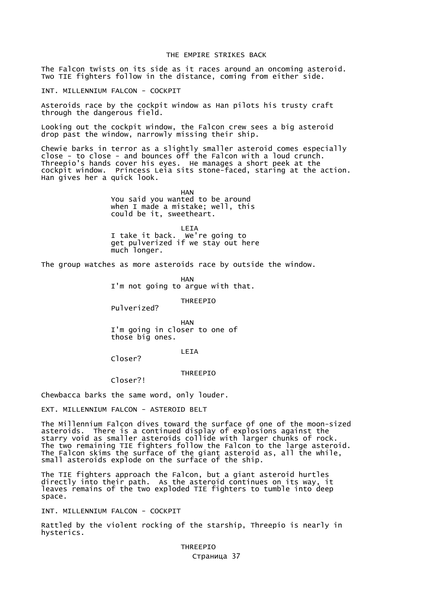#### THE EMPIRE STRIKES BACK

The Falcon twists on its side as it races around an oncoming asteroid. Two TIE fighters follow in the distance, coming from either side.

INT. MILLENNIUM FALCON - COCKPIT

Asteroids race by the cockpit window as Han pilots his trusty craft through the dangerous field.

Looking out the cockpit window, the Falcon crew sees a big asteroid drop past the window, narrowly missing their ship.

Chewie barks in terror as a slightly smaller asteroid comes especially close - to close - and bounces off the Falcon with a loud crunch. Threepio's hands cover his eyes. He manages a short peek at the cockpit window. Princess Leia sits stone-faced, staring at the action. Han gives her a quick look.

**HAN**  You said you wanted to be around when I made a mistake; well, this could be it, sweetheart.

 LEIA I take it back. We're going to get pulverized if we stay out here much longer.

The group watches as more asteroids race by outside the window.

**HAN** I'm not going to argue with that.

THREEPIO

Pulverized?

**HAN**  I'm going in closer to one of those big ones.

LEIA

Closer?

# THREEPIO

Closer?!

Chewbacca barks the same word, only louder.

EXT. MILLENNIUM FALCON - ASTEROID BELT

The Millennium Falcon dives toward the surface of one of the moon-sized asteroids. There is a continued display of explosions against the starry void as smaller asteroids collide with larger chunks of rock. The two remaining TIE fighters follow the Falcon to the large asteroid. The Falcon skims the surface of the giant asteroid as, all the while, small asteroids explode on the surface of the ship.

The TIE fighters approach the Falcon, but a giant asteroid hurtles directly into their path. As the asteroid continues on its way, it leaves remains of the two exploded TIE fighters to tumble into deep space.

INT. MILLENNIUM FALCON - COCKPIT

Rattled by the violent rocking of the starship, Threepio is nearly in hysterics.

THREEPIO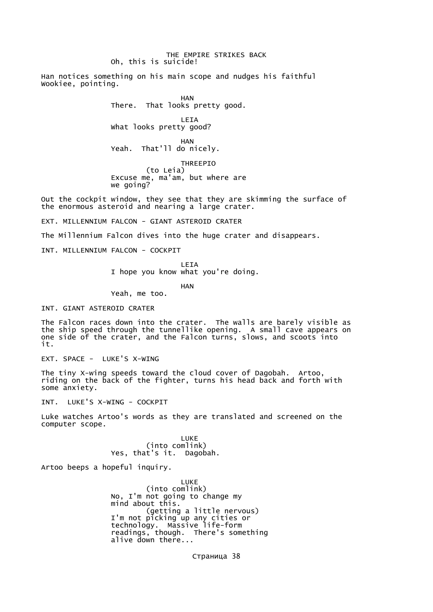#### THE EMPIRE STRIKES BACK Oh, this is suicide!

Han notices something on his main scope and nudges his faithful Wookiee, pointing.

**HAN** There. That looks pretty good.

**LEIA** What looks pretty good?

**HAN** Yeah. That'll do nicely.

> THREEPIO (to Leia) Excuse me, ma'am, but where are we going?

Out the cockpit window, they see that they are skimming the surface of the enormous asteroid and nearing a large crater.

EXT. MILLENNIUM FALCON - GIANT ASTEROID CRATER

Yeah, me too.

The Millennium Falcon dives into the huge crater and disappears.

INT. MILLENNIUM FALCON - COCKPIT

LEIA

I hope you know what you're doing.

**HAN** 

INT. GIANT ASTEROID CRATER

The Falcon races down into the crater. The walls are barely visible as the ship speed through the tunnellike opening. A small cave appears on one side of the crater, and the Falcon turns, slows, and scoots into it.

EXT. SPACE - LUKE'S X-WING

The tiny X-wing speeds toward the cloud cover of Dagobah. Artoo, riding on the back of the fighter, turns his head back and forth with some anxiety.

INT. LUKE'S X-WING - COCKPIT

Luke watches Artoo's words as they are translated and screened on the computer scope.

**LUKE**  (into comlink) Yes, that's it. Dagobah.

Artoo beeps a hopeful inquiry.

**LUKE**  (into comlink) No, I'm not going to change my mind about this. (getting a little nervous) I'm not picking up any cities or technology. Massive life-form readings, though. There's something alive down there...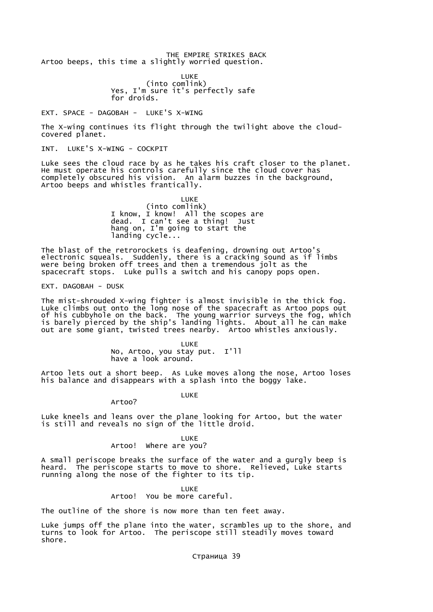THE EMPIRE STRIKES BACK Artoo beeps, this time a slightly worried question.

**LUKE**  (into comlink) Yes, I'm sure it's perfectly safe for droids.

EXT. SPACE - DAGOBAH - LUKE'S X-WING

The X-wing continues its flight through the twilight above the cloudcovered planet.

INT. LUKE'S X-WING - COCKPIT

Luke sees the cloud race by as he takes his craft closer to the planet. He must operate his controls carefully since the cloud cover has completely obscured his vision. An alarm buzzes in the background, Artoo beeps and whistles frantically.

**LUKE**  (into comlink) I know, I know! All the scopes are dead. I can't see a thing! Just hang on, I'm going to start the landing cycle...

The blast of the retrorockets is deafening, drowning out Artoo's electronic squeals. Suddenly, there is a cracking sound as if limbs were being broken off trees and then a tremendous jolt as the spacecraft stops. Luke pulls a switch and his canopy pops open.

EXT. DAGOBAH - DUSK

The mist-shrouded X-wing fighter is almost invisible in the thick fog. Luke climbs out onto the long nose of the spacecraft as Artoo pops out of his cubbyhole on the back. The young warrior surveys the fog, which is barely pierced by the ship's landing lights. About all he can make out are some giant, twisted trees nearby. Artoo whistles anxiously.

**LUKE**  No, Artoo, you stay put. I'll have a look around.

Artoo lets out a short beep. As Luke moves along the nose, Artoo loses his balance and disappears with a splash into the boggy lake.

**LUKE** Artoo?

Luke kneels and leans over the plane looking for Artoo, but the water is still and reveals no sign of the little droid.

**LUKE** Artoo! Where are you?

A small periscope breaks the surface of the water and a gurgly beep is heard. The periscope starts to move to shore. Relieved, Luke starts running along the nose of the fighter to its tip.

**LUKE** Artoo! You be more careful.

The outline of the shore is now more than ten feet away.

Luke jumps off the plane into the water, scrambles up to the shore, and turns to look for Artoo. The periscope still steadily moves toward shore.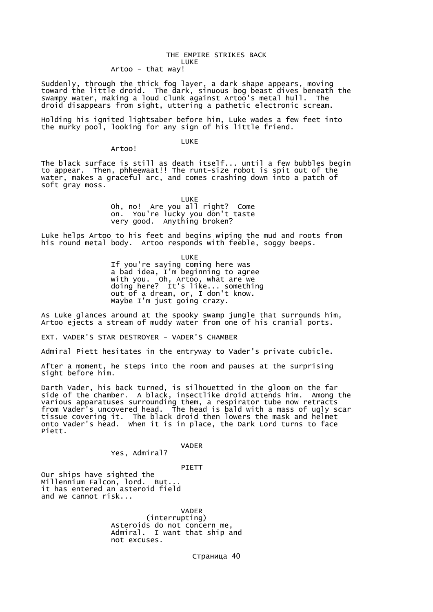## THE EMPIRE STRIKES BACK **LUKE** Artoo - that way!

Suddenly, through the thick fog layer, a dark shape appears, moving toward the little droid. The dark, sinuous bog beast dives beneath the swampy water, making a loud clunk against Artoo's metal hull. The droid disappears from sight, uttering a pathetic electronic scream.

Holding his ignited lightsaber before him, Luke wades a few feet into the murky pool, looking for any sign of his little friend.

# **LUKE**

The black surface is still as death itself... until a few bubbles begin to appear. Then, phheewaat!! The runt-size robot is spit out of the water, makes a graceful arc, and comes crashing down into a patch of soft gray moss.

**LUKE**  Oh, no! Are you all right? Come on. You're lucky you don't taste very good. Anything broken?

Luke helps Artoo to his feet and begins wiping the mud and roots from his round metal body. Artoo responds with feeble, soggy beeps.

 LUKE If you're saying coming here was a bad idea, I'm beginning to agree with you. Oh, Artoo, what are we doing here? It's like... something out of a dream, or, I don't know. Maybe I'm just going crazy.

As Luke glances around at the spooky swamp jungle that surrounds him, Artoo ejects a stream of muddy water from one of his cranial ports.

EXT. VADER'S STAR DESTROYER - VADER'S CHAMBER

Artoo!

Admiral Piett hesitates in the entryway to Vader's private cubicle.

After a moment, he steps into the room and pauses at the surprising sight before him.

Darth Vader, his back turned, is silhouetted in the gloom on the far side of the chamber. A black, insectlike droid attends him. Among the various apparatuses surrounding them, a respirator tube now retracts from Vader's uncovered head. The head is bald with a mass of ugly scar tissue covering it. The black droid then lowers the mask and helmet onto Vader's head. When it is in place, the Dark Lord turns to face Piett.

VADER

Yes, Admiral?

#### PIETT

Our ships have sighted the Millennium Falcon, lord. But. it has entered an asteroid field and we cannot risk...

> VADER (interrupting) Asteroids do not concern me, Admiral. I want that ship and not excuses.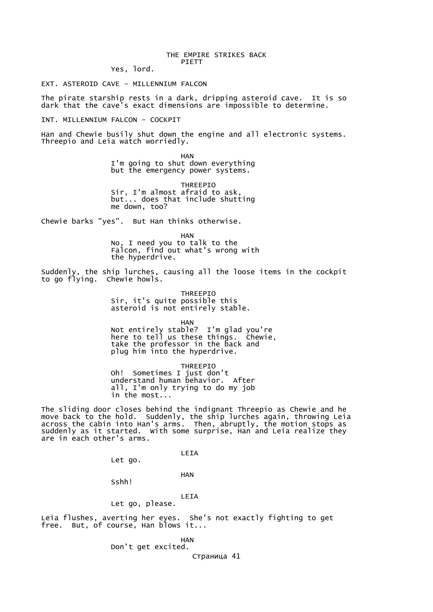# THE EMPIRE STRIKES BACK **PIETT** *PIETT*

Yes, lord.

EXT. ASTEROID CAVE - MILLENNIUM FALCON

The pirate starship rests in a dark, dripping asteroid cave. It is so dark that the cave's exact dimensions are impossible to determine.

INT. MILLENNIUM FALCON - COCKPIT

Han and Chewie busily shut down the engine and all electronic systems. Threepio and Leia watch worriedly.

**HAN**  I'm going to shut down everything but the emergency power systems.

> THREEPIO Sir, I'm almost afraid to ask, but... does that include shutting me down, too?

Chewie barks "yes". But Han thinks otherwise.

**HAN**  No, I need you to talk to the Falcon, find out what's wrong with the hyperdrive.

Suddenly, the ship lurches, causing all the loose items in the cockpit to go flying. Chewie howls.

**THREEPIO**  Sir, it's quite possible this asteroid is not entirely stable.

**HAN**  Not entirely stable? I'm glad you're here to tell us these things. Chewie, take the professor in the back and plug him into the hyperdrive.

 THREEPIO Oh! Sometimes I just don't understand human behavior. After all, I'm only trying to do my job in the most...

The sliding door closes behind the indignant Threepio as Chewie and he move back to the hold. Suddenly, the ship lurches again, throwing Leia across the cabin into Han's arms. Then, abruptly, the motion stops as suddenly as it started. With some surprise, Han and Leia realize they are in each other's arms.

LEIA

Let go.

**HAN** 

Sshh!

# LEIA

Let go, please.

Leia flushes, averting her eyes. She's not exactly fighting to get free. But, of course, Han blows it...

**HAN** Don't get excited.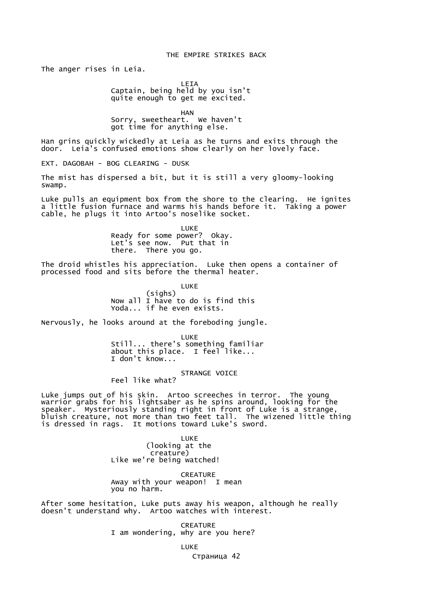The anger rises in Leia.

 LEIA Captain, being held by you isn't quite enough to get me excited.

**HAN**  Sorry, sweetheart. We haven't got time for anything else.

Han grins quickly wickedly at Leia as he turns and exits through the door. Leia's confused emotions show clearly on her lovely face.

EXT. DAGOBAH - BOG CLEARING - DUSK

The mist has dispersed a bit, but it is still a very gloomy-looking swamp.

Luke pulls an equipment box from the shore to the clearing. He ignites a little fusion furnace and warms his hands before it. Taking a power cable, he plugs it into Artoo's noselike socket.

**LUKE**  Ready for some power? Okay. Let's see now. Put that in there. There you go.

The droid whistles his appreciation. Luke then opens a container of processed food and sits before the thermal heater.

**LUKE**  (sighs) Now all I have to do is find this Yoda... if he even exists.

Nervously, he looks around at the foreboding jungle.

**LUKE**  Still... there's something familiar about this place. I feel like... I don't know...

STRANGE VOICE

Feel like what?

Luke jumps out of his skin. Artoo screeches in terror. The young warrior grabs for his lightsaber as he spins around, looking for the speaker. Mysteriously standing right in front of Luke is a strange, bluish creature, not more than two feet tall. The wizened little thing is dressed in rags. It motions toward Luke's sword.

> LUKE (looking at the creature) Like we're being watched!

 CREATURE Away with your weapon! I mean you no harm.

After some hesitation, Luke puts away his weapon, although he really doesn't understand why. Artoo watches with interest.

> **CREATURE** I am wondering, why are you here?

**LUKE**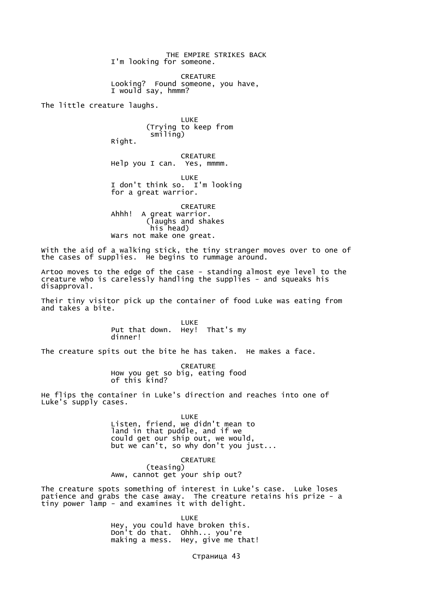THE EMPIRE STRIKES BACK I'm looking for someone.

 CREATURE Looking? Found someone, you have, I would say, hmmm?

The little creature laughs.

**LUKE**  (Trying to keep from smiling) Right. CREATURE Help you I can. Yes, mmmm. LUKE I don't think so. I'm looking for a great warrior. CREATURE<br>Ahhh! A great warrior. A great warrior.

(laughs and shakes his head) Wars not make one great.

With the aid of a walking stick, the tiny stranger moves over to one of the cases of supplies. He begins to rummage around.

Artoo moves to the edge of the case - standing almost eye level to the creature who is carelessly handling the supplies - and squeaks his disapproval.

Their tiny visitor pick up the container of food Luke was eating from and takes a bite.

**LUKE**  Put that down. Hey! That's my dinner!

The creature spits out the bite he has taken. He makes a face.

 CREATURE How you get so big, eating food of this kind?

He flips the container in Luke's direction and reaches into one of Luke's supply cases.

**LUKE**  Listen, friend, we didn't mean to land in that puddle, and if we could get our ship out, we would, but we can't, so why don't you just...

> CREATURE (teasing) Aww, cannot get your ship out?

The creature spots something of interest in Luke's case. Luke loses patience and grabs the case away. The creature retains his prize - a tiny power lamp - and examines it with delight.

**LUKE**  Hey, you could have broken this. Don't do that. Ohhh... you're making a mess. Hey, give me that!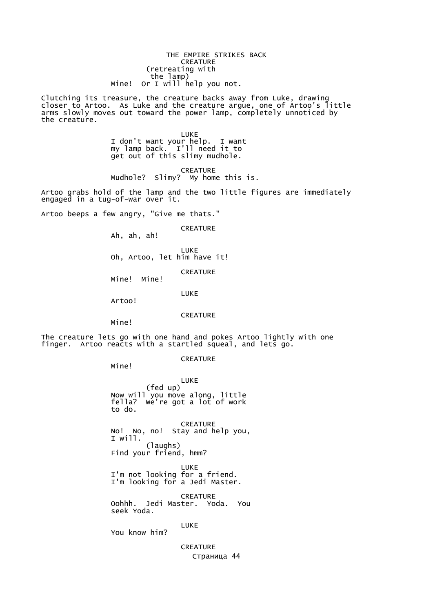### THE EMPIRE STRIKES BACK **CREATURE**  (retreating with the lamp) Mine! Or I will help you not.

Clutching its treasure, the creature backs away from Luke, drawing closer to Artoo. As Luke and the creature argue, one of Artoo's little arms slowly moves out toward the power lamp, completely unnoticed by the creature.

**LUKE**  I don't want your help. I want my lamp back. I'll need it to get out of this slimy mudhole.

> CREATURE Mudhole? Slimy? My home this is.

Artoo grabs hold of the lamp and the two little figures are immediately engaged in a tug-of-war over it.

Artoo beeps a few angry, "Give me thats."

**CREATURE** Ah, ah, ah!

LUKE

Oh, Artoo, let him have it!

**CREATURE** Mine! Mine!

**LUKE** 

Artoo!

#### CREATURE

Mine!

Mine!

The creature lets go with one hand and pokes Artoo lightly with one finger. Artoo reacts with a startled squeal, and lets go.

CREATURE

**LUKE**  (fed up) Now will you move along, little fella? We're got a lot of work to do.

> CREATURE<br>No, no! Stay and h No! No, no! Stay and help you, I will. (laughs) Find your friend, hmm?

**LUKE**  I'm not looking for a friend. I'm looking for a Jedi Master.

> CREATURE Oohhh. Jedi Master. Yoda. You seek Yoda.

**LUKE** 

You know him?

**CREATURE** Страница 44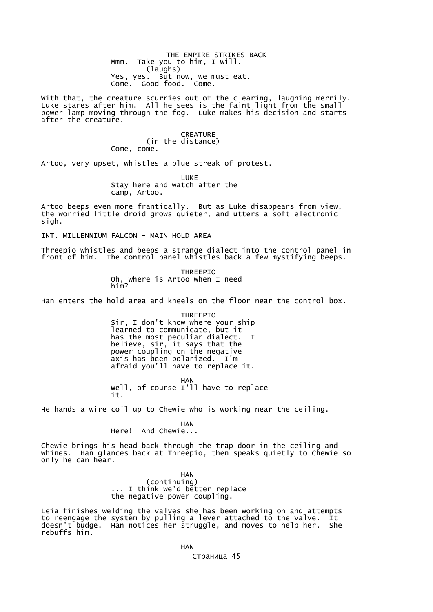THE EMPIRE STRIKES BACK Mmm. Take you to him, I will. (laughs) Yes, yes. But now, we must eat. Come. Good food. Come.

With that, the creature scurries out of the clearing, laughing merrily. Luke stares after him. All he sees is the faint light from the small power lamp moving through the fog. Luke makes his decision and starts after the creature.

> **CREATURE**  (in the distance) Come, come.

Artoo, very upset, whistles a blue streak of protest.

 LUKE Stay here and watch after the camp, Artoo.

Artoo beeps even more frantically. But as Luke disappears from view, the worried little droid grows quieter, and utters a soft electronic sigh.

INT. MILLENNIUM FALCON - MAIN HOLD AREA

Threepio whistles and beeps a strange dialect into the control panel in front of him. The control panel whistles back a few mystifying beeps.

> THREEPIO Oh, where is Artoo when I need him?

Han enters the hold area and kneels on the floor near the control box.

**THREEPIO**  Sir, I don't know where your ship learned to communicate, but it has the most peculiar dialect. I believe, sir, it says that the power coupling on the negative axis has been polarized. I'm afraid you'll have to replace it.

**HAN**  Well, of course I'll have to replace it.

He hands a wire coil up to Chewie who is working near the ceiling.

**HAN** Here! And Chewie...

Chewie brings his head back through the trap door in the ceiling and whines. Han glances back at Threepio, then speaks quietly to Chewie so only he can hear.

**HAN**  (continuing) . I think we'd better replace the negative power coupling.

Leia finishes welding the valves she has been working on and attempts to reengage the system by pulling a lever attached to the valve. It doesn't budge. Han notices her struggle, and moves to help her. She rebuffs him.

# **HAN**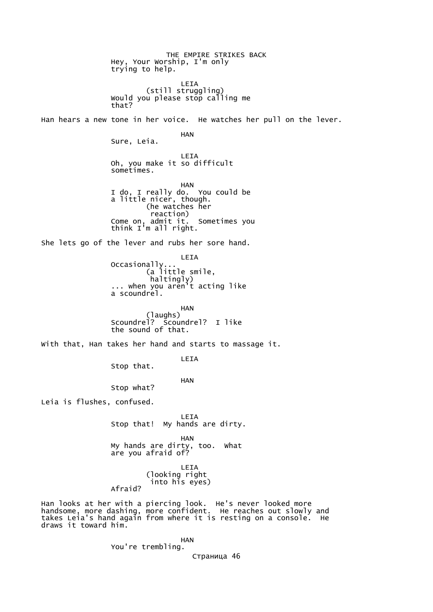THE EMPIRE STRIKES BACK Hey, Your Worship, I'm only trying to help. LEIA (still struggling) Would you please stop calling me that? Han hears a new tone in her voice. He watches her pull on the lever. **HAN**  Sure, Leia. LEIA Oh, you make it so difficult sometimes. **HAN**  I do, I really do. You could be a little nicer, though. (he watches her reaction) Come on, admit it. Sometimes you think I'm all right. She lets go of the lever and rubs her sore hand. **LEIA**  Occasionally... (a little smile, haltingly) ... when you aren't acting like a scoundrel. **HAN**  (laughs) Scoundrel? Scoundrel? I like the sound of that. With that, Han takes her hand and starts to massage it. LEIA Stop that. **HAN**  Stop what? Leia is flushes, confused. LEIA Stop that! My hands are dirty. **HAN**  My hands are dirty, too. What are you afraid of? LEIA (looking right into his eyes) Afraid? Han looks at her with a piercing look. He's never looked more handsome, more dashing, more confident. He reaches out slowly and takes Leia's hand again from where it is resting on a console. He draws it toward him.

**HAN** You're trembling.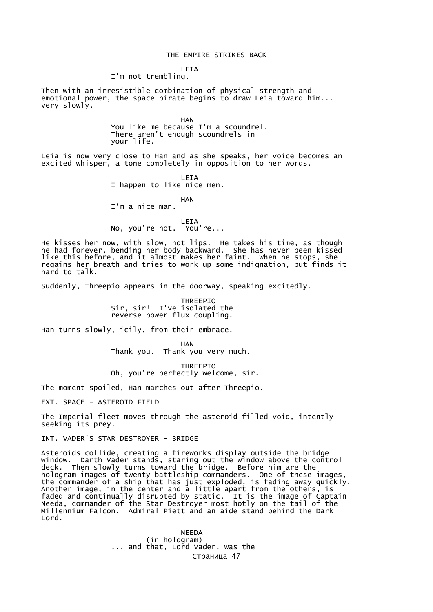#### THE EMPIRE STRIKES BACK

#### LEIA

I'm not trembling.

Then with an irresistible combination of physical strength and emotional power, the space pirate begins to draw Leia toward him... very slowly.

**HAN**  You like me because I'm a scoundrel. There aren't enough scoundrels in your life.

Leia is now very close to Han and as she speaks, her voice becomes an excited whisper, a tone completely in opposition to her words.

 LEIA I happen to like nice men. **HAN** I'm a nice man.

**LEIA** No, you're not. You're...

He kisses her now, with slow, hot lips. He takes his time, as though he had forever, bending her body backward. She has never been kissed like this before, and it almost makes her faint. When he stops, she regains her breath and tries to work up some indignation, but finds it hard to talk.

Suddenly, Threepio appears in the doorway, speaking excitedly.

 THREEPIO Sir, sir! I've isolated the reverse power flux coupling.

Han turns slowly, icily, from their embrace.

**HAN** Thank you. Thank you very much.

> THREEPIO Oh, you're perfectly welcome, sir.

The moment spoiled, Han marches out after Threepio.

EXT. SPACE - ASTEROID FIELD

The Imperial fleet moves through the asteroid-filled void, intently seeking its prey.

INT. VADER'S STAR DESTROYER - BRIDGE

Asteroids collide, creating a fireworks display outside the bridge window. Darth Vader stands, staring out the window above the control deck. Then slowly turns toward the bridge. Before him are the hologram images of twenty battleship commanders. One of these images, the commander of a ship that has just exploded, is fading away quickly. Another image, in the center and a little apart from the others, is faded and continually disrupted by static. It is the image of Captain Needa, commander of the Star Destroyer most hotly on the tail of the Millennium Falcon. Admiral Piett and an aide stand behind the Dark Lord.

> NEEDA (in hologram) ... and that, Lord Vader, was the Страница 47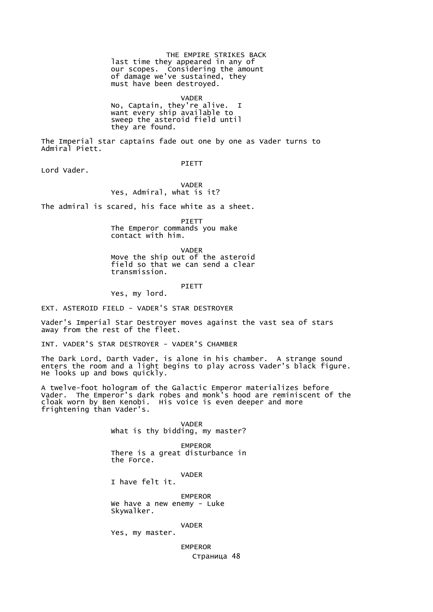THE EMPIRE STRIKES BACK last time they appeared in any of our scopes. Considering the amount of damage we've sustained, they must have been destroyed.

 VADER No, Captain, they're alive. I want every ship available to sweep the asteroid field until they are found.

The Imperial star captains fade out one by one as Vader turns to Admiral Piett.

PIETT

Lord Vader.

 VADER Yes, Admiral, what is it?

The admiral is scared, his face white as a sheet.

**PIETT** *PIETT*  The Emperor commands you make contact with him.

 VADER Move the ship out of the asteroid field so that we can send a clear transmission.

> PIETT Yes, my lord.

EXT. ASTEROID FIELD - VADER'S STAR DESTROYER

Vader's Imperial Star Destroyer moves against the vast sea of stars away from the rest of the fleet.

INT. VADER'S STAR DESTROYER - VADER'S CHAMBER

The Dark Lord, Darth Vader, is alone in his chamber. A strange sound enters the room and a light begins to play across Vader's black figure. He looks up and bows quickly.

A twelve-foot hologram of the Galactic Emperor materializes before Vader. The Emperor's dark robes and monk's hood are reminiscent of the cloak worn by Ben Kenobi. His voice is even deeper and more frightening than Vader's.

> VADER What is thy bidding, my master?

> EMPEROR There is a great disturbance in the Force.

> > VADER

I have felt it.

 EMPEROR We have a new enemy - Luke Skywalker.

VADER

Yes, my master.

EMPEROR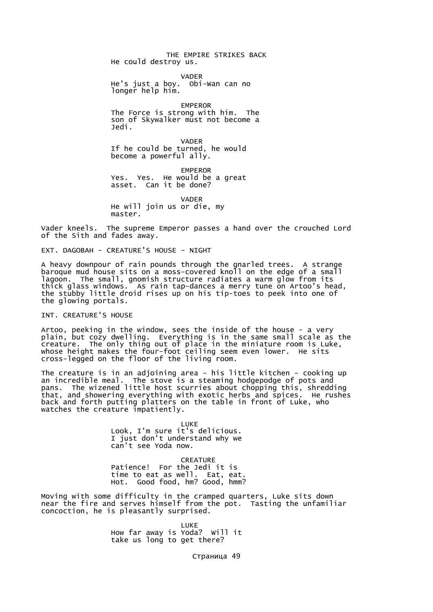THE EMPIRE STRIKES BACK He could destroy us. VADER He's just a boy. Obi-Wan can no longer help him. EMPEROR The Force is strong with him. The son of Skywalker must not become a Jedi. VADER If he could be turned, he would

become a powerful ally. EMPEROR Yes. Yes. He would be a great asset. Can it be done?

 VADER He will join us or die, my master.

Vader kneels. The supreme Emperor passes a hand over the crouched Lord of the Sith and fades away.

EXT. DAGOBAH - CREATURE'S HOUSE - NIGHT

A heavy downpour of rain pounds through the gnarled trees. A strange baroque mud house sits on a moss-covered knoll on the edge of a small lagoon. The small, gnomish structure radiates a warm glow from its thick glass windows. As rain tap-dances a merry tune on Artoo's head, the stubby little droid rises up on his tip-toes to peek into one of the glowing portals.

INT. CREATURE'S HOUSE

Artoo, peeking in the window, sees the inside of the house - a very plain, but cozy dwelling. Everything is in the same small scale as the creature. The only thing out of place in the miniature room is Luke, whose height makes the four-foot ceiling seem even lower. He sits cross-legged on the floor of the living room.

The creature is in an adjoining area - his little kitchen - cooking up an incredible meal. The stove is a steaming hodgepodge of pots and pans. The wizened little host scurries about chopping this, shredding that, and showering everything with exotic herbs and spices. He rushes back and forth putting platters on the table in front of Luke, who watches the creature impatiently.

> LUKE Look, I'm sure it's delicious. I just don't understand why we can't see Yoda now.

 CREATURE Patience! For the Jedi it is time to eat as well. Eat, eat. Hot. Good food, hm? Good, hmm?

Moving with some difficulty in the cramped quarters, Luke sits down near the fire and serves himself from the pot. Tasting the unfamiliar concoction, he is pleasantly surprised.

**LUKE**  How far away is Yoda? Will it take us long to get there?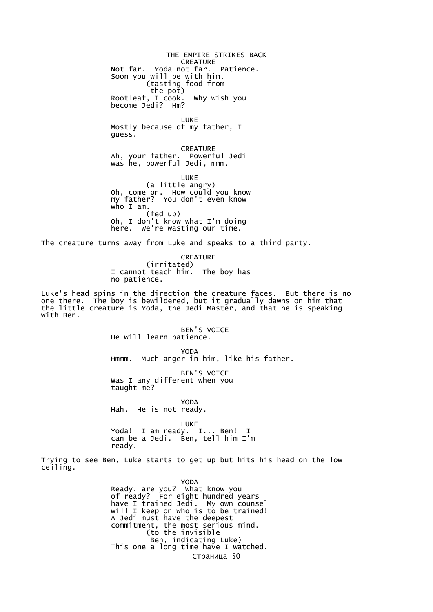THE EMPIRE STRIKES BACK CREATURE Not far. Yoda not far. Patience. Soon you will be with him. (tasting food from the pot) Rootleaf, I cook. Why wish you become Jedi? Hm? **LUKE**  Mostly because of my father, I guess. **CREATURE CREATURE**  Ah, your father. Powerful Jedi was he, powerful Jedi, mmm. **LUKE** (a little angry)

 Oh, come on. How could you know my father? You don't even know who I am. (fed up) Oh, I don't know what I'm doing here. We're wasting our time.

The creature turns away from Luke and speaks to a third party.

**CREATURE**  (irritated) I cannot teach him. The boy has no patience.

Luke's head spins in the direction the creature faces. But there is no one there. The boy is bewildered, but it gradually dawns on him that the little creature is Yoda, the Jedi Master, and that he is speaking with Ben.

> BEN'S VOICE He will learn patience.

YODA<br>Hmmm. Much anger in Much anger in him, like his father.

 BEN'S VOICE Was I any different when you taught me?

*YODA* Hah. He is not ready.

**LUKE**  Yoda! I am ready. I... Ben! I can be a Jedi. Ben, tell him I'm ready.

Trying to see Ben, Luke starts to get up but hits his head on the low ceiling.

*YODA*  Ready, are you? What know you of ready? For eight hundred years have I trained Jedi. My own counsel will I keep on who is to be trained! A Jedi must have the deepest commitment, the most serious mind. (to the invisible Ben, indicating Luke) This one a long time have I watched. Страница 50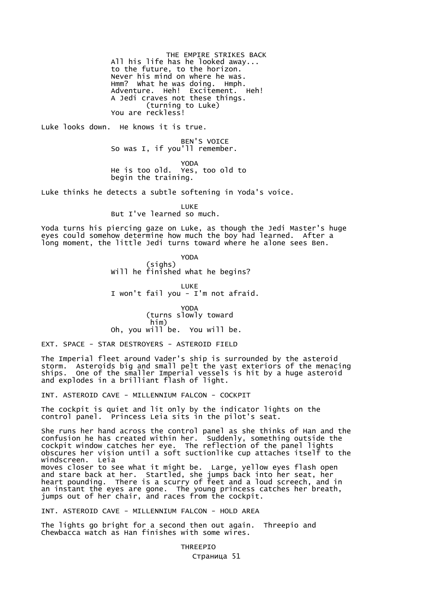THE EMPIRE STRIKES BACK All his life has he looked away... to the future, to the horizon. Never his mind on where he was. Hmm? What he was doing. Hmph. Adventure. Heh! Excitement. Heh! A Jedi craves not these things. (turning to Luke) You are reckless!

Luke looks down. He knows it is true.

 BEN'S VOICE So was I, if you'll remember.

*YODA*  He is too old. Yes, too old to begin the training.

Luke thinks he detects a subtle softening in Yoda's voice.

**LUKE** But I've learned so much.

Yoda turns his piercing gaze on Luke, as though the Jedi Master's huge eyes could somehow determine how much the boy had learned. After a long moment, the little Jedi turns toward where he alone sees Ben.

*YODA*  (sighs) Will he finished what he begins?

**LUKE** I won't fail you - I'm not afraid.

*YODA*  (turns slowly toward him) Oh, you will be. You will be.

EXT. SPACE - STAR DESTROYERS - ASTEROID FIELD

The Imperial fleet around Vader's ship is surrounded by the asteroid storm. Asteroids big and small pelt the vast exteriors of the menacing ships. One of the smaller Imperial vessels is hit by a huge asteroid and explodes in a brilliant flash of light.

INT. ASTEROID CAVE - MILLENNIUM FALCON - COCKPIT

The cockpit is quiet and lit only by the indicator lights on the control panel. Princess Leia sits in the pilot's seat.

She runs her hand across the control panel as she thinks of Han and the confusion he has created within her. Suddenly, something outside the cockpit window catches her eye. The reflection of the panel lights obscures her vision until a soft suctionlike cup attaches itself to the windscreen. Leia moves closer to see what it might be. Large, yellow eyes flash open and stare back at her. Startled, she jumps back into her seat, her heart pounding. There is a scurry of feet and a loud screech, and in an instant the eyes are gone. The young princess catches her breath, jumps out of her chair, and races from the cockpit.

INT. ASTEROID CAVE - MILLENNIUM FALCON - HOLD AREA

The lights go bright for a second then out again. Threepio and Chewbacca watch as Han finishes with some wires.

THREEPIO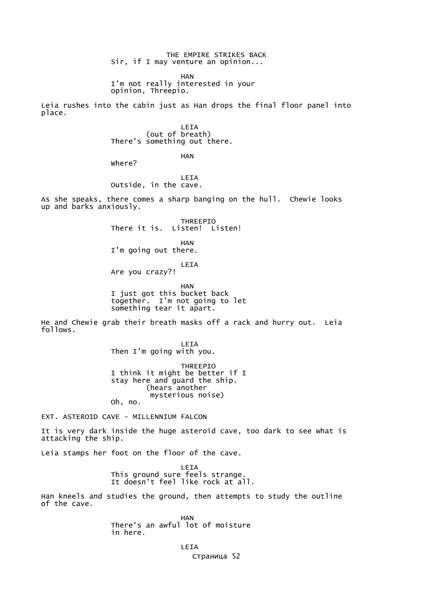THE EMPIRE STRIKES BACK Sir, if I may venture an opinion...

**HAN**  I'm not really interested in your opinion, Threepio.

Leia rushes into the cabin just as Han drops the final floor panel into place.

 LEIA (out of breath) There's something out there.

**HAN** 

Where?

 LEIA Outside, in the cave.

As she speaks, there comes a sharp banging on the hull. Chewie looks up and barks anxiously.

THREEPIO<br>There it is. Listen! L Listen! Listen! **HAN**  I'm going out there. LEIA Are you crazy?! **HAN**  I just got this bucket back together. I'm not going to let something tear it apart.

He and Chewie grab their breath masks off a rack and hurry out. Leia follows.

**LEIA**  Then I'm going with you. THREEPIO I think it might be better if I stay here and guard the ship. (hears another mysterious noise)

Oh, no.

EXT. ASTEROID CAVE - MILLENNIUM FALCON

It is very dark inside the huge asteroid cave, too dark to see what is attacking the ship.

Leia stamps her foot on the floor of the cave.

 LEIA This ground sure feels strange. It doesn't feel like rock at all.

Han kneels and studies the ground, then attempts to study the outline of the cave.

**HAN**  There's an awful lot of moisture in here.

**LEIA**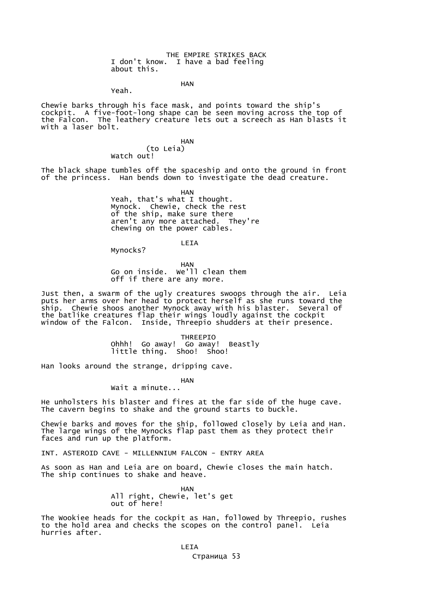THE EMPIRE STRIKES BACK I don't know. I have a bad feeling about this.

**HAN** 

Yeah.

Chewie barks through his face mask, and points toward the ship's cockpit. A five-foot-long shape can be seen moving across the top of the Falcon. The leathery creature lets out a screech as Han blasts it with a laser bolt.

**HAN**  (to Leia) Watch out!

The black shape tumbles off the spaceship and onto the ground in front of the princess. Han bends down to investigate the dead creature.

**HAN**  Yeah, that's what I thought. Mynock. Chewie, check the rest of the ship, make sure there aren't any more attached. They're chewing on the power cables.

LEIA

Mynocks?

**HAN**  Go on inside. We'll clean them off if there are any more.

Just then, a swarm of the ugly creatures swoops through the air. Leia puts her arms over her head to protect herself as she runs toward the ship. Chewie shoos another Mynock away with his blaster. Several of the batlike creatures flap their wings loudly against the cockpit window of the Falcon. Inside, Threepio shudders at their presence.

> THREEPIO Ohhh! Go away! Go away! Beastly little thing. Shoo! Shoo!

Han looks around the strange, dripping cave.

**HAN** 

Wait a minute...

He unholsters his blaster and fires at the far side of the huge cave. The cavern begins to shake and the ground starts to buckle.

Chewie barks and moves for the ship, followed closely by Leia and Han. The large wings of the Mynocks flap past them as they protect their faces and run up the platform.

INT. ASTEROID CAVE - MILLENNIUM FALCON - ENTRY AREA

As soon as Han and Leia are on board, Chewie closes the main hatch. The ship continues to shake and heave.

**HAN**  All right, Chewie, let's get out of here!

The Wookiee heads for the cockpit as Han, followed by Threepio, rushes to the hold area and checks the scopes on the control panel. Leia hurries after.

**LEIA**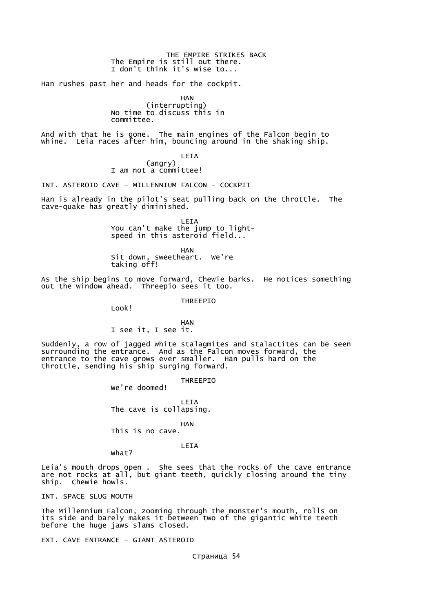THE EMPIRE STRIKES BACK The Empire is still out there. I don't think it's wise to...

Han rushes past her and heads for the cockpit.

**HAN**  (interrupting) No time to discuss this in committee.

And with that he is gone. The main engines of the Falcon begin to whine. Leia races after him, bouncing around in the shaking ship.

**LEIA**  (angry) I am not a committee!

INT. ASTEROID CAVE - MILLENNIUM FALCON - COCKPIT

Han is already in the pilot's seat pulling back on the throttle. The cave-quake has greatly diminished.

**LEIA**  You can't make the jump to light speed in this asteroid field...

**HAN**  Sit down, sweetheart. We're taking off!

As the ship begins to move forward, Chewie barks. He notices something out the window ahead. Threepio sees it too.

THREEPIO

Look!

**HAN** I see it, I see it.

We're doomed!

Suddenly, a row of jagged white stalagmites and stalactites can be seen surrounding the entrance. And as the Falcon moves forward, the entrance to the cave grows ever smaller. Han pulls hard on the throttle, sending his ship surging forward.

THREEPIO

 LEIA The cave is collapsing. **HAN** This is no cave.

**LEIA** 

What?

Leia's mouth drops open . She sees that the rocks of the cave entrance are not rocks at all, but giant teeth, quickly closing around the tiny ship. Chewie howls.

INT. SPACE SLUG MOUTH

The Millennium Falcon, zooming through the monster's mouth, rolls on its side and barely makes it between two of the gigantic white teeth before the huge jaws slams closed.

EXT. CAVE ENTRANCE - GIANT ASTEROID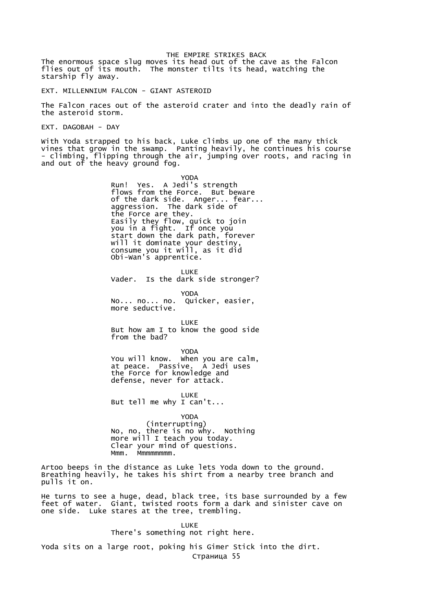THE EMPIRE STRIKES BACK The enormous space slug moves its head out of the cave as the Falcon flies out of its mouth. The monster tilts its head, watching the starship fly away.

EXT. MILLENNIUM FALCON - GIANT ASTEROID

The Falcon races out of the asteroid crater and into the deadly rain of the asteroid storm.

EXT. DAGOBAH - DAY

With Yoda strapped to his back, Luke climbs up one of the many thick vines that grow in the swamp. Panting heavily, he continues his course - climbing, flipping through the air, jumping over roots, and racing in and out of the heavy ground fog.

 YODA Run! Yes. A Jedi's strength flows from the Force. But beware of the dark side. Anger... fear... aggression. The dark side of the Force are they. Easily they flow, quick to join you in a fight. If once you start down the dark path, forever will it dominate your destiny, consume you it will, as it did Obi-Wan's apprentice.

**LUKE** Vader. Is the dark side stronger?

*YODA*  No... no... no. Quicker, easier, more seductive.

**LUKE**  But how am I to know the good side from the bad?

> YODA<br>You will know. When when you are calm, at peace. Passive. A Jedi uses the Force for knowledge and defense, never for attack.

**LUKE** But tell me why I can't...

*YODA*  (interrupting) No, no, there is no why. Nothing more will I teach you today. Clear your mind of questions. Mmm. Mmmmmmmmm.

Artoo beeps in the distance as Luke lets Yoda down to the ground. Breathing heavily, he takes his shirt from a nearby tree branch and pulls it on.

He turns to see a huge, dead, black tree, its base surrounded by a few feet of water. Giant, twisted roots form a dark and sinister cave on one side. Luke stares at the tree, trembling.

**LUKE** 

There's something not right here.

Yoda sits on a large root, poking his Gimer Stick into the dirt. Страница 55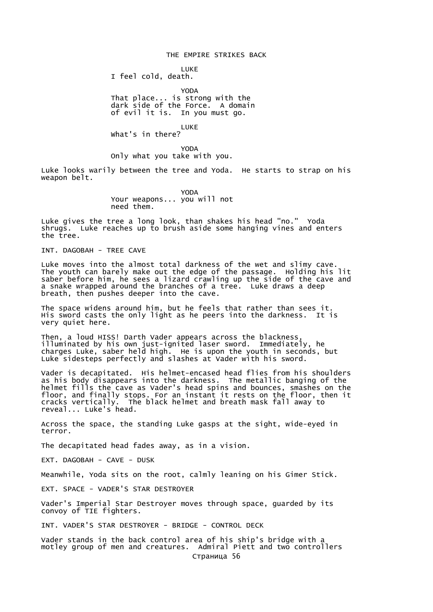#### THE EMPIRE STRIKES BACK

**LUKE** 

I feel cold, death.

*YODA*  That place... is strong with the dark side of the Force. A domain of evil it is. In you must go.

> LUKE What's in there?

*YODA* Only what you take with you.

Luke looks warily between the tree and Yoda. He starts to strap on his weapon belt.

*YODA*  Your weapons... you will not need them.

Luke gives the tree a long look, than shakes his head "no." Yoda shrugs. Luke reaches up to brush aside some hanging vines and enters the tree.

INT. DAGOBAH - TREE CAVE

Luke moves into the almost total darkness of the wet and slimy cave. The youth can barely make out the edge of the passage. Holding his lit saber before him, he sees a lizard crawling up the side of the cave and a snake wrapped around the branches of a tree. Luke draws a deep breath, then pushes deeper into the cave.

The space widens around him, but he feels that rather than sees it. His sword casts the only light as he peers into the darkness. It is very quiet here.

Then, a loud HISS! Darth Vader appears across the blackness illuminated by his own just-ignited laser sword. Immediately, he charges Luke, saber held high. He is upon the youth in seconds, but Luke sidesteps perfectly and slashes at Vader with his sword.

Vader is decapitated. His helmet-encased head flies from his shoulders as his body disappears into the darkness. The metallic banging of the helmet fills the cave as Vader's head spins and bounces, smashes on the floor, and finally stops. For an instant it rests on the floor, then it cracks vertically. The black helmet and breath mask fall away to reveal... Luke's head.

Across the space, the standing Luke gasps at the sight, wide-eyed in terror.

The decapitated head fades away, as in a vision.

EXT. DAGOBAH - CAVE - DUSK

Meanwhile, Yoda sits on the root, calmly leaning on his Gimer Stick.

EXT. SPACE - VADER'S STAR DESTROYER

Vader's Imperial Star Destroyer moves through space, guarded by its convoy of TIE fighters.

INT. VADER'S STAR DESTROYER - BRIDGE - CONTROL DECK

Vader stands in the back control area of his ship's bridge with a motley group of men and creatures. Admiral Piett and two controllers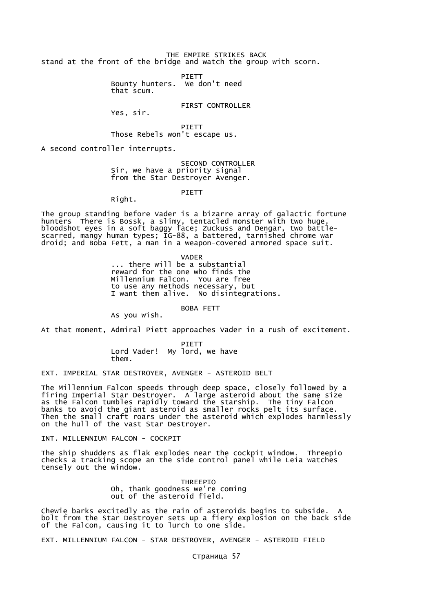THE EMPIRE STRIKES BACK stand at the front of the bridge and watch the group with scorn.

> PIETT Bounty hunters. We don't need that scum.

FIRST CONTROLLER

Yes, sir.

**PIETT** *PIETT* Those Rebels won't escape us.

A second controller interrupts.

 SECOND CONTROLLER Sir, we have a priority signal from the Star Destroyer Avenger.

PIETT

Right.

The group standing before Vader is a bizarre array of galactic fortune hunters There is Bossk, a slimy, tentacled monster with two huge, bloodshot eyes in a soft baggy face; Zuckuss and Dengar, two battlescarred, mangy human types; IG-88, a battered, tarnished chrome war droid; and Boba Fett, a man in a weapon-covered armored space suit.

 VADER ... there will be a substantial reward for the one who finds the Millennium Falcon. You are free to use any methods necessary, but I want them alive. No disintegrations.

BOBA FETT

As you wish.

At that moment, Admiral Piett approaches Vader in a rush of excitement.

 PIETT Lord Vader! My lord, we have them.

EXT. IMPERIAL STAR DESTROYER, AVENGER - ASTEROID BELT

The Millennium Falcon speeds through deep space, closely followed by a firing Imperial Star Destroyer. A large asteroid about the same size as the Falcon tumbles rapidly toward the starship. The tiny Falcon banks to avoid the giant asteroid as smaller rocks pelt its surface. Then the small craft roars under the asteroid which explodes harmlessly on the hull of the vast Star Destroyer.

INT. MILLENNIUM FALCON - COCKPIT

The ship shudders as flak explodes near the cockpit window. Threepio checks a tracking scope an the side control panel while Leia watches tensely out the window.

 THREEPIO Oh, thank goodness we're coming out of the asteroid field.

Chewie barks excitedly as the rain of asteroids begins to subside. bolt from the Star Destroyer sets up a fiery explosion on the back side of the Falcon, causing it to lurch to one side.

EXT. MILLENNIUM FALCON - STAR DESTROYER, AVENGER - ASTEROID FIELD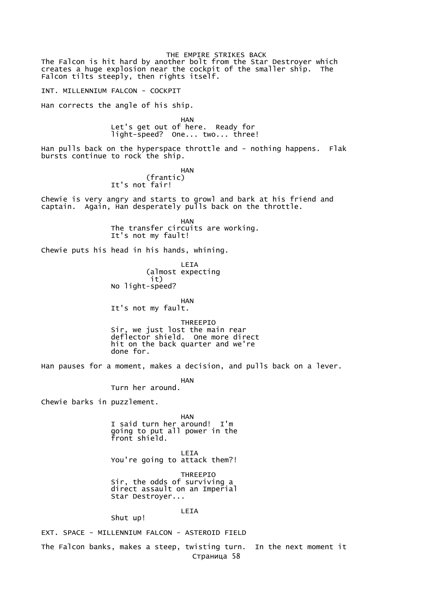THE EMPIRE STRIKES BACK The Falcon is hit hard by another bolt from the Star Destroyer which creates a huge explosion near the cockpit of the smaller ship. The Falcon tilts steeply, then rights itself. INT. MILLENNIUM FALCON - COCKPIT Han corrects the angle of his ship. **HAN**  Let's get out of here. Ready for light-speed? One... two... three! Han pulls back on the hyperspace throttle and - nothing happens. Flak bursts continue to rock the ship. **HAN**  (frantic) It's not fair! Chewie is very angry and starts to growl and bark at his friend and captain. Again, Han desperately pulls back on the throttle. **HAN**  The transfer circuits are working. It's not my fault! Chewie puts his head in his hands, whining. LEIA (almost expecting it) No light-speed? **HAN**  It's not my fault. **THREEPIO**  Sir, we just lost the main rear deflector shield. One more direct hit on the back quarter and we're done for. Han pauses for a moment, makes a decision, and pulls back on a lever. **HAN**  Turn her around. Chewie barks in puzzlement. **HAN**  I said turn her around! I'm going to put all power in the front shield. LEIA You're going to attack them?! THREEPIO Sir, the odds of surviving a direct assault on an Imperial Star Destroyer... **LEIA**  Shut up! EXT. SPACE - MILLENNIUM FALCON - ASTEROID FIELD

The Falcon banks, makes a steep, twisting turn. In the next moment it Страница 58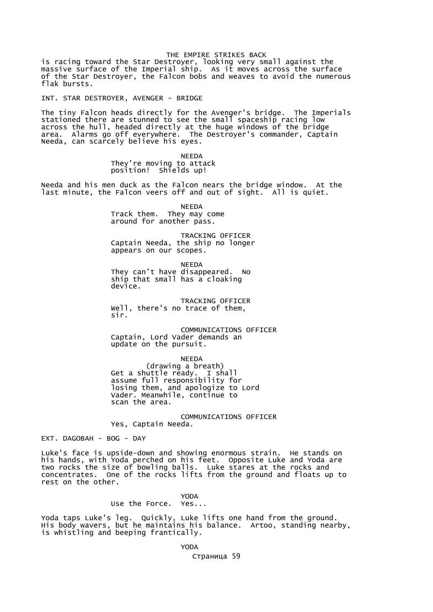THE EMPIRE STRIKES BACK is racing toward the Star Destroyer, looking very small against the massive surface of the Imperial ship. As it moves across the surface of the Star Destroyer, the Falcon bobs and weaves to avoid the numerous flak bursts.

INT. STAR DESTROYER, AVENGER - BRIDGE

The tiny Falcon heads directly for the Avenger's bridge. The Imperials stationed there are stunned to see the small spaceship racing low across the hull, headed directly at the huge windows of the bridge area. Alarms go off everywhere. The Destroyer's commander, Captain Needa, can scarcely believe his eyes.

> NEEDA They're moving to attack position! Shields up!

Needa and his men duck as the Falcon nears the bridge window. At the last minute, the Falcon veers off and out of sight. All is quiet.

NEEDA AREEDA AREEDA AREEDA AREEDA AREEDA AREEDA AREEDA AREEDA AREEDA AREEDA AREEDA AREEDA AREEDA AREEDA AREEDA Track them. They may come around for another pass.

> TRACKING OFFICER Captain Needa, the ship no longer appears on our scopes.

 NEEDA They can't have disappeared. No ship that small has a cloaking device.

 TRACKING OFFICER Well, there's no trace of them, sir.

 COMMUNICATIONS OFFICER Captain, Lord Vader demands an update on the pursuit.

 NEEDA (drawing a breath) Get a shuttle ready. I shall assume full responsibility for losing them, and apologize to Lord Vader. Meanwhile, continue to scan the area.

> COMMUNICATIONS OFFICER Yes, Captain Needa.

EXT. DAGOBAH - BOG - DAY

Luke's face is upside-down and showing enormous strain. He stands on his hands, with Yoda perched on his feet. Opposite Luke and Yoda are two rocks the size of bowling balls. Luke stares at the rocks and concentrates. One of the rocks lifts from the ground and floats up to rest on the other.

*YODA* 

Use the Force. Yes...

Yoda taps Luke's leg. Quickly, Luke lifts one hand from the ground. His body wavers, but he maintains his balance. Artoo, standing nearby, is whistling and beeping frantically.

*YODA*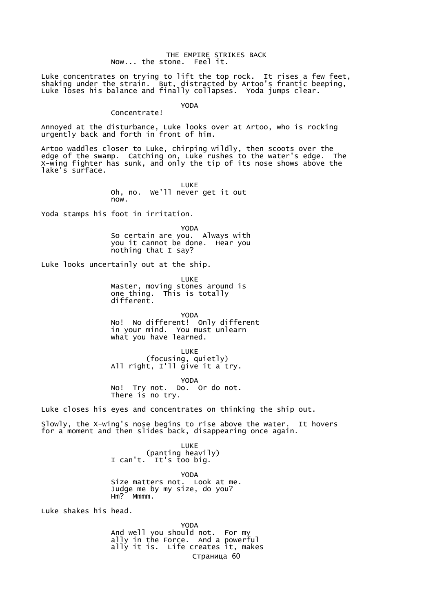### THE EMPIRE STRIKES BACK Now... the stone. Feel it.

Luke concentrates on trying to lift the top rock. It rises a few feet, shaking under the strain. But, distracted by Artoo's frantic beeping, Luke loses his balance and finally collapses. Yoda jumps clear.

*YODA* 

Annoyed at the disturbance, Luke looks over at Artoo, who is rocking urgently back and forth in front of him.

Artoo waddles closer to Luke, chirping wildly, then scoots over the edge of the swamp. Catching on, Luke rushes to the water's edge. The X-wing fighter has sunk, and only the tip of its nose shows above the lake's surface.

**LUKE**  Oh, no. We'll never get it out now.

Yoda stamps his foot in irritation.

Concentrate!

 YODA So certain are you. Always with you it cannot be done. Hear you nothing that I say?

Luke looks uncertainly out at the ship.

**LUKE**  Master, moving stones around is one thing. This is totally different.

*YODA*  No! No different! Only different in your mind. You must unlearn what you have learned.

 LUKE (focusing, quietly) All right, I'll give it a try.

*YODA*  No! Try not. Do. Or do not. There is no try.

Luke closes his eyes and concentrates on thinking the ship out.

Slowly, the X-wing's nose begins to rise above the water. It hovers for a moment and then slides back, disappearing once again.

**LUKE**  (panting heavily) I can't. It's too big. YODA Size matters not. Look at me. Judge me by my size, do you? Hm? Mmmm.

Luke shakes his head.

*YODA*  And well you should not. For my ally in the Force. And a powerful ally it is. Life creates it, makes Страница 60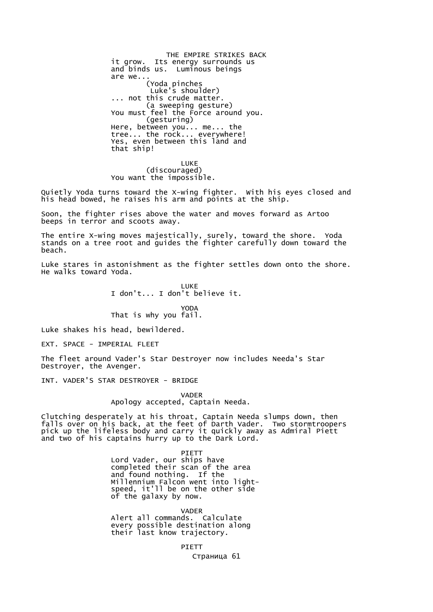THE EMPIRE STRIKES BACK it grow. Its energy surrounds us and binds us. Luminous beings are we... (Yoda pinches Luke's shoulder) ... not this crude matter. (a sweeping gesture) You must feel the Force around you. (gesturing) Here, between you... me... the tree... the rock... everywhere! Yes, even between this land and that ship!

 LUKE (discouraged) You want the impossible.

Quietly Yoda turns toward the X-wing fighter. With his eyes closed and his head bowed, he raises his arm and points at the ship.

Soon, the fighter rises above the water and moves forward as Artoo beeps in terror and scoots away.

The entire X-wing moves majestically, surely, toward the shore. Yoda stands on a tree root and guides the fighter carefully down toward the beach.

Luke stares in astonishment as the fighter settles down onto the shore. He walks toward Yoda.

**LUKE** I don't... I don't believe it.

#### *YODA* That is why you fail.

Luke shakes his head, bewildered.

EXT. SPACE - IMPERIAL FLEET

The fleet around Vader's Star Destroyer now includes Needa's Star Destroyer, the Avenger.

INT. VADER'S STAR DESTROYER - BRIDGE

VADER

Apology accepted, Captain Needa.

Clutching desperately at his throat, Captain Needa slumps down, then falls over on his back, at the feet of Darth Vader. Two stormtroopers pick up the lifeless body and carry it quickly away as Admiral Piett and two of his captains hurry up to the Dark Lord.

**PIETT** *PIETT*  Lord Vader, our ships have completed their scan of the area and found nothing. If the Millennium Falcon went into light speed, it'll be on the other side of the galaxy by now.

 VADER Alert all commands. Calculate every possible destination along their last know trajectory.

PIETT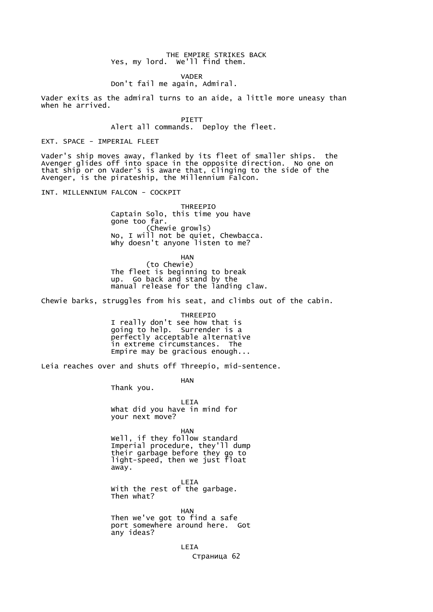THE EMPIRE STRIKES BACK Yes, my lord. We'll find them.

VADER

Don't fail me again, Admiral.

Vader exits as the admiral turns to an aide, a little more uneasy than when he arrived.

> PIETT Alert all commands. Deploy the fleet.

EXT. SPACE - IMPERIAL FLEET

Vader's ship moves away, flanked by its fleet of smaller ships. the Avenger glides off into space in the opposite direction. No one on that ship or on Vader's is aware that, clinging to the side of the Avenger, is the pirateship, the Millennium Falcon.

INT. MILLENNIUM FALCON - COCKPIT

 THREEPIO Captain Solo, this time you have gone too far. (Chewie growls) No, I will not be quiet, Chewbacca. Why doesn't anyone listen to me?

**HAN**  (to Chewie) The fleet is beginning to break up. Go back and stand by the manual release for the landing claw.

Chewie barks, struggles from his seat, and climbs out of the cabin.

 THREEPIO I really don't see how that is going to help. Surrender is a perfectly acceptable alternative in extreme circumstances. The Empire may be gracious enough...

Leia reaches over and shuts off Threepio, mid-sentence.

**HAN** 

Thank you.

 LEIA What did you have in mind for your next move?

**HAN**  Well, if they follow standard Imperial procedure, they'll dump their garbage before they go to light-speed, then we just float away.

> LEIA With the rest of the garbage. Then what?

**HAN**  Then we've got to find a safe port somewhere around here. Got any ideas?

**LEIA**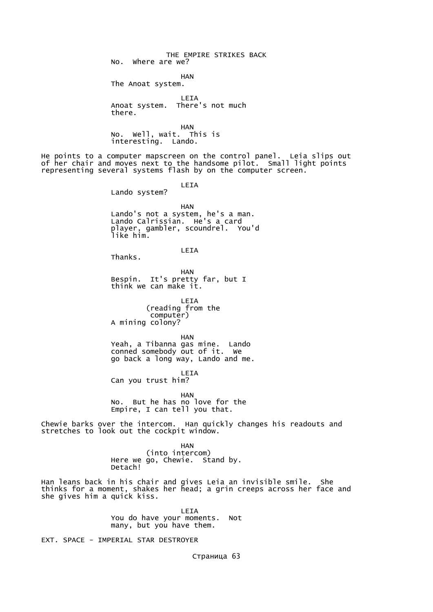THE EMPIRE STRIKES BACK No. Where are we? **HAN**  The Anoat system. LEIA Anoat system. There's not much there. **HAN**  No. Well, wait. This is interesting. Lando. He points to a computer mapscreen on the control panel. Leia slips out of her chair and moves next to the handsome pilot. Small light points representing several systems flash by on the computer screen. LEIA Lando system? **HAN**  Lando's not a system, he's a man. Lando Calrissian. He's a card player, gambler, scoundrel. You'd like him. LEIA Thanks. **HAN**  Bespin. It's pretty far, but I think we can make it. LEIA (reading from the computer) A mining colony? **HAN**  Yeah, a Tibanna gas mine. Lando conned somebody out of it. We go back a long way, Lando and me. **LEIA**  Can you trust him? **HAN**  No. But he has no love for the Empire, I can tell you that. Chewie barks over the intercom. Han quickly changes his readouts and stretches to look out the cockpit window. **HAN**  (into intercom) Here we go, Chewie. Stand by. Detach! Han leans back in his chair and gives Leia an invisible smile. She thinks for a moment, shakes her head; a grin creeps across her face and she gives him a quick kiss. LEIA

 You do have your moments. Not many, but you have them.

EXT. SPACE - IMPERIAL STAR DESTROYER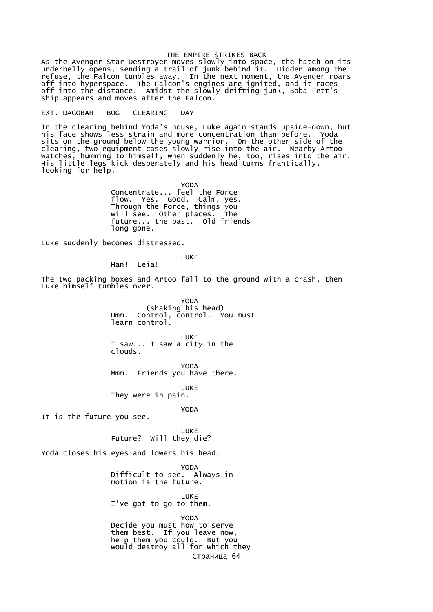#### THE EMPIRE STRIKES BACK

As the Avenger Star Destroyer moves slowly into space, the hatch on its underbelly opens, sending a trail of junk behind it. Hidden among the refuse, the Falcon tumbles away. In the next moment, the Avenger roars off into hyperspace. The Falcon's engines are ignited, and it races off into the distance. Amidst the slowly drifting junk, Boba Fett's ship appears and moves after the Falcon.

EXT. DAGOBAH - BOG - CLEARING - DAY

In the clearing behind Yoda's house, Luke again stands upside-down, but his face shows less strain and more concentration than before. Yoda sits on the ground below the young warrior. On the other side of the clearing, two equipment cases slowly rise into the air. Nearby Artoo watches, humming to himself, when suddenly he, too, rises into the air. His little legs kick desperately and his head turns frantically, looking for help.

 YODA Concentrate... feel the Force flow. Yes. Good. Calm, yes. Through the Force, things you will see. Other places. The future... the past. Old friends long gone.

Luke suddenly becomes distressed.

Han! Leia!

The two packing boxes and Artoo fall to the ground with a crash, then Luke himself tumbles over.

LUKE

*YODA*  (shaking his head) Hmm. Control, control. You must learn control.

**LUKE**  I saw... I saw a city in the clouds.

*YODA* Mmm. Friends you have there.

**LUKE** They were in pain.

YODA

It is the future you see.

**LUKE** Future? Will they die?

Yoda closes his eyes and lowers his head.

*YODA*  Difficult to see. Always in motion is the future.

**LUKE** I've got to go to them.

*YODA*  Decide you must how to serve them best. If you leave now, help them you could. But you would destroy all for which they Страница 64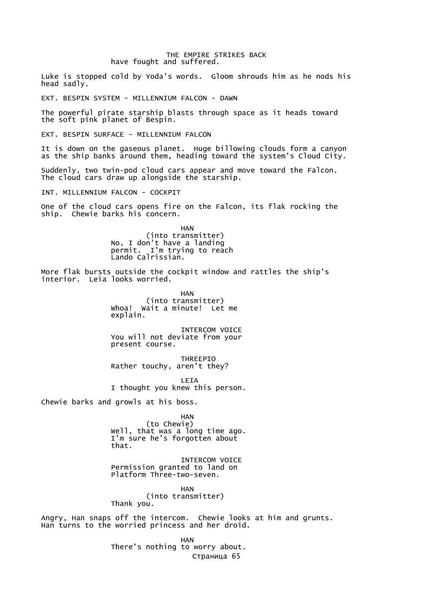#### THE EMPIRE STRIKES BACK have fought and suffered.

Luke is stopped cold by Yoda's words. Gloom shrouds him as he nods his head sadly.

EXT. BESPIN SYSTEM - MILLENNIUM FALCON - DAWN

The powerful pirate starship blasts through space as it heads toward the soft pink planet of Bespin.

EXT. BESPIN SURFACE - MILLENNIUM FALCON

It is down on the gaseous planet. Huge billowing clouds form a canyon as the ship banks around them, heading toward the system's Cloud City.

Suddenly, two twin-pod cloud cars appear and move toward the Falcon. The cloud cars draw up alongside the starship.

INT. MILLENNIUM FALCON - COCKPIT

One of the cloud cars opens fire on the Falcon, its flak rocking the ship. Chewie barks his concern.

**HAN**  (into transmitter) No, I don't have a landing permit. I'm trying to reach Lando Calrissian.

More flak bursts outside the cockpit window and rattles the ship's interior. Leia looks worried.

**HAN**  (into transmitter) Whoa! Wait a minute! Let me explain.

> INTERCOM VOICE You will not deviate from your present course.

 THREEPIO Rather touchy, aren't they?

 LEIA I thought you knew this person.

Chewie barks and growls at his boss.

**HAN**  (to Chewie) Well, that was a long time ago. I'm sure he's forgotten about that.

> INTERCOM VOICE Permission granted to land on Platform Three-two-seven.

**HAN**  (into transmitter) Thank you.

Angry, Han snaps off the intercom. Chewie looks at him and grunts. Han turns to the worried princess and her droid.

**HAN**  There's nothing to worry about. Страница 65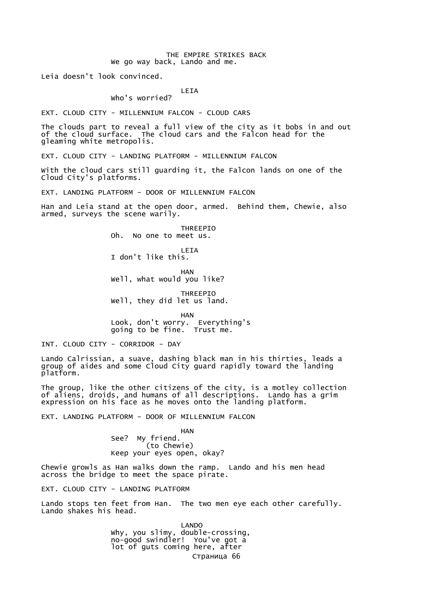THE EMPIRE STRIKES BACK We go way back, Lando and me.

Leia doesn't look convinced.

# **LEIA**

# Who's worried?

EXT. CLOUD CITY - MILLENNIUM FALCON - CLOUD CARS

The clouds part to reveal a full view of the city as it bobs in and out of the cloud surface. The cloud cars and the Falcon head for the gleaming white metropolis.

EXT. CLOUD CITY - LANDING PLATFORM - MILLENNIUM FALCON

With the cloud cars still guarding it, the Falcon lands on one of the Cloud City's platforms.

EXT. LANDING PLATFORM - DOOR OF MILLENNIUM FALCON

Han and Leia stand at the open door, armed. Behind them, Chewie, also armed, surveys the scene warily.

THREEPIO<br>Oh. No one to meet us. No one to meet us. LEIA I don't like this. **HAN**  Well, what would you like? THREEPIO Well, they did let us land. **HAN** 

 Look, don't worry. Everything's going to be fine. Trust me.

INT. CLOUD CITY - CORRIDOR - DAY

Lando Calrissian, a suave, dashing black man in his thirties, leads a group of aides and some Cloud City guard rapidly toward the landing platform.

The group, like the other citizens of the city, is a motley collection of aliens, droids, and humans of all descriptions. Lando has a grim expression on his face as he moves onto the landing platform.

EXT. LANDING PLATFORM - DOOR OF MILLENNIUM FALCON

**HAN**  See? My friend. (to Chewie) Keep your eyes open, okay?

Chewie growls as Han walks down the ramp. Lando and his men head across the bridge to meet the space pirate.

EXT. CLOUD CITY - LANDING PLATFORM

Lando stops ten feet from Han. The two men eye each other carefully. Lando shakes his head.

 LANDO Why, you slimy, double-crossing, no-good swindler! You've got a lot of guts coming here, after Страница 66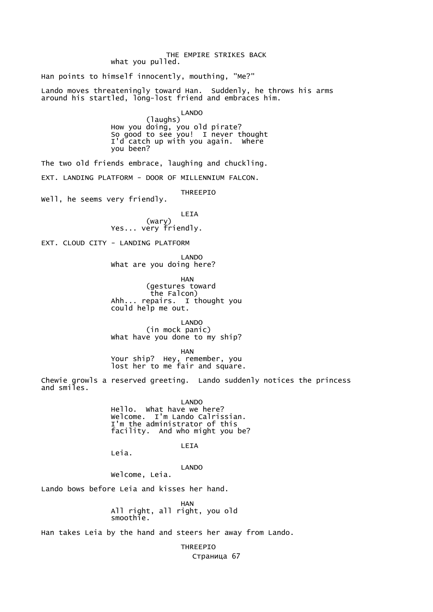THE EMPIRE STRIKES BACK what you pulled. Han points to himself innocently, mouthing, "Me?" Lando moves threateningly toward Han. Suddenly, he throws his arms around his startled, long-lost friend and embraces him. LANDO (laughs) How you doing, you old pirate? So good to see you! I never thought I'd catch up with you again. Where you been? The two old friends embrace, laughing and chuckling. EXT. LANDING PLATFORM - DOOR OF MILLENNIUM FALCON. THREEPIO Well, he seems very friendly. LEIA (wary) Yes... very friendly. EXT. CLOUD CITY - LANDING PLATFORM LANDO What are you doing here? **HAN**  (gestures toward the Falcon) Ahh... repairs. I thought you could help me out. LANDO (in mock panic) What have you done to my ship? **HAN**  Your ship? Hey, remember, you lost her to me fair and square. Chewie growls a reserved greeting. Lando suddenly notices the princess and smiles. LANDO Hello. What have we here? Welcome. I'm Lando Calrissian. I'm the administrator of this facility. And who might you be? **LEIA**  Leia. LANDO Welcome, Leia. Lando bows before Leia and kisses her hand. **HAN**  All right, all right, you old smoothie. Han takes Leia by the hand and steers her away from Lando. THREEPIO Страница 67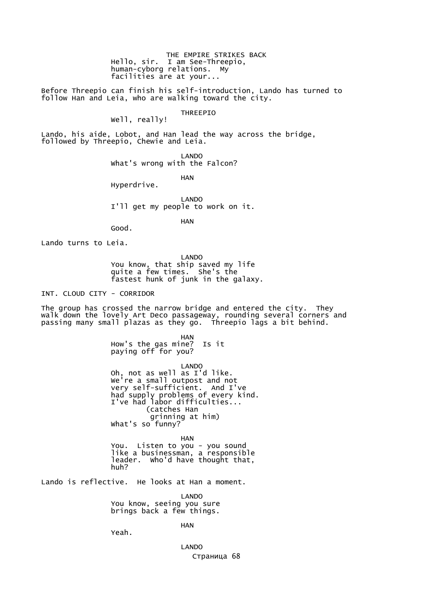THE EMPIRE STRIKES BACK Hello, sir. I am See-Threepio, human-cyborg relations. My facilities are at your...

Before Threepio can finish his self-introduction, Lando has turned to follow Han and Leia, who are walking toward the city.

> THREEPIO Well, really!

Lando, his aide, Lobot, and Han lead the way across the bridge, followed by Threepio, Chewie and Leia.

> LANDO What's wrong with the Falcon?

**HAN** Hyperdrive.

> LANDO I'll get my people to work on it.

**HAN** 

Good.

Lando turns to Leia.

 LANDO You know, that ship saved my life quite a few times. She's the fastest hunk of junk in the galaxy.

INT. CLOUD CITY - CORRIDOR

The group has crossed the narrow bridge and entered the city. They walk down the lovely Art Deco passageway, rounding several corners and passing many small plazas as they go. Threepio lags a bit behind.

**HAN**  How's the gas mine? Is it paying off for you?

 LANDO Oh, not as well as I'd like. We're a small outpost and not very self-sufficient. And I've had supply problems of every kind. I've had labor difficulties... (catches Han grinning at him) What's so funny?

**HAN** You. Listen to you - you sound like a businessman, a responsible leader. Who'd have thought that, huh?

Lando is reflective. He looks at Han a moment.

 LANDO You know, seeing you sure brings back a few things.

**HAN** 

Yeah.

 LANDO Страница 68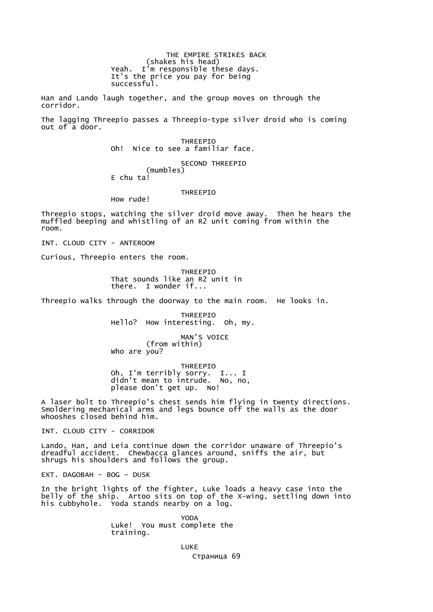THE EMPIRE STRIKES BACK (shakes his head) Yeah. I'm responsible these days. It's the price you pay for being successful.

Han and Lando laugh together, and the group moves on through the corridor.

The lagging Threepio passes a Threepio-type silver droid who is coming out of a door.

> THREEPIO Oh! Nice to see a familiar face.

> > SECOND THREEPIO

(mumbles)

E chu ta!

THREEPIO

How rude!

Threepio stops, watching the silver droid move away. Then he hears the muffled beeping and whistling of an R2 unit coming from within the room.

INT. CLOUD CITY - ANTEROOM

Curious, Threepio enters the room.

 THREEPIO That sounds like an R2 unit in there. I wonder if...

Threepio walks through the doorway to the main room. He looks in.

 THREEPIO Hello? How interesting. Oh, my.

 MAN'S VOICE (from within) Who are you?

 THREEPIO Oh, I'm terribly sorry. I... I didn't mean to intrude. No, no, please don't get up. No!

A laser bolt to Threepio's chest sends him flying in twenty directions. Smoldering mechanical arms and legs bounce off the walls as the door whooshes closed behind him.

INT. CLOUD CITY - CORRIDOR

Lando, Han, and Leia continue down the corridor unaware of Threepio's dreadful accident. Chewbacca glances around, sniffs the air, but shrugs his shoulders and follows the group.

EXT. DAGOBAH - BOG - DUSK

In the bright lights of the fighter, Luke loads a heavy case into the belly of the ship. Artoo sits on top of the X-wing, settling down into his cubbyhole. Yoda stands nearby on a log.

*YODA*  Luke! You must complete the training.

**LUKE**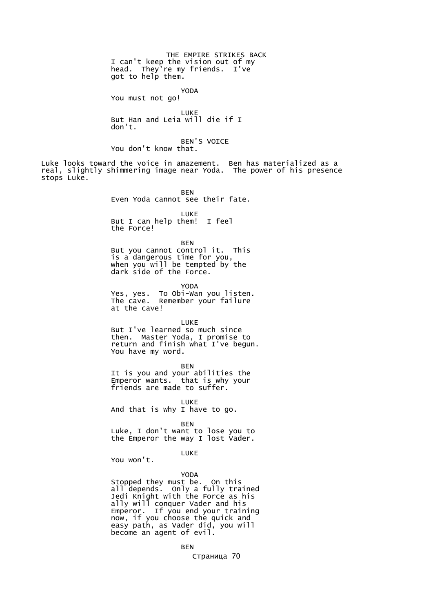THE EMPIRE STRIKES BACK I can't keep the vision out of my head. They're my friends. I've got to help them.

YODA

You must not go!

**LUKE**  But Han and Leia will die if I don't.

BEN'S VOICE

You don't know that.

Luke looks toward the voice in amazement. Ben has materialized as a real, slightly shimmering image near Yoda. The power of his presence stops Luke.

**BEN** BEN Even Yoda cannot see their fate.

**LUKE**  But I can help them! I feel the Force!

**BEN** BEN But you cannot control it. This is a dangerous time for you, when you will be tempted by the dark side of the Force.

*YODA*  Yes, yes. To Obi-Wan you listen. The cave. Remember your failure at the cave!

> LUKE But I've learned so much since then. Master Yoda, I promise to return and finish what I've begun. You have my word.

**BEN** BEN It is you and your abilities the Emperor wants. that is why your friends are made to suffer.

**LUKE** And that is why I have to go.

**BEN** BEN Luke, I don't want to lose you to the Emperor the way I lost Vader.

**LUKE** 

You won't.

*YODA* 

 Stopped they must be. On this all depends. Only a fully trained Jedi Knight with the Force as his ally will conquer Vader and his Emperor. If you end your training now, if you choose the quick and easy path, as Vader did, you will become an agent of evil.

**BEN** BEN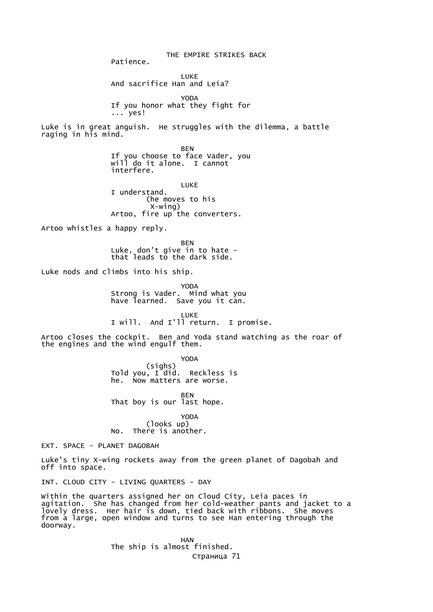THE EMPIRE STRIKES BACK

Patience.

**LUKE** And sacrifice Han and Leia?

*YODA*  If you honor what they fight for ... yes!

Luke is in great anguish. He struggles with the dilemma, a battle raging in his mind.

**BEN** BEN If you choose to face Vader, you will do it alone. I cannot interfere.

**LUKE**  I understand. (he moves to his X-wing) Artoo, fire up the converters.

Artoo whistles a happy reply.

**BEN** BEN Luke, don't give in to hate that leads to the dark side.

Luke nods and climbs into his ship.

*YODA*  Strong is Vader. Mind what you have learned. Save you it can.

**LUKE** I will. And I'll return. I promise.

Artoo closes the cockpit. Ben and Yoda stand watching as the roar of the engines and the wind engulf them.

*YODA*  (sighs) Told you, I did. Reckless is he. Now matters are worse.

**BEN** BEN That boy is our last hope.

> YODA (looks up) No. There is another.

EXT. SPACE - PLANET DAGOBAH

Luke's tiny X-wing rockets away from the green planet of Dagobah and off into space.

INT. CLOUD CITY - LIVING QUARTERS - DAY

Within the quarters assigned her on Cloud City, Leia paces in agitation. She has changed from her cold-weather pants and jacket to a lovely dress. Her hair is down, tied back with ribbons. She moves from a large, open window and turns to see Han entering through the doorway.

**HAN**  The ship is almost finished. Страница 71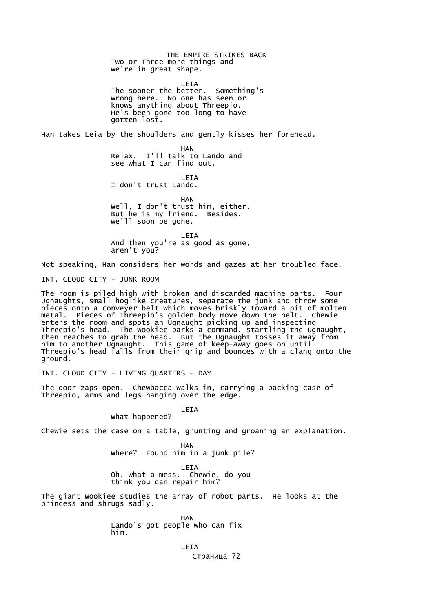THE EMPIRE STRIKES BACK Two or Three more things and we're in great shape.

 LEIA The sooner the better. Something's wrong here. No one has seen or knows anything about Threepio. He's been gone too long to have gotten lost.

Han takes Leia by the shoulders and gently kisses her forehead.

**HAN**  Relax. I'll talk to Lando and see what I can find out.

 LEIA I don't trust Lando.

**HAN**  Well, I don't trust him, either. But he is my friend. Besides, we'll soon be gone.

 LEIA And then you're as good as gone, aren't you?

Not speaking, Han considers her words and gazes at her troubled face.

INT. CLOUD CITY - JUNK ROOM

The room is piled high with broken and discarded machine parts. Four Ugnaughts, small hoglike creatures, separate the junk and throw some pieces onto a conveyer belt which moves briskly toward a pit of molten<br>metal. Pieces of Threepio's golden body move down the belt. Chewie  $meta$ . Pieces of Threepio's golden body move down the belt. enters the room and spots an Ugnaught picking up and inspecting Threepio's head. The Wookiee barks a command, startling the Ugnaught, then reaches to grab the head. But the Ugnaught tosses it away from him to another Ugnaught. This game of keep-away goes on until Threepio's head falls from their grip and bounces with a clang onto the ground.

INT. CLOUD CITY - LIVING QUARTERS - DAY

The door zaps open. Chewbacca walks in, carrying a packing case of Threepio, arms and legs hanging over the edge.

> LEIA What happened?

Chewie sets the case on a table, grunting and groaning an explanation.

**HAN** Where? Found him in a junk pile?

> LEIA Oh, what a mess. Chewie, do you think you can repair him?

The giant Wookiee studies the array of robot parts. He looks at the princess and shrugs sadly.

**HAN**  Lando's got people who can fix him.

**LEIA**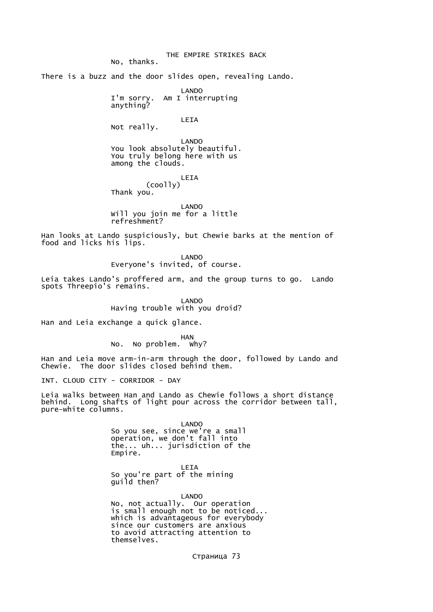THE EMPIRE STRIKES BACK No, thanks. There is a buzz and the door slides open, revealing Lando. LANDO<br>I'm sorry. Am I inte Am I interrupting anything? **LEIA**  Not really. LANDO You look absolutely beautiful. You truly belong here with us among the clouds. LEIA (coolly) Thank you. LANDO Will you join me for a little refreshment? Han looks at Lando suspiciously, but Chewie barks at the mention of food and licks his lips. LANDO Everyone's invited, of course. Leia takes Lando's proffered arm, and the group turns to go. Lando spots Threepio's remains. LANDO Having trouble with you droid? Han and Leia exchange a quick glance. **HAN**  No. No problem. Why? Han and Leia move arm-in-arm through the door, followed by Lando and Chewie. The door slides closed behind them. INT. CLOUD CITY - CORRIDOR - DAY Leia walks between Han and Lando as Chewie follows a short distance behind. Long shafts of light pour across the corridor between tall, pure-white columns. LANDO So you see, since we're a small operation, we don't fall into the... uh... jurisdiction of the Empire. LEIA So you're part of the mining guild then? LANDO No, not actually. Our operation is small enough not to be noticed... which is advantageous for everybody since our customers are anxious to avoid attracting attention to themselves. Страница 73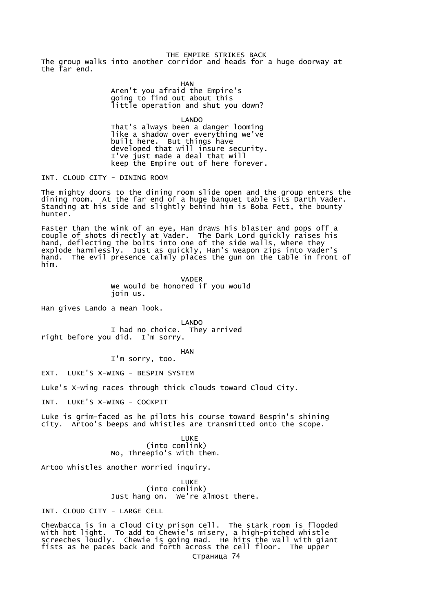THE EMPIRE STRIKES BACK The group walks into another corridor and heads for a huge doorway at the far end.

**HAN**  Aren't you afraid the Empire's going to find out about this little operation and shut you down?

 LANDO That's always been a danger looming like a shadow over everything we've built here. But things have developed that will insure security. I've just made a deal that will

keep the Empire out of here forever.

INT. CLOUD CITY - DINING ROOM

The mighty doors to the dining room slide open and the group enters the dining room. At the far end of a huge banquet table sits Darth Vader. Standing at his side and slightly behind him is Boba Fett, the bounty hunter.

Faster than the wink of an eye, Han draws his blaster and pops off a couple of shots directly at Vader. The Dark Lord quickly raises his hand, deflecting the bolts into one of the side walls, where they explode harmlessly. Just as quickly, Han's weapon zips into Vader's hand. The evil presence calmly places the gun on the table in front of him.

> VADER We would be honored if you would join us.

Han gives Lando a mean look.

 LANDO I had no choice. They arrived right before you did. I'm sorry.

**HAN** 

I'm sorry, too.

EXT. LUKE'S X-WING - BESPIN SYSTEM

Luke's X-wing races through thick clouds toward Cloud City.

INT. LUKE'S X-WING - COCKPIT

Luke is grim-faced as he pilots his course toward Bespin's shining city. Artoo's beeps and whistles are transmitted onto the scope.

**LUKE**  (into comlink) No, Threepio's with them.

Artoo whistles another worried inquiry.

**LUKE**  (into comlink) Just hang on. We're almost there.

INT. CLOUD CITY - LARGE CELL

Chewbacca is in a Cloud City prison cell. The stark room is flooded with hot light. To add to Chewie's misery, a high-pitched whistle screeches loudly. Chewie is going mad. He hits the wall with giant fists as he paces back and forth across the cell floor. The upper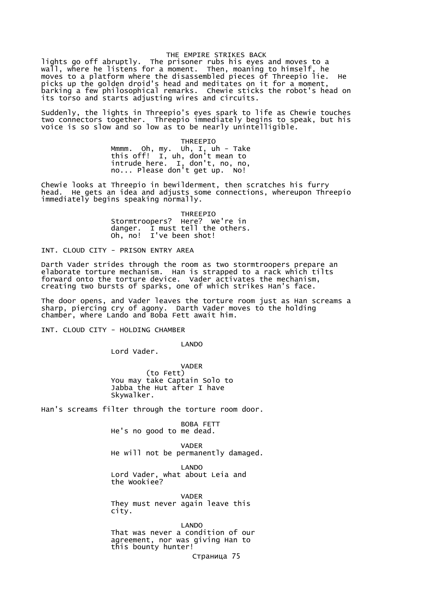lights go off abruptly. The prisoner rubs his eyes and moves to a wall, where he listens for a moment. Then, moaning to himself, he moves to a platform where the disassembled pieces of Threepio lie. He picks up the golden droid's head and meditates on it for a moment, barking a few philosophical remarks. Chewie sticks the robot's head on its torso and starts adjusting wires and circuits.

Suddenly, the lights in Threepio's eyes spark to life as Chewie touches two connectors together. Threepio immediately begins to speak, but his voice is so slow and so low as to be nearly unintelligible.

**THREEPIO**  Mmmm. Oh, my. Uh, I, uh - Take this off! I, uh, don't mean to intrude here. I, don't, no, no, no... Please don't get up. No!

Chewie looks at Threepio in bewilderment, then scratches his furry head. He gets an idea and adjusts some connections, whereupon Threepio immediately begins speaking normally.

> THREEPIO Stormtroopers? Here? We're in danger. I must tell the others. Oh, no! I've been shot!

INT. CLOUD CITY - PRISON ENTRY AREA

Darth Vader strides through the room as two stormtroopers prepare an elaborate torture mechanism. Han is strapped to a rack which tilts forward onto the torture device. Vader activates the mechanism, creating two bursts of sparks, one of which strikes Han's face.

The door opens, and Vader leaves the torture room just as Han screams a sharp, piercing cry of agony. Darth Vader moves to the holding chamber, where Lando and Boba Fett await him.

INT. CLOUD CITY - HOLDING CHAMBER

LANDO

Lord Vader.

 VADER (to Fett) You may take Captain Solo to Jabba the Hut after I have Skywalker.

Han's screams filter through the torture room door.

 BOBA FETT He's no good to me dead.

 VADER He will not be permanently damaged.

> LANDO Lord Vader, what about Leia and the Wookiee?

 VADER They must never again leave this city.

> LANDO That was never a condition of our agreement, nor was giving Han to this bounty hunter!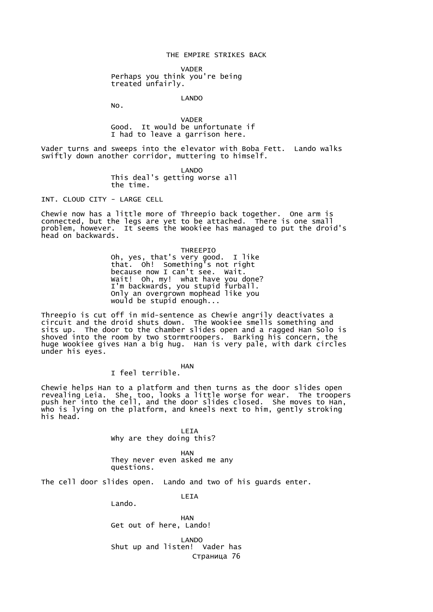VADER Perhaps you think you're being treated unfairly.

LANDO

No.

 VADER Good. It would be unfortunate if I had to leave a garrison here.

Vader turns and sweeps into the elevator with Boba Fett. Lando walks swiftly down another corridor, muttering to himself.

> LANDO This deal's getting worse all the time.

INT. CLOUD CITY - LARGE CELL

Chewie now has a little more of Threepio back together. One arm is connected, but the legs are yet to be attached. There is one small problem, however. It seems the Wookiee has managed to put the droid's head on backwards.

**THREEPIO**  Oh, yes, that's very good. I like that. Oh! Something's not right because now I can't see. Wait. Wait! Oh, my! what have you done? I'm backwards, you stupid furball. Only an overgrown mophead like you would be stupid enough...

Threepio is cut off in mid-sentence as Chewie angrily deactivates a circuit and the droid shuts down. The Wookiee smells something and sits up. The door to the chamber slides open and a ragged Han Solo is shoved into the room by two stormtroopers. Barking his concern, the huge Wookiee gives Han a big hug. Han is very pale, with dark circles under his eyes.

**HAN** I feel terrible.

Chewie helps Han to a platform and then turns as the door slides open revealing Leia. She, too, looks a little worse for wear. The troopers push her into the cell, and the door slides closed. She moves to Han, who is lying on the platform, and kneels next to him, gently stroking his head.

> LEIA Why are they doing this?

**HAN**  They never even asked me any questions.

The cell door slides open. Lando and two of his guards enter.

**LEIA** 

Lando.

**HAN**  Get out of here, Lando! LANDO Shut up and listen! Vader has Страница 76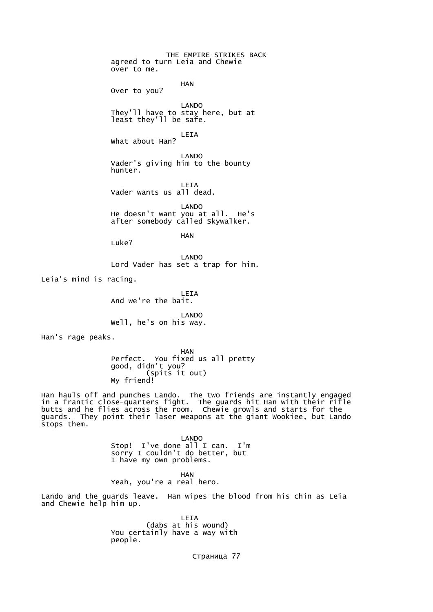THE EMPIRE STRIKES BACK agreed to turn Leia and Chewie over to me. **HAN**  Over to you? LANDO They'll have to stay here, but at least they'll be safe. LEIA What about Han? LANDO Vader's giving him to the bounty hunter. LEIA Vader wants us all dead. LANDO He doesn't want you at all. He's after somebody called Skywalker. **HAN**  Luke? LANDO Lord Vader has set a trap for him. Leia's mind is racing. **LEIA**  And we're the bait. LANDO Well, he's on his way. Han's rage peaks. **HAN**  Perfect. You fixed us all pretty good, didn't you? (spits it out) My friend! Han hauls off and punches Lando. The two friends are instantly engaged in a frantic close-quarters fight. The guards hit Han with their rifle butts and he flies across the room. Chewie growls and starts for the guards. They point their laser weapons at the giant Wookiee, but Lando stops them. LANDO Stop! I've done all I can. I'm sorry I couldn't do better, but I have my own problems. **HAN**  Yeah, you're a real hero. Lando and the guards leave. Han wipes the blood from his chin as Leia and Chewie help him up. LEIA

 (dabs at his wound) You certainly have a way with people.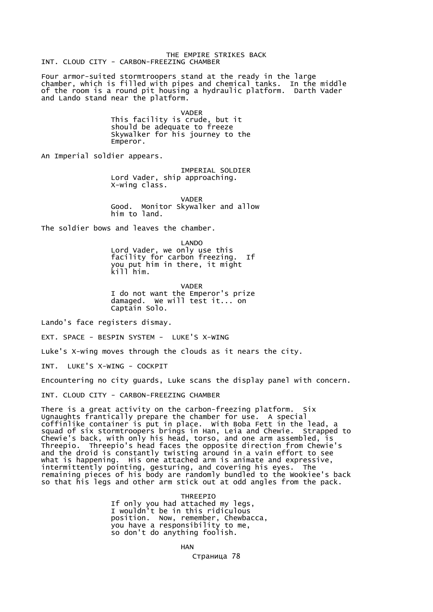THE EMPIRE STRIKES BACK INT. CLOUD CITY - CARBON-FREEZING CHAMBER

Four armor-suited stormtroopers stand at the ready in the large chamber, which is filled with pipes and chemical tanks. In the middle of the room is a round pit housing a hydraulic platform. Darth Vader and Lando stand near the platform.

 VADER This facility is crude, but it should be adequate to freeze Skywalker for his journey to the Emperor.

An Imperial soldier appears.

 IMPERIAL SOLDIER Lord Vader, ship approaching. X-wing class.

 VADER Good. Monitor Skywalker and allow him to land.

The soldier bows and leaves the chamber.

 LANDO Lord Vader, we only use this facility for carbon freezing. If you put him in there, it might kill him.

> VADER I do not want the Emperor's prize damaged. We will test it... on Captain Solo.

Lando's face registers dismay.

EXT. SPACE - BESPIN SYSTEM - LUKE'S X-WING

Luke's X-wing moves through the clouds as it nears the city.

INT. LUKE'S X-WING - COCKPIT

Encountering no city guards, Luke scans the display panel with concern.

INT. CLOUD CITY - CARBON-FREEZING CHAMBER

There is a great activity on the carbon-freezing platform. Six Ugnaughts frantically prepare the chamber for use. A special coffinlike container is put in place. With Boba Fett in the lead, a squad of six stormtroopers brings in Han, Leia and Chewie. Strapped to Chewie's back, with only his head, torso, and one arm assembled, is Threepio. Threepio's head faces the opposite direction from Chewie's and the droid is constantly twisting around in a vain effort to see what is happening. His one attached arm is animate and expressive, intermittently pointing, gesturing, and covering his eyes. The remaining pieces of his body are randomly bundled to the Wookiee's back so that his legs and other arm stick out at odd angles from the pack.

 THREEPIO If only you had attached my legs, I wouldn't be in this ridiculous position. Now, remember, Chewbacca, you have a responsibility to me, so don't do anything foolish.

**HAN**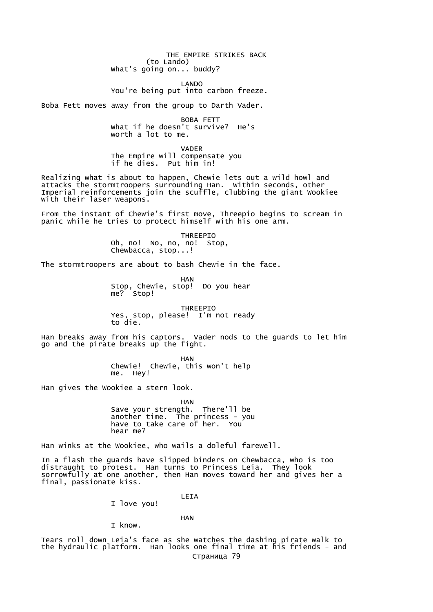THE EMPIRE STRIKES BACK (to Lando) What's going on... buddy?

 LANDO You're being put into carbon freeze.

Boba Fett moves away from the group to Darth Vader.

 BOBA FETT What if he doesn't survive? He's worth a lot to me.

 VADER The Empire will compensate you if he dies. Put him in!

Realizing what is about to happen, Chewie lets out a wild howl and attacks the stormtroopers surrounding Han. Within seconds, other Imperial reinforcements join the scuffle, clubbing the giant Wookiee with their laser weapons.

From the instant of Chewie's first move, Threepio begins to scream in panic while he tries to protect himself with his one arm.

> THREEPIO Oh, no! No, no, no! Stop, Chewbacca, stop...!

The stormtroopers are about to bash Chewie in the face.

**HAN**  Stop, Chewie, stop! Do you hear me? Stop!

> THREEPIO Yes, stop, please! I'm not ready to die.

Han breaks away from his captors. Vader nods to the guards to let him go and the pirate breaks up the fight.

**HAN**  Chewie! Chewie, this won't help me. Hey!

Han gives the Wookiee a stern look.

**HAN**  Save your strength. There'll be another time. The princess - you have to take care of her. You hear me?

Han winks at the Wookiee, who wails a doleful farewell.

In a flash the guards have slipped binders on Chewbacca, who is too distraught to protest. Han turns to Princess Leia. They look sorrowfully at one another, then Han moves toward her and gives her a final, passionate kiss.

**LEIA** 

**HAN** 

I know.

I love you!

Tears roll down Leia's face as she watches the dashing pirate walk to the hydraulic platform. Han looks one final time at his friends - and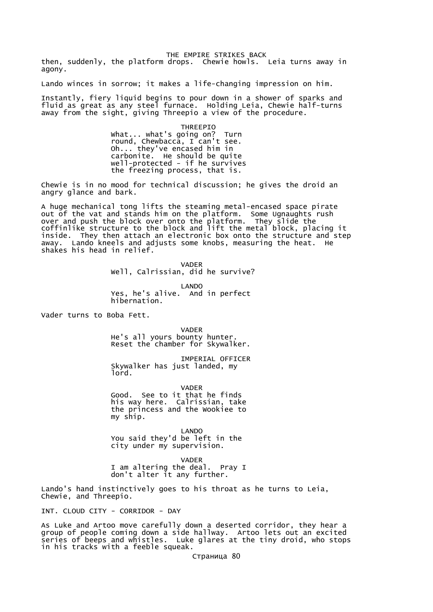then, suddenly, the platform drops. Chewie howls. Leia turns away in agony.

Lando winces in sorrow; it makes a life-changing impression on him.

Instantly, fiery liquid begins to pour down in a shower of sparks and fluid as great as any steel furnace. Holding Leia, Chewie half-turns away from the sight, giving Threepio a view of the procedure.

**THREEPIO**  What... what's going on? Turn round, Chewbacca, I can't see. Oh... they've encased him in carbonite. He should be quite well-protected - if he survives the freezing process, that is.

Chewie is in no mood for technical discussion; he gives the droid an angry glance and bark.

A huge mechanical tong lifts the steaming metal-encased space pirate out of the vat and stands him on the platform. Some Ugnaughts rush over and push the block over onto the platform. They slide the coffinlike structure to the block and lift the metal block, placing it inside. They then attach an electronic box onto the structure and step away. Lando kneels and adjusts some knobs, measuring the heat. He shakes his head in relief.

> VADER Well, Calrissian, did he survive?

 LANDO Yes, he's alive. And in perfect hibernation.

Vader turns to Boba Fett.

 VADER He's all yours bounty hunter. Reset the chamber for Skywalker.

 IMPERIAL OFFICER Skywalker has just landed, my lord.

 VADER Good. See to it that he finds his way here. Calrissian, take the princess and the Wookiee to my ship.

 LANDO You said they'd be left in the city under my supervision.

 VADER I am altering the deal. Pray I don't alter it any further.

Lando's hand instinctively goes to his throat as he turns to Leia, Chewie, and Threepio.

INT. CLOUD CITY - CORRIDOR - DAY

As Luke and Artoo move carefully down a deserted corridor, they hear a group of people coming down a side hallway. Artoo lets out an excited series of beeps and whistles. Luke glares at the tiny droid, who stops in his tracks with a feeble squeak.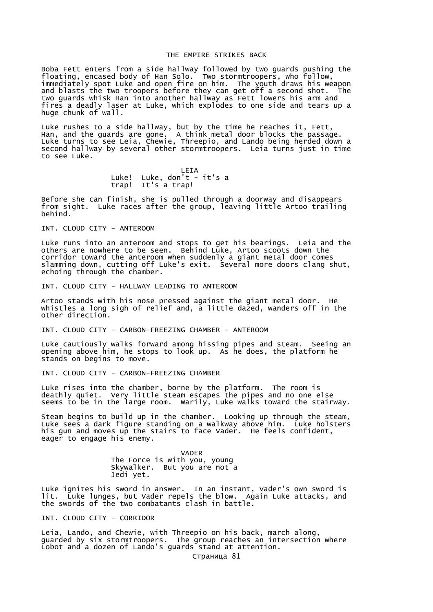Boba Fett enters from a side hallway followed by two guards pushing the floating, encased body of Han Solo. Two stormtroopers, who follow, immediately spot Luke and open fire on him. The youth draws his weapon and blasts the two troopers before they can get off a second shot. The two guards whisk Han into another hallway as Fett lowers his arm and fires a deadly laser at Luke, which explodes to one side and tears up a huge chunk of wall.

Luke rushes to a side hallway, but by the time he reaches it, Fett, Han, and the guards are gone. A think metal door blocks the passage. Luke turns to see Leia, Chewie, Threepio, and Lando being herded down a second hallway by several other stormtroopers. Leia turns just in time to see Luke.

> LEIA<br>- Luke! Luke, don't Luke, don't - it's a trap! It's a trap!

Before she can finish, she is pulled through a doorway and disappears from sight. Luke races after the group, leaving little Artoo trailing behind.

INT. CLOUD CITY - ANTEROOM

Luke runs into an anteroom and stops to get his bearings. Leia and the others are nowhere to be seen. Behind Luke, Artoo scoots down the corridor toward the anteroom when suddenly a giant metal door comes slamming down, cutting off Luke's exit. Several more doors clang shut, echoing through the chamber.

INT. CLOUD CITY - HALLWAY LEADING TO ANTEROOM

Artoo stands with his nose pressed against the giant metal door. He whistles a long sigh of relief and, a little dazed, wanders off in the other direction.

INT. CLOUD CITY - CARBON-FREEZING CHAMBER - ANTEROOM

Luke cautiously walks forward among hissing pipes and steam. Seeing an opening above him, he stops to look up. As he does, the platform he stands on begins to move.

INT. CLOUD CITY - CARBON-FREEZING CHAMBER

Luke rises into the chamber, borne by the platform. The room is deathly quiet. Very little steam escapes the pipes and no one else seems to be in the large room. Warily, Luke walks toward the stairway.

Steam begins to build up in the chamber. Looking up through the steam, Luke sees a dark figure standing on a walkway above him. Luke holsters his gun and moves up the stairs to face Vader. He feels confident, eager to engage his enemy.

 VADER The Force is with you, young Skywalker. But you are not a Jedi yet.

Luke ignites his sword in answer. In an instant, Vader's own sword is lit. Luke lunges, but Vader repels the blow. Again Luke attacks, and the swords of the two combatants clash in battle.

INT. CLOUD CITY - CORRIDOR

Leia, Lando, and Chewie, with Threepio on his back, march along, guarded by six stormtroopers. The group reaches an intersection where Lobot and a dozen of Lando's quards stand at attention.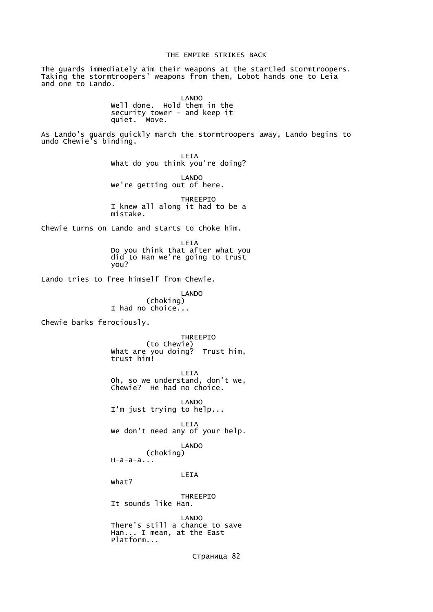The guards immediately aim their weapons at the startled stormtroopers. Taking the stormtroopers' weapons from them, Lobot hands one to Leia and one to Lando.

 LANDO Well done. Hold them in the security tower - and keep it quiet. Move.

As Lando's guards quickly march the stormtroopers away, Lando begins to undo Chewie's binding.

> LEIA What do you think you're doing?

 LANDO We're getting out of here.

 THREEPIO I knew all along it had to be a mistake.

Chewie turns on Lando and starts to choke him.

**LEIA**  Do you think that after what you did to Han we're going to trust you?

Lando tries to free himself from Chewie.

 LANDO (choking) I had no choice...

Chewie barks ferociously.

 THREEPIO (to Chewie) What are you doing? Trust him, trust him!

 LEIA Oh, so we understand, don't we, Chewie? He had no choice.

 LANDO I'm just trying to help...

**LEIA** We don't need any of your help.

> LANDO (choking)

H-a-a-a...

**LEIA** 

What?

 THREEPIO It sounds like Han. LANDO There's still a chance to save Han... I mean, at the East Platform...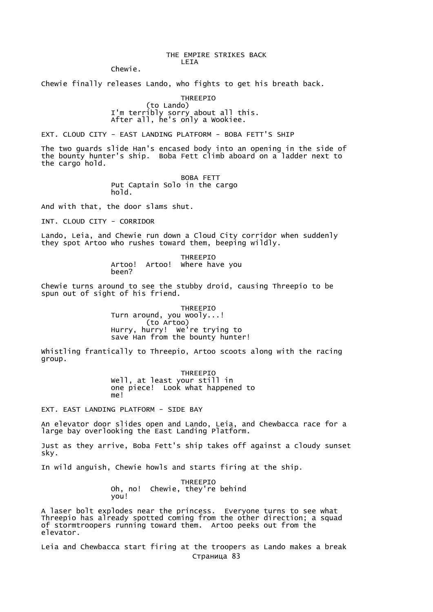Chewie.

Chewie finally releases Lando, who fights to get his breath back.

 THREEPIO (to Lando) I'm terribly sorry about all this. After all, he's only a Wookiee.

EXT. CLOUD CITY - EAST LANDING PLATFORM - BOBA FETT'S SHIP

The two guards slide Han's encased body into an opening in the side of the bounty hunter's ship. Boba Fett climb aboard on a ladder next to the cargo hold.

> BOBA FETT Put Captain Solo in the cargo hold.

And with that, the door slams shut.

INT. CLOUD CITY - CORRIDOR

Lando, Leia, and Chewie run down a Cloud City corridor when suddenly they spot Artoo who rushes toward them, beeping wildly.

> THREEPIO Artoo! Artoo! Where have you been?

Chewie turns around to see the stubby droid, causing Threepio to be spun out of sight of his friend.

> THREEPIO Turn around, you wooly...! (to Artoo) Hurry, hurry! We're trying to save Han from the bounty hunter!

Whistling frantically to Threepio, Artoo scoots along with the racing group.

> THREEPIO Well, at least your still in one piece! Look what happened to  $me<sub>l</sub>$

EXT. EAST LANDING PLATFORM - SIDE BAY

An elevator door slides open and Lando, Leia, and Chewbacca race for a large bay overlooking the East Landing Platform.

Just as they arrive, Boba Fett's ship takes off against a cloudy sunset sky.

In wild anguish, Chewie howls and starts firing at the ship.

 THREEPIO Oh, no! Chewie, they're behind you!

A laser bolt explodes near the princess. Everyone turns to see what Threepio has already spotted coming from the other direction; a squad of stormtroopers running toward them. Artoo peeks out from the elevator.

Leia and Chewbacca start firing at the troopers as Lando makes a break Страница 83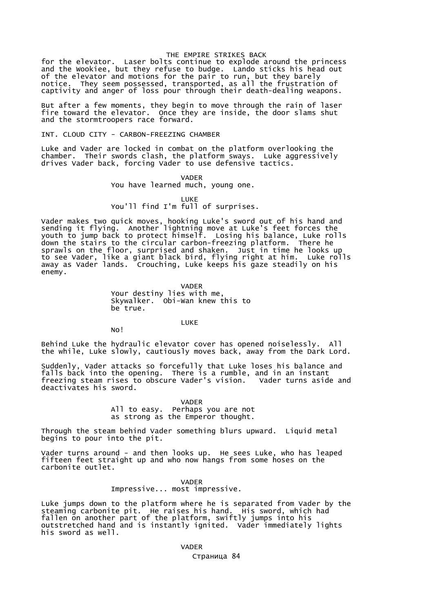for the elevator. Laser bolts continue to explode around the princess and the Wookiee, but they refuse to budge. Lando sticks his head out of the elevator and motions for the pair to run, but they barely notice. They seem possessed, transported, as all the frustration of captivity and anger of loss pour through their death-dealing weapons.

But after a few moments, they begin to move through the rain of laser fire toward the elevator. Once they are inside, the door slams shut and the stormtroopers race forward.

# INT. CLOUD CITY - CARBON-FREEZING CHAMBER

No!

Luke and Vader are locked in combat on the platform overlooking the chamber. Their swords clash, the platform sways. Luke aggressively drives Vader back, forcing Vader to use defensive tactics.

> VADER You have learned much, young one.

**LUKE** You'll find I'm full of surprises.

Vader makes two quick moves, hooking Luke's sword out of his hand and sending it flying. Another lightning move at Luke's feet forces the youth to jump back to protect himself. Losing his balance, Luke rolls down the stairs to the circular carbon-freezing platform. There he sprawls on the floor, surprised and shaken. Just in time he looks up to see Vader, like a giant black bird, flying right at him. Luke rolls away as Vader lands. Crouching, Luke keeps his gaze steadily on his enemy.

 VADER Your destiny lies with me, Skywalker. Obi-Wan knew this to be true.

**LUKE** 

Behind Luke the hydraulic elevator cover has opened noiselessly. All the while, Luke slowly, cautiously moves back, away from the Dark Lord.

Suddenly, Vader attacks so forcefully that Luke loses his balance and falls back into the opening. There is a rumble, and in an instant freezing steam rises to obscure Vader's vision. Vader turns aside and deactivates his sword.

> VADER All to easy. Perhaps you are not as strong as the Emperor thought.

Through the steam behind Vader something blurs upward. Liquid metal begins to pour into the pit.

Vader turns around - and then looks up. He sees Luke, who has leaped fifteen feet straight up and who now hangs from some hoses on the carbonite outlet.

# VADER Impressive... most impressive.

Luke jumps down to the platform where he is separated from Vader by the steaming carbonite pit. He raises his hand. His sword, which had fallen on another part of the platform, swiftly jumps into his outstretched hand and is instantly ignited. Vader immediately lights his sword as well.

VADER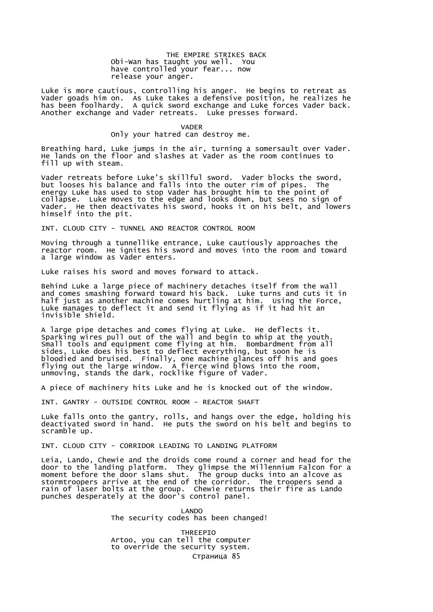# THE EMPIRE STRIKES BACK Obi-Wan has taught you well. You have controlled your fear... now release your anger.

Luke is more cautious, controlling his anger. He begins to retreat as Vader goads him on. As Luke takes a defensive position, he realizes he has been foolhardy. A quick sword exchange and Luke forces Vader back. Another exchange and Vader retreats. Luke presses forward.

# VADER

# Only your hatred can destroy me.

Breathing hard, Luke jumps in the air, turning a somersault over Vader. He lands on the floor and slashes at Vader as the room continues to fill up with steam.

Vader retreats before Luke's skillful sword. Vader blocks the sword, but looses his balance and falls into the outer rim of pipes. The energy Luke has used to stop Vader has brought him to the point of collapse. Luke moves to the edge and looks down, but sees no sign of Vader. He then deactivates his sword, hooks it on his belt, and lowers himself into the pit.

INT. CLOUD CITY - TUNNEL AND REACTOR CONTROL ROOM

Moving through a tunnellike entrance, Luke cautiously approaches the reactor room. He ignites his sword and moves into the room and toward a large window as Vader enters.

Luke raises his sword and moves forward to attack.

Behind Luke a large piece of machinery detaches itself from the wall and comes smashing forward toward his back. Luke turns and cuts it in half just as another machine comes hurtling at him. Using the Force, Luke manages to deflect it and send it flying as if it had hit an invisible shield.

A large pipe detaches and comes flying at Luke. He deflects it. Sparking wires pull out of the wall and begin to whip at the youth. Small tools and equipment come flying at him. Bombardment from all sides, Luke does his best to deflect everything, but soon he is bloodied and bruised. Finally, one machine glances off his and goes flying out the large window. A fierce wind blows into the room, unmoving, stands the dark, rocklike figure of Vader.

A piece of machinery hits Luke and he is knocked out of the window.

INT. GANTRY - OUTSIDE CONTROL ROOM - REACTOR SHAFT

Luke falls onto the gantry, rolls, and hangs over the edge, holding his deactivated sword in hand. He puts the sword on his belt and begins to scramble up.

INT. CLOUD CITY - CORRIDOR LEADING TO LANDING PLATFORM

Leia, Lando, Chewie and the droids come round a corner and head for the door to the landing platform. They glimpse the Millennium Falcon for a moment before the door slams shut. The group ducks into an alcove as stormtroopers arrive at the end of the corridor. The troopers send a rain of laser bolts at the group. Chewie returns their fire as Lando punches desperately at the door's control panel.

> LANDO The security codes has been changed!

 THREEPIO Artoo, you can tell the computer to override the security system.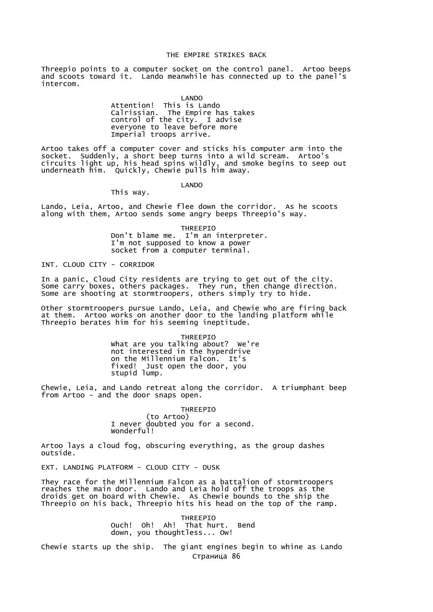Threepio points to a computer socket on the control panel. Artoo beeps and scoots toward it. Lando meanwhile has connected up to the panel's intercom.

 LANDO Attention! This is Lando Calrissian. The Empire has takes control of the city. I advise everyone to leave before more Imperial troops arrive.

Artoo takes off a computer cover and sticks his computer arm into the socket. Suddenly, a short beep turns into a wild scream. Artoo's circuits light up, his head spins wildly, and smoke begins to seep out underneath him. Quickly, Chewie pulls him away.

LANDO

Lando, Leia, Artoo, and Chewie flee down the corridor. As he scoots along with them, Artoo sends some angry beeps Threepio's way.

> THREEPIO<br>Don't blame me. I'm an I'm an interpreter. I'm not supposed to know a power socket from a computer terminal.

INT. CLOUD CITY - CORRIDOR

This way.

In a panic, Cloud City residents are trying to get out of the city. Some carry boxes, others packages. They run, then change direction. Some are shooting at stormtroopers, others simply try to hide.

Other stormtroopers pursue Lando, Leia, and Chewie who are firing back at them. Artoo works on another door to the landing platform while Threepio berates him for his seeming ineptitude.

 THREEPIO What are you talking about? We're not interested in the hyperdrive on the Millennium Falcon. It's fixed! Just open the door, you stupid lump.

Chewie, Leia, and Lando retreat along the corridor. A triumphant beep from Artoo - and the door snaps open.

 THREEPIO (to Artoo) I never doubted you for a second. Wonderful!

Artoo lays a cloud fog, obscuring everything, as the group dashes outside.

EXT. LANDING PLATFORM - CLOUD CITY - DUSK

They race for the Millennium Falcon as a battalion of stormtroopers reaches the main door. Lando and Leia hold off the troops as the droids get on board with Chewie. As Chewie bounds to the ship the Threepio on his back, Threepio hits his head on the top of the ramp.

> THREEPIO Ouch! Oh! Ah! That hurt. Bend down, you thoughtless... Ow!

Chewie starts up the ship. The giant engines begin to whine as Lando Страница 86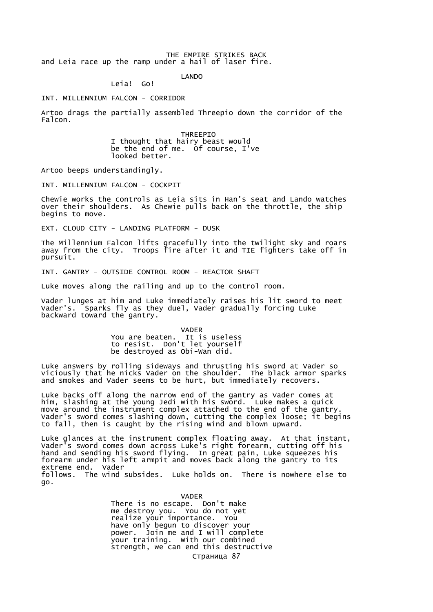# THE EMPIRE STRIKES BACK and Leia race up the ramp under a hail of laser fire.

LANDO

INT. MILLENNIUM FALCON - CORRIDOR

Leia! Go!

Artoo drags the partially assembled Threepio down the corridor of the Falcon.

> THREEPIO I thought that hairy beast would be the end of me. Of course, I've looked better.

Artoo beeps understandingly.

INT. MILLENNIUM FALCON - COCKPIT

Chewie works the controls as Leia sits in Han's seat and Lando watches over their shoulders. As Chewie pulls back on the throttle, the ship begins to move.

EXT. CLOUD CITY - LANDING PLATFORM - DUSK

The Millennium Falcon lifts gracefully into the twilight sky and roars away from the city. Troops fire after it and TIE fighters take off in pursuit.

INT. GANTRY - OUTSIDE CONTROL ROOM - REACTOR SHAFT

Luke moves along the railing and up to the control room.

Vader lunges at him and Luke immediately raises his lit sword to meet Vader's. Sparks fly as they duel, Vader gradually forcing Luke backward toward the gantry.

> VADER<br>It is useless You are beaten. to resist. Don't let yourself be destroyed as Obi-Wan did.

Luke answers by rolling sideways and thrusting his sword at Vader so viciously that he nicks Vader on the shoulder. The black armor sparks and smokes and Vader seems to be hurt, but immediately recovers.

Luke backs off along the narrow end of the gantry as Vader comes at him, slashing at the young Jedi with his sword. Luke makes a quick move around the instrument complex attached to the end of the gantry Vader's sword comes slashing down, cutting the complex loose; it begins to fall, then is caught by the rising wind and blown upward.

Luke glances at the instrument complex floating away. At that instant, Vader's sword comes down across Luke's right forearm, cutting off his hand and sending his sword flying. In great pain, Luke squeezes his forearm under his left armpit and moves back along the gantry to its extreme end. Vader follows. The wind subsides. Luke holds on. There is nowhere else to go.

> VADER There is no escape. Don't make me destroy you. You do not yet realize your importance. You have only begun to discover your power. Join me and I will complete your training. With our combined strength, we can end this destructive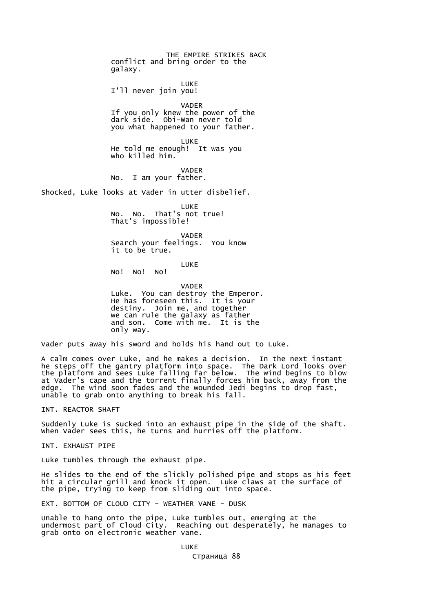THE EMPIRE STRIKES BACK conflict and bring order to the galaxy. LUKE I'll never join you! VADER If you only knew the power of the dark side. Obi-Wan never told you what happened to your father. **LUKE**  He told me enough! It was you who killed him. VADER No. I am your father. Shocked, Luke looks at Vader in utter disbelief. LUKE<br>No. No. That's not That's not true! That's impossible! VADER Search your feelings. You know it to be true. **LUKE**  No! No! No! VADER Luke. You can destroy the Emperor. He has foreseen this. It is your destiny. Join me, and together

 we can rule the galaxy as father and son. Come with me. It is the only way.

Vader puts away his sword and holds his hand out to Luke.

A calm comes over Luke, and he makes a decision. In the next instant he steps off the gantry platform into space. The Dark Lord looks over the platform and sees Luke falling far below. The wind begins to blow at Vader's cape and the torrent finally forces him back, away from the edge. The wind soon fades and the wounded Jedi begins to drop fast, unable to grab onto anything to break his fall.

INT. REACTOR SHAFT

Suddenly Luke is sucked into an exhaust pipe in the side of the shaft. When Vader sees this, he turns and hurries off the platform.

INT. EXHAUST PIPE

Luke tumbles through the exhaust pipe.

He slides to the end of the slickly polished pipe and stops as his feet hit a circular grill and knock it open. Luke claws at the surface of the pipe, trying to keep from sliding out into space.

EXT. BOTTOM OF CLOUD CITY - WEATHER VANE - DUSK

Unable to hang onto the pipe, Luke tumbles out, emerging at the undermost part of Cloud City. Reaching out desperately, he manages to grab onto on electronic weather vane.

**LUKE**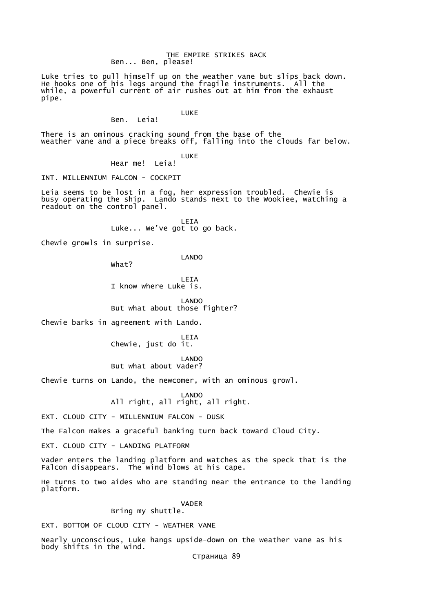# THE EMPIRE STRIKES BACK Ben... Ben, please!

Luke tries to pull himself up on the weather vane but slips back down. He hooks one of his legs around the fragile instruments. All the while, a powerful current of air rushes out at him from the exhaust pipe.

**LUKE** Ben. Leia!

There is an ominous cracking sound from the base of the weather vane and a piece breaks off, falling into the clouds far below.

**LUKE** Hear me! Leia!

INT. MILLENNIUM FALCON - COCKPIT

Leia seems to be lost in a fog, her expression troubled. Chewie is busy operating the ship. Lando stands next to the Wookiee, watching a readout on the control panel.

**LEIA** Luke... We've got to go back.

Chewie growls in surprise.

LANDO

 LEIA I know where Luke is.

 LANDO But what about those fighter?

Chewie barks in agreement with Lando.

What?

 LEIA Chewie, just do it.

 LANDO But what about Vader?

Chewie turns on Lando, the newcomer, with an ominous growl.

 LANDO All right, all right, all right.

EXT. CLOUD CITY - MILLENNIUM FALCON - DUSK

The Falcon makes a graceful banking turn back toward Cloud City.

EXT. CLOUD CITY - LANDING PLATFORM

Vader enters the landing platform and watches as the speck that is the Falcon disappears. The wind blows at his cape.

He turns to two aides who are standing near the entrance to the landing platform.

VADER

Bring my shuttle.

EXT. BOTTOM OF CLOUD CITY - WEATHER VANE

Nearly unconscious, Luke hangs upside-down on the weather vane as his body shifts in the wind.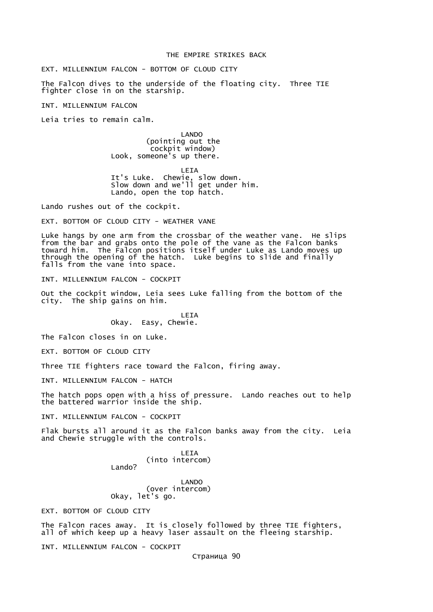EXT. MILLENNIUM FALCON - BOTTOM OF CLOUD CITY

The Falcon dives to the underside of the floating city. Three TIE fighter close in on the starship.

INT. MILLENNIUM FALCON

Leia tries to remain calm.

 LANDO (pointing out the cockpit window) Look, someone's up there.

 LEIA It's Luke. Chewie, slow down. Slow down and we'll get under him. Lando, open the top hatch.

Lando rushes out of the cockpit.

EXT. BOTTOM OF CLOUD CITY - WEATHER VANE

Luke hangs by one arm from the crossbar of the weather vane. He slips from the bar and grabs onto the pole of the vane as the Falcon banks toward him. The Falcon positions itself under Luke as Lando moves up through the opening of the hatch. Luke begins to slide and finally falls from the vane into space.

INT. MILLENNIUM FALCON - COCKPIT

Out the cockpit window, Leia sees Luke falling from the bottom of the city. The ship gains on him.

 LEIA Okay. Easy, Chewie.

The Falcon closes in on Luke.

EXT. BOTTOM OF CLOUD CITY

Three TIE fighters race toward the Falcon, firing away.

INT. MILLENNIUM FALCON - HATCH

The hatch pops open with a hiss of pressure. Lando reaches out to help the battered warrior inside the ship.

INT. MILLENNIUM FALCON - COCKPIT

Flak bursts all around it as the Falcon banks away from the city. Leia and Chewie struggle with the controls.

 LEIA (into intercom) Lando?

> LANDO (over intercom) Okay, let's go.

EXT. BOTTOM OF CLOUD CITY

The Falcon races away. It is closely followed by three TIE fighters, all of which keep up a heavy laser assault on the fleeing starship.

INT. MILLENNIUM FALCON - COCKPIT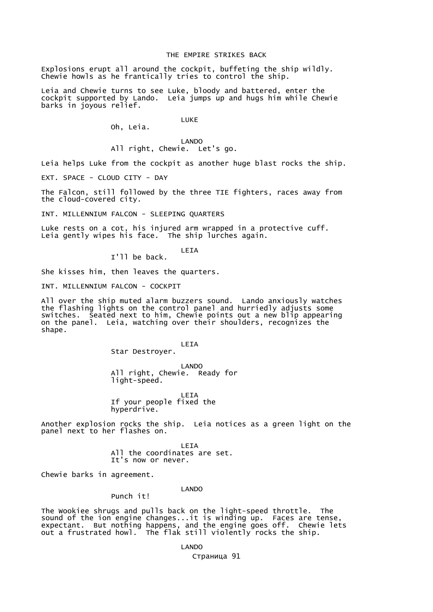Explosions erupt all around the cockpit, buffeting the ship wildly. Chewie howls as he frantically tries to control the ship.

Leia and Chewie turns to see Luke, bloody and battered, enter the cockpit supported by Lando. Leia jumps up and hugs him while Chewie barks in joyous relief.

**LUKE** 

Oh, Leia.

LANDO

All right, Chewie. Let's go.

Leia helps Luke from the cockpit as another huge blast rocks the ship.

EXT. SPACE - CLOUD CITY - DAY

The Falcon, still followed by the three TIE fighters, races away from the cloud-covered city.

INT. MILLENNIUM FALCON - SLEEPING QUARTERS

Luke rests on a cot, his injured arm wrapped in a protective cuff. Leia gently wipes his face. The ship lurches again.

> LEIA I'll be back.

She kisses him, then leaves the quarters.

Star Destroyer.

light-speed.

Punch it!

INT. MILLENNIUM FALCON - COCKPIT

All over the ship muted alarm buzzers sound. Lando anxiously watches the flashing lights on the control panel and hurriedly adjusts some switches. Seated next to him, Chewie points out a new blip appearing on the panel. Leia, watching over their shoulders, recognizes the shape.

**LEIA** 

 LANDO All right, Chewie. Ready for

**LEIA**  If your people fixed the hyperdrive.

Another explosion rocks the ship. Leia notices as a green light on the panel next to her flashes on.

**LEIA**  All the coordinates are set. It's now or never.

Chewie barks in agreement.

LANDO

The Wookiee shrugs and pulls back on the light-speed throttle. The sound of the ion engine changes...it is winding up. Faces are tense, expectant. But nothing happens, and the engine goes off. Chewie lets out a frustrated howl. The flak still violently rocks the ship.

LANDO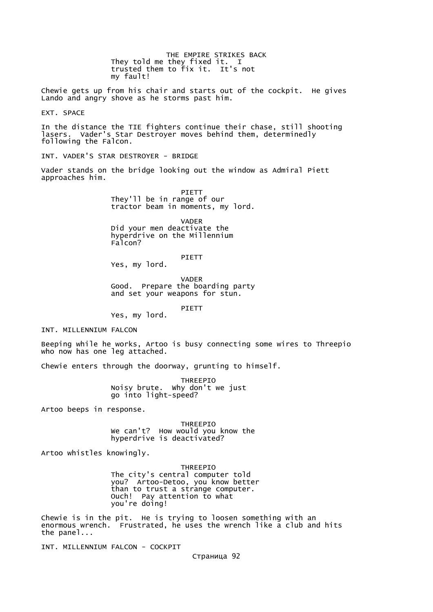THE EMPIRE STRIKES BACK They told me they fixed it. I trusted them to fix it. It's not my fault!

Chewie gets up from his chair and starts out of the cockpit. He gives Lando and angry shove as he storms past him.

EXT. SPACE

In the distance the TIE fighters continue their chase, still shooting lasers. Vader's Star Destroyer moves behind them, determinedly following the Falcon.

INT. VADER'S STAR DESTROYER - BRIDGE

Vader stands on the bridge looking out the window as Admiral Piett approaches him.

**PIETT** *PIETT*  They'll be in range of our tractor beam in moments, my lord.

> VADER Did your men deactivate the hyperdrive on the Millennium Falcon?

 PIETT Yes, my lord.

 VADER Good. Prepare the boarding party and set your weapons for stun.

 PIETT Yes, my lord.

INT. MILLENNIUM FALCON

Beeping while he works, Artoo is busy connecting some wires to Threepio who now has one leg attached.

Chewie enters through the doorway, grunting to himself.

 THREEPIO Noisy brute. Why don't we just go into light-speed?

Artoo beeps in response.

 THREEPIO We can't? How would you know the hyperdrive is deactivated?

Artoo whistles knowingly.

 THREEPIO The city's central computer told you? Artoo-Detoo, you know better than to trust a strange computer. Ouch! Pay attention to what you're doing!

Chewie is in the pit. He is trying to loosen something with an enormous wrench. Frustrated, he uses the wrench like a club and hits the panel...

INT. MILLENNIUM FALCON - COCKPIT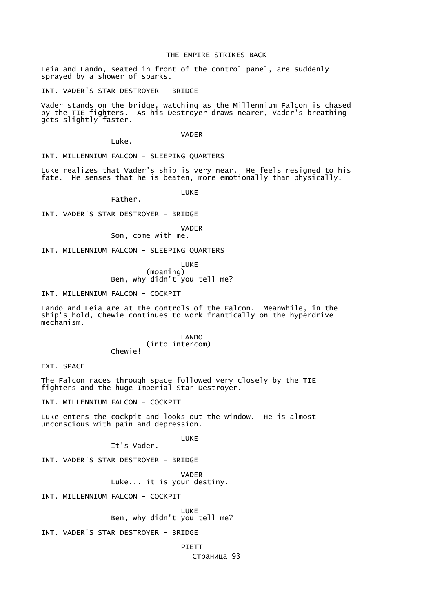Leia and Lando, seated in front of the control panel, are suddenly sprayed by a shower of sparks.

INT. VADER'S STAR DESTROYER - BRIDGE

Vader stands on the bridge, watching as the Millennium Falcon is chased by the TIE fighters. As his Destroyer draws nearer, Vader's breathing gets slightly faster.

# VADER

Luke.

INT. MILLENNIUM FALCON - SLEEPING QUARTERS

Luke realizes that Vader's ship is very near. He feels resigned to his fate. He senses that he is beaten, more emotionally than physically.

**LUKE** 

INT. VADER'S STAR DESTROYER - BRIDGE

Father.

 VADER Son, come with me.

INT. MILLENNIUM FALCON - SLEEPING QUARTERS

**LUKE**  (moaning) Ben, why didn't you tell me?

INT. MILLENNIUM FALCON - COCKPIT

Lando and Leia are at the controls of the Falcon. Meanwhile, in the ship's hold, Chewie continues to work frantically on the hyperdrive mechanism.

> LANDO (into intercom) Chewie!

EXT. SPACE

The Falcon races through space followed very closely by the TIE fighters and the huge Imperial Star Destroyer.

INT. MILLENNIUM FALCON - COCKPIT

Luke enters the cockpit and looks out the window. He is almost unconscious with pain and depression.

**LUKE** 

It's Vader.

INT. VADER'S STAR DESTROYER - BRIDGE

VADER

Luke... it is your destiny.

INT. MILLENNIUM FALCON - COCKPIT

**LUKE** Ben, why didn't you tell me?

INT. VADER'S STAR DESTROYER - BRIDGE

PIETT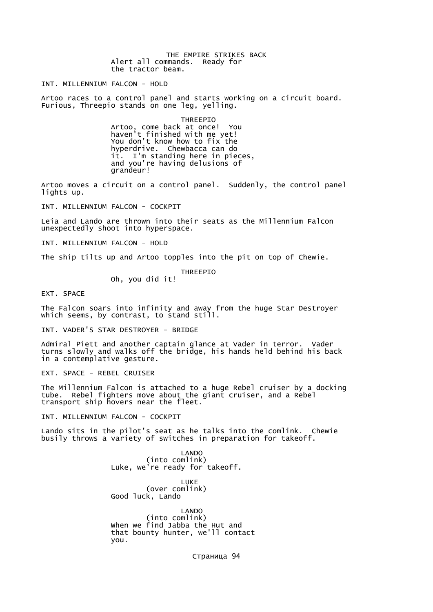THE EMPIRE STRIKES BACK Alert all commands. Ready for the tractor beam.

INT. MILLENNIUM FALCON - HOLD

Artoo races to a control panel and starts working on a circuit board. Furious, Threepio stands on one leg, yelling.

**THREEPIO**  Artoo, come back at once! You haven't finished with me yet! You don't know how to fix the hyperdrive. Chewbacca can do it. I'm standing here in pieces, and you're having delusions of grandeur!

Artoo moves a circuit on a control panel. Suddenly, the control panel lights up.

INT. MILLENNIUM FALCON - COCKPIT

Leia and Lando are thrown into their seats as the Millennium Falcon unexpectedly shoot into hyperspace.

INT. MILLENNIUM FALCON - HOLD

The ship tilts up and Artoo topples into the pit on top of Chewie.

 THREEPIO Oh, you did it!

EXT. SPACE

The Falcon soars into infinity and away from the huge Star Destroyer which seems, by contrast, to stand still.

INT. VADER'S STAR DESTROYER - BRIDGE

Admiral Piett and another captain glance at Vader in terror. Vader turns slowly and walks off the bridge, his hands held behind his back in a contemplative gesture.

EXT. SPACE - REBEL CRUISER

The Millennium Falcon is attached to a huge Rebel cruiser by a docking tube. Rebel fighters move about the giant cruiser, and a Rebel transport ship hovers near the fleet.

INT. MILLENNIUM FALCON - COCKPIT

you.

Lando sits in the pilot's seat as he talks into the comlink. Chewie busily throws a variety of switches in preparation for takeoff.

 LANDO (into comlink) Luke, we're ready for takeoff. **LUKE**  (over comlink) Good luck, Lando LANDO (into comlink) When we find Jabba the Hut and that bounty hunter, we'll contact